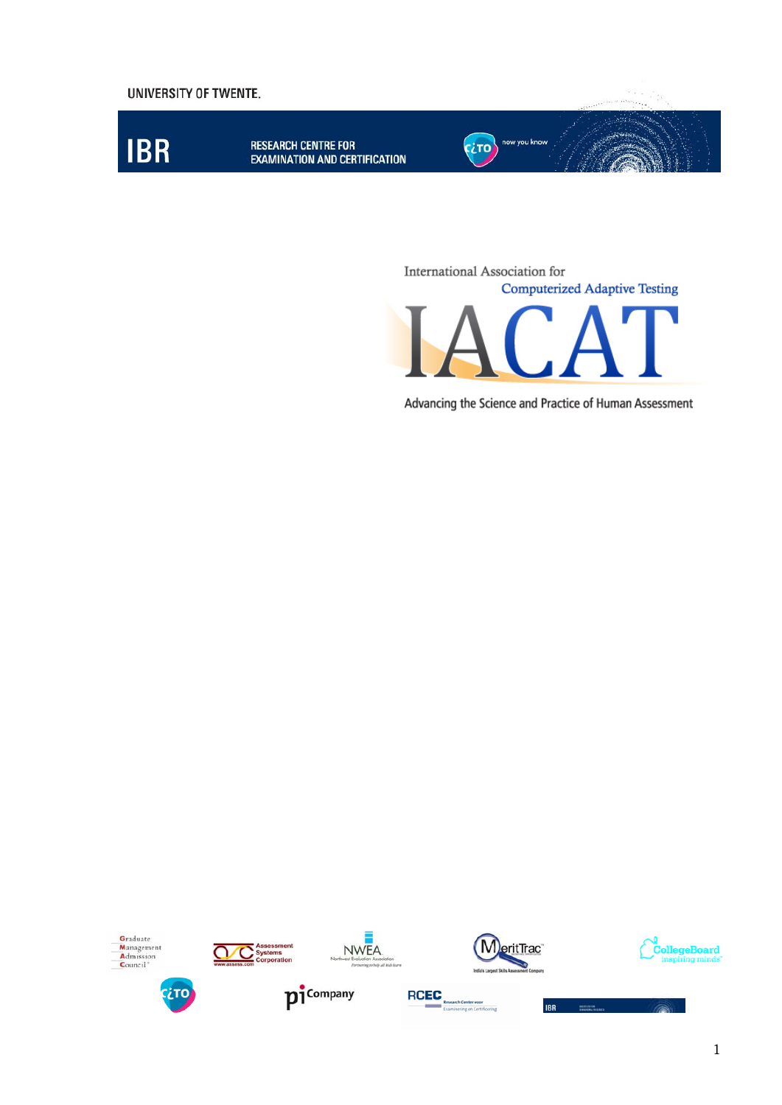

International Association for **Computerized Adaptive Testing** 

Advancing the Science and Practice of Human Assessment

















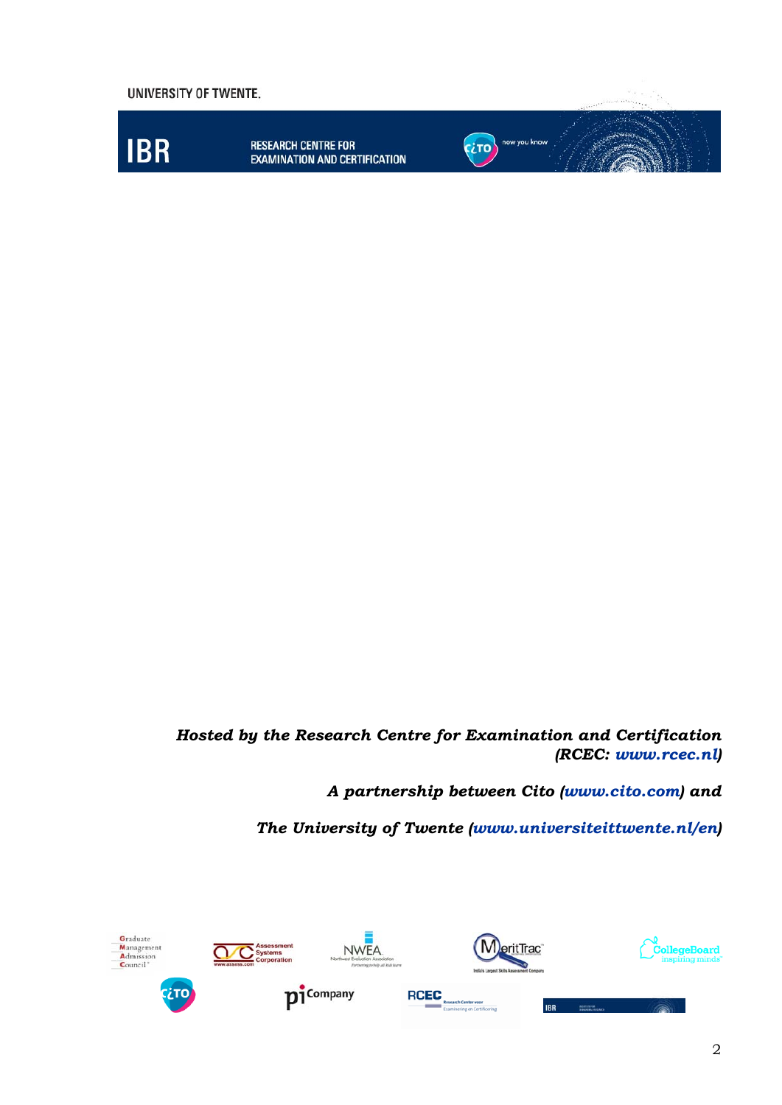

#### *Hosted by the Research Centre for Examination and Certification (RCEC: [www.rcec.nl](http://www.rcec.nl/))*

*A partnership between Cito [\(www.cito.com\)](http://www.cito.com/) and* 

*The University of Twente ([www.universiteittwente.nl/en](http://www.universiteittwente.nl/en))* 

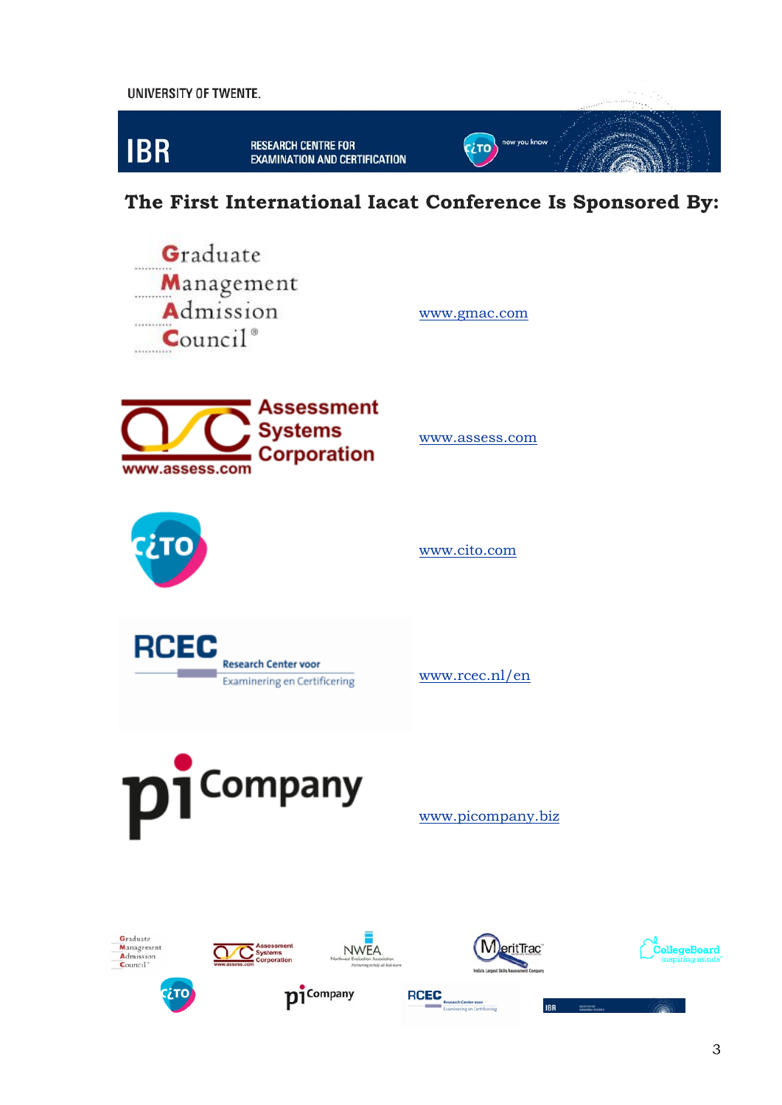

 **The First International Iacat Conference Is Sponsored By:** 

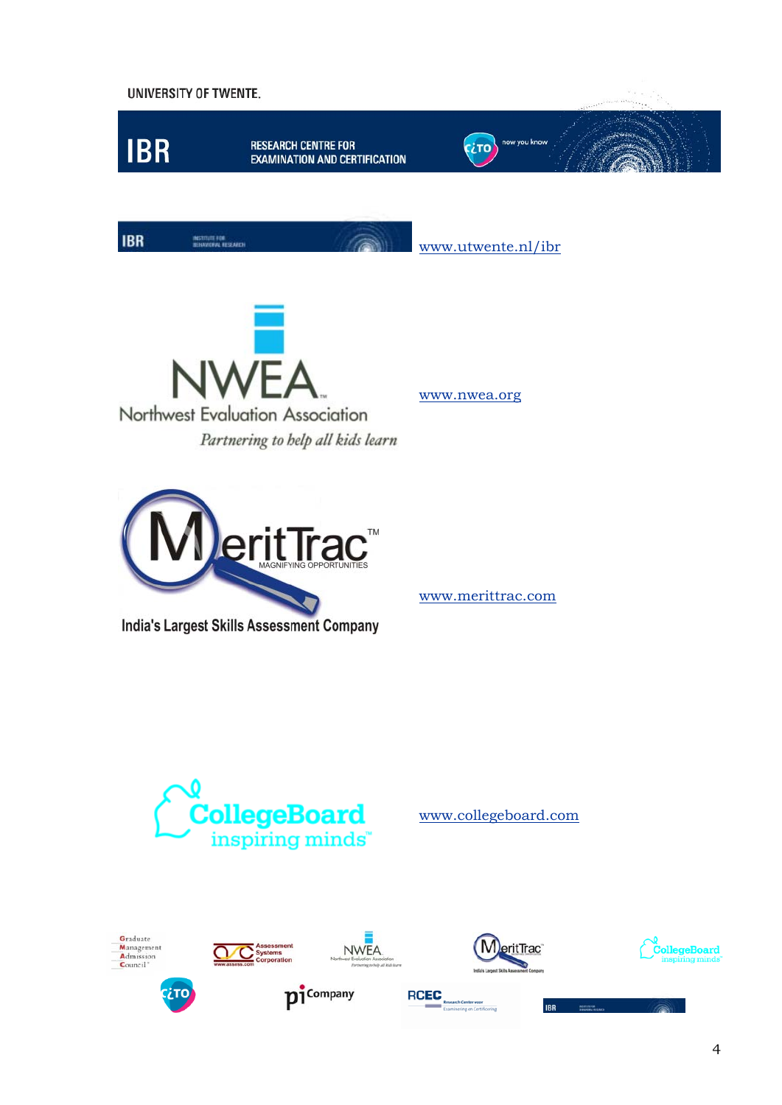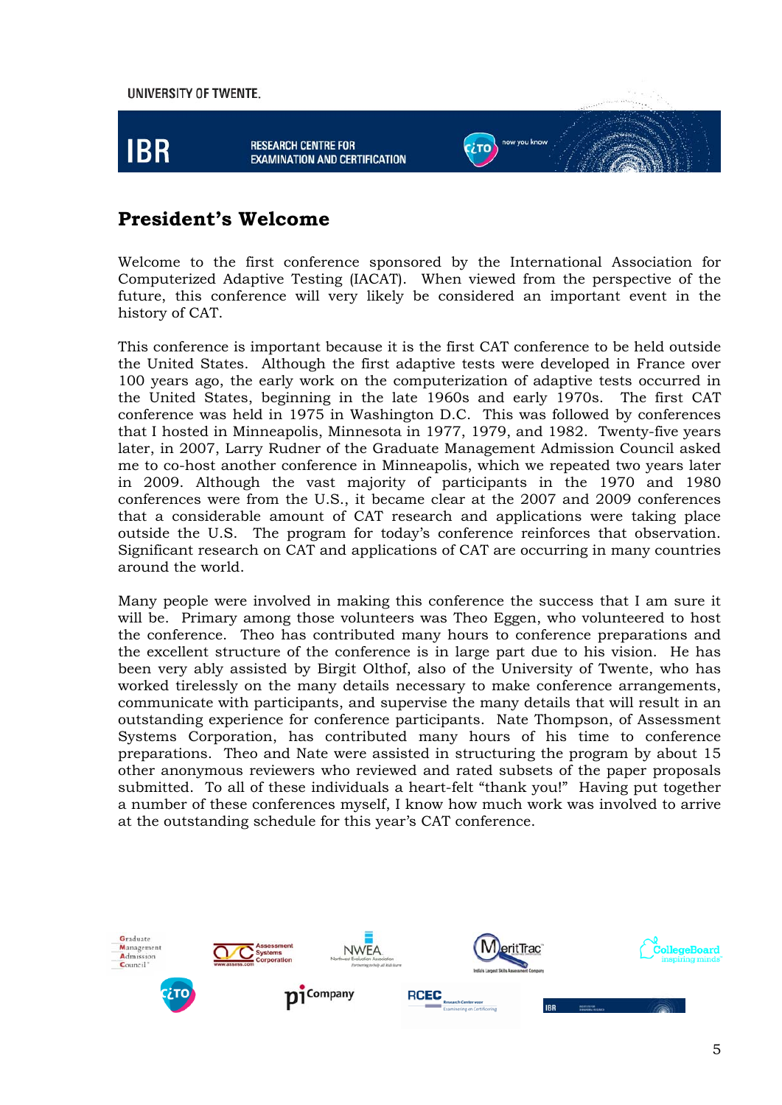

### **President's Welcome**

Welcome to the first conference sponsored by the International Association for Computerized Adaptive Testing (IACAT). When viewed from the perspective of the future, this conference will very likely be considered an important event in the history of CAT.

This conference is important because it is the first CAT conference to be held outside the United States. Although the first adaptive tests were developed in France over 100 years ago, the early work on the computerization of adaptive tests occurred in the United States, beginning in the late 1960s and early 1970s. The first CAT conference was held in 1975 in Washington D.C. This was followed by conferences that I hosted in Minneapolis, Minnesota in 1977, 1979, and 1982. Twenty-five years later, in 2007, Larry Rudner of the Graduate Management Admission Council asked me to co-host another conference in Minneapolis, which we repeated two years later in 2009. Although the vast majority of participants in the 1970 and 1980 conferences were from the U.S., it became clear at the 2007 and 2009 conferences that a considerable amount of CAT research and applications were taking place outside the U.S. The program for today's conference reinforces that observation. Significant research on CAT and applications of CAT are occurring in many countries around the world.

Many people were involved in making this conference the success that I am sure it will be. Primary among those volunteers was Theo Eggen, who volunteered to host the conference. Theo has contributed many hours to conference preparations and the excellent structure of the conference is in large part due to his vision. He has been very ably assisted by Birgit Olthof, also of the University of Twente, who has worked tirelessly on the many details necessary to make conference arrangements, communicate with participants, and supervise the many details that will result in an outstanding experience for conference participants. Nate Thompson, of Assessment Systems Corporation, has contributed many hours of his time to conference preparations. Theo and Nate were assisted in structuring the program by about 15 other anonymous reviewers who reviewed and rated subsets of the paper proposals submitted. To all of these individuals a heart-felt "thank you!" Having put together a number of these conferences myself, I know how much work was involved to arrive at the outstanding schedule for this year's CAT conference.

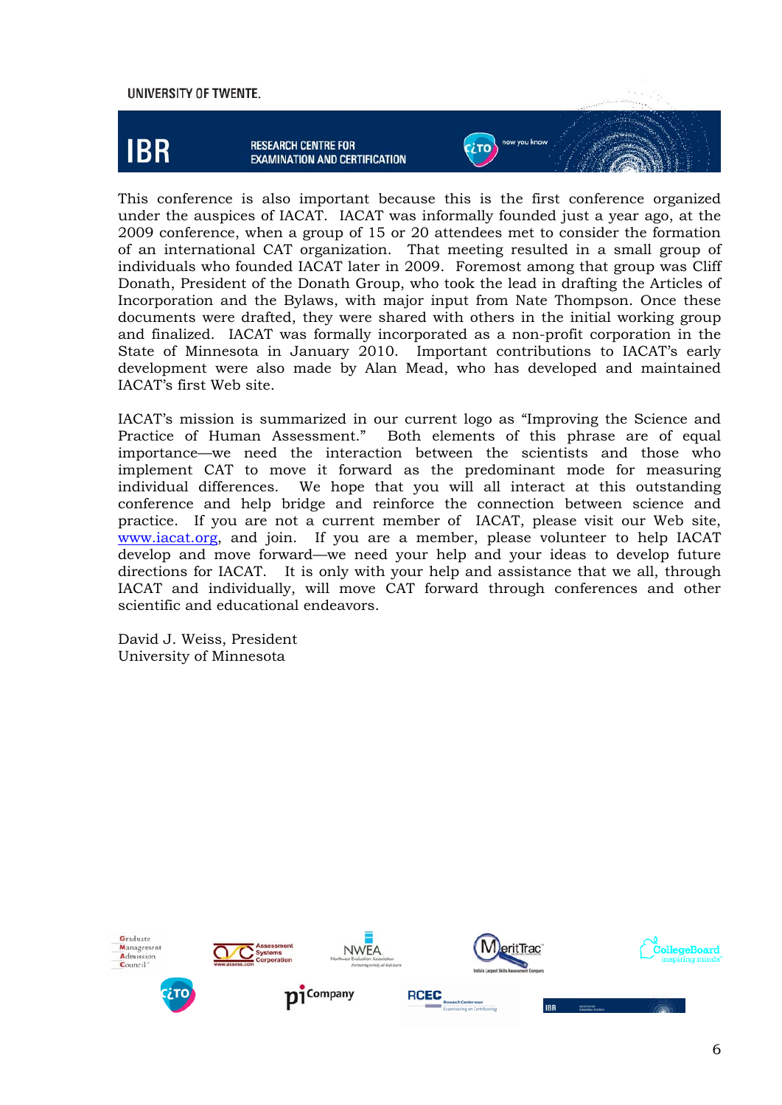

This conference is also important because this is the first conference organized under the auspices of IACAT. IACAT was informally founded just a year ago, at the 2009 conference, when a group of 15 or 20 attendees met to consider the formation of an international CAT organization. That meeting resulted in a small group of individuals who founded IACAT later in 2009. Foremost among that group was Cliff Donath, President of the Donath Group, who took the lead in drafting the Articles of Incorporation and the Bylaws, with major input from Nate Thompson. Once these documents were drafted, they were shared with others in the initial working group and finalized. IACAT was formally incorporated as a non-profit corporation in the State of Minnesota in January 2010. Important contributions to IACAT's early development were also made by Alan Mead, who has developed and maintained IACAT's first Web site.

IACAT's mission is summarized in our current logo as "Improving the Science and Practice of Human Assessment." Both elements of this phrase are of equal importance—we need the interaction between the scientists and those who implement CAT to move it forward as the predominant mode for measuring individual differences. We hope that you will all interact at this outstanding conference and help bridge and reinforce the connection between science and practice. If you are not a current member of IACAT, please visit our Web site, [www.iacat.org,](http://www.iacat.org/) and join. If you are a member, please volunteer to help IACAT develop and move forward—we need your help and your ideas to develop future directions for IACAT. It is only with your help and assistance that we all, through IACAT and individually, will move CAT forward through conferences and other scientific and educational endeavors.

David J. Weiss, President University of Minnesota

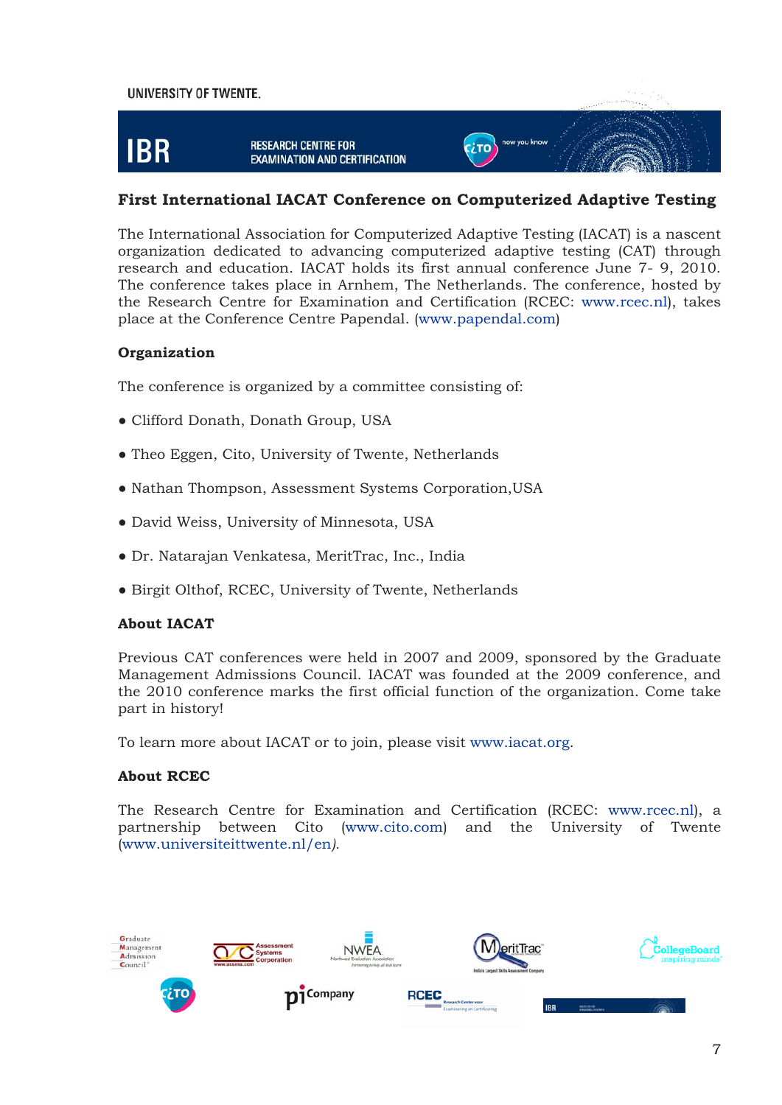

#### **First International IACAT Conference on Computerized Adaptive Testing**

The International Association for Computerized Adaptive Testing (IACAT) is a nascent organization dedicated to advancing computerized adaptive testing (CAT) through research and education. IACAT holds its first annual conference June 7- 9, 2010. The conference takes place in Arnhem, The Netherlands. The conference, hosted by the Research Centre for Examination and Certification (RCEC: [www.rcec.nl](http://www.rcec.nl/)), takes place at the Conference Centre Papendal. ([www.papendal.com](http://www.papendal.com/))

#### **Organization**

The conference is organized by a committee consisting of:

- Clifford Donath, Donath Group, USA
- Theo Eggen, Cito, University of Twente, Netherlands
- Nathan Thompson, Assessment Systems Corporation,USA
- David Weiss, University of Minnesota, USA
- Dr. Natarajan Venkatesa, MeritTrac, Inc., India
- Birgit Olthof, RCEC, University of Twente, Netherlands

#### **About IACAT**

Previous CAT conferences were held in 2007 and 2009, sponsored by the Graduate Management Admissions Council. IACAT was founded at the 2009 conference, and the 2010 conference marks the first official function of the organization. Come take part in history!

To learn more about IACAT or to join, please visit [www.iacat.org.](http://www.iacat.org/)

#### **About RCEC**

The Research Centre for Examination and Certification (RCEC: [www.rcec.nl\)](http://www.rcec.nl/), a partnership between Cito [\(www.cito.com](http://www.cito.com/)) and the University of Twente [\(www.universiteittwente.nl/en](http://www.universiteittwente.nl/en)*).*

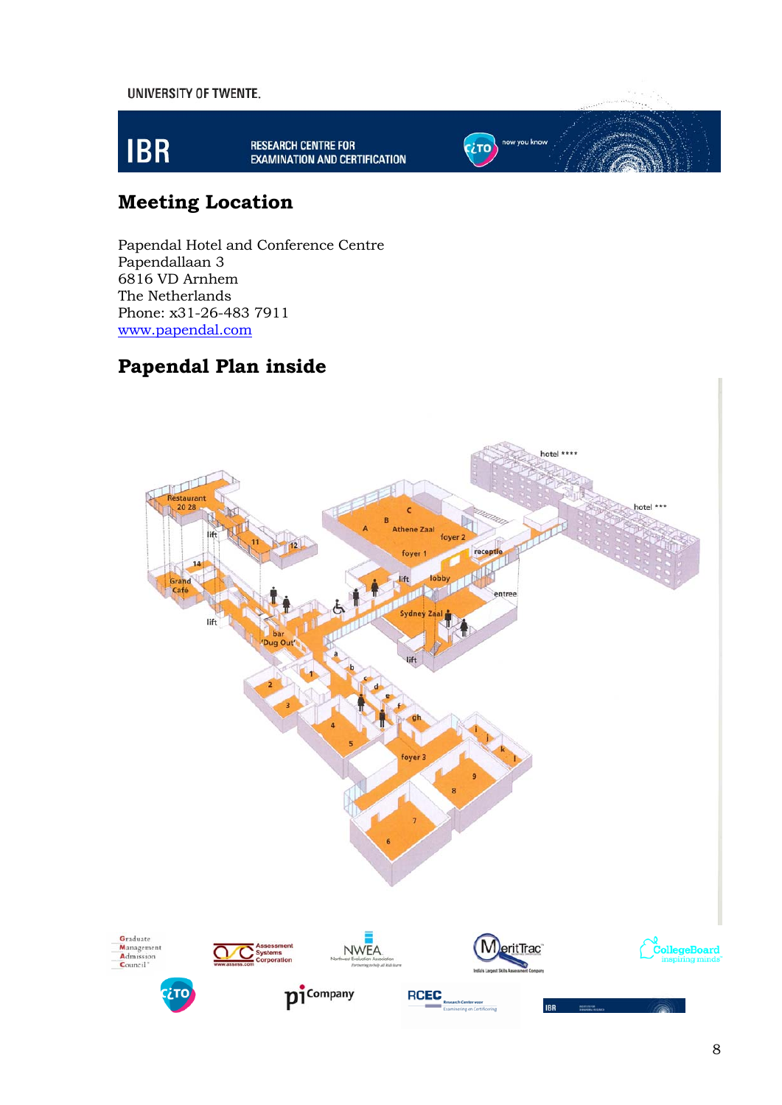

RESEARCH CENTRE FOR<br>EXAMINATION AND CERTIFICATION

now you know

**CETO** 

# **Meeting Location**

Papendal Hotel and Conference Centre Papendallaan 3 6816 VD Arnhem The Netherlands Phone: x31-26-483 7911 [www.papendal.com](http://www.papendal.com/)

### **Papendal Plan inside**

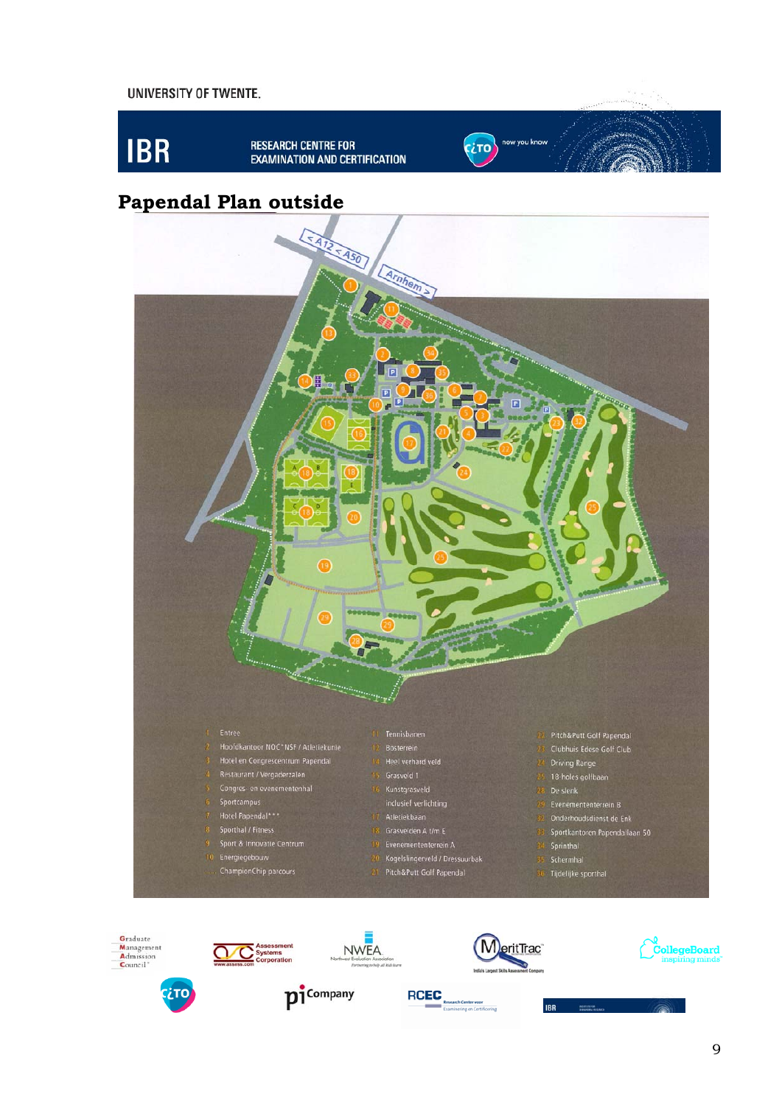









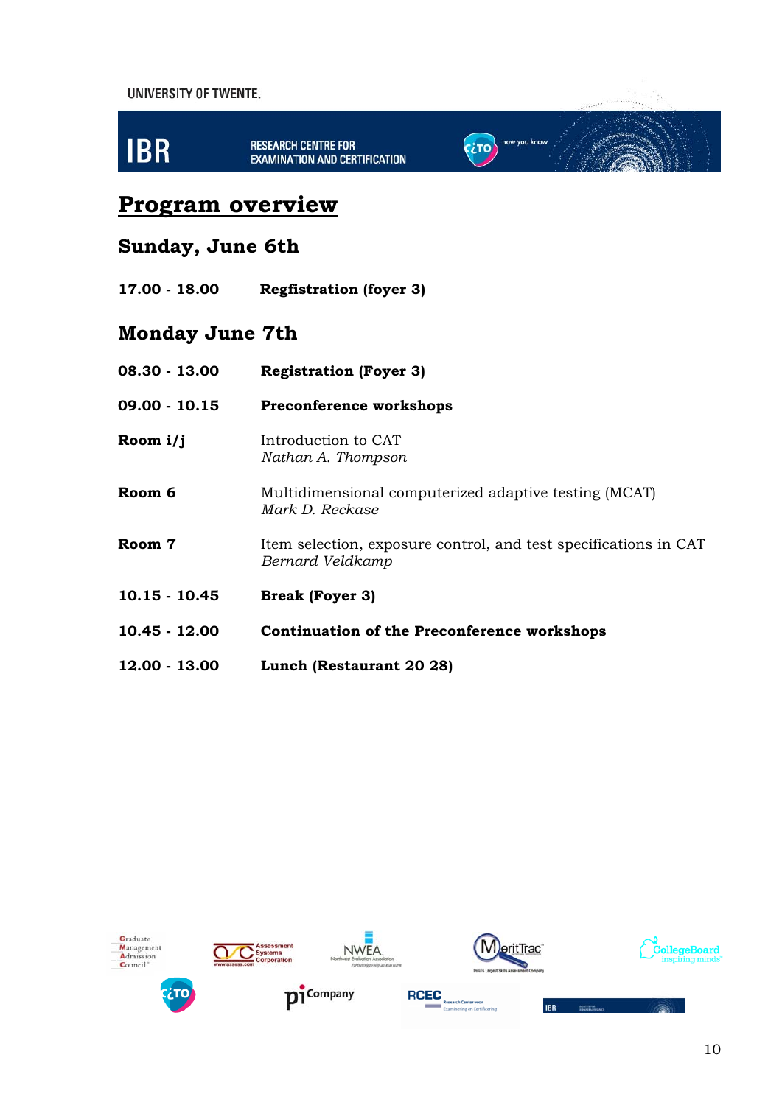

**EXAMINATION AND CERTIFICATION** 

# now you know **CETO**

# **Program overview**

# **Sunday, June 6th**

**17.00 - 18.00 Regfistration (foyer 3)** 

# **Monday June 7th**

| 08.30 - 13.00   | <b>Registration (Foyer 3)</b>                                                        |
|-----------------|--------------------------------------------------------------------------------------|
| 09.00 - 10.15   | <b>Preconference workshops</b>                                                       |
| Room i/j        | Introduction to CAT<br>Nathan A. Thompson                                            |
| Room 6          | Multidimensional computerized adaptive testing (MCAT)<br>Mark D. Reckase             |
| Room 7          | Item selection, exposure control, and test specifications in CAT<br>Bernard Veldkamp |
| $10.15 - 10.45$ | <b>Break (Foyer 3)</b>                                                               |
| 10.45 - 12.00   | <b>Continuation of the Preconference workshops</b>                                   |
| 12.00 - 13.00   | Lunch (Restaurant 20 28)                                                             |









**IBR** 







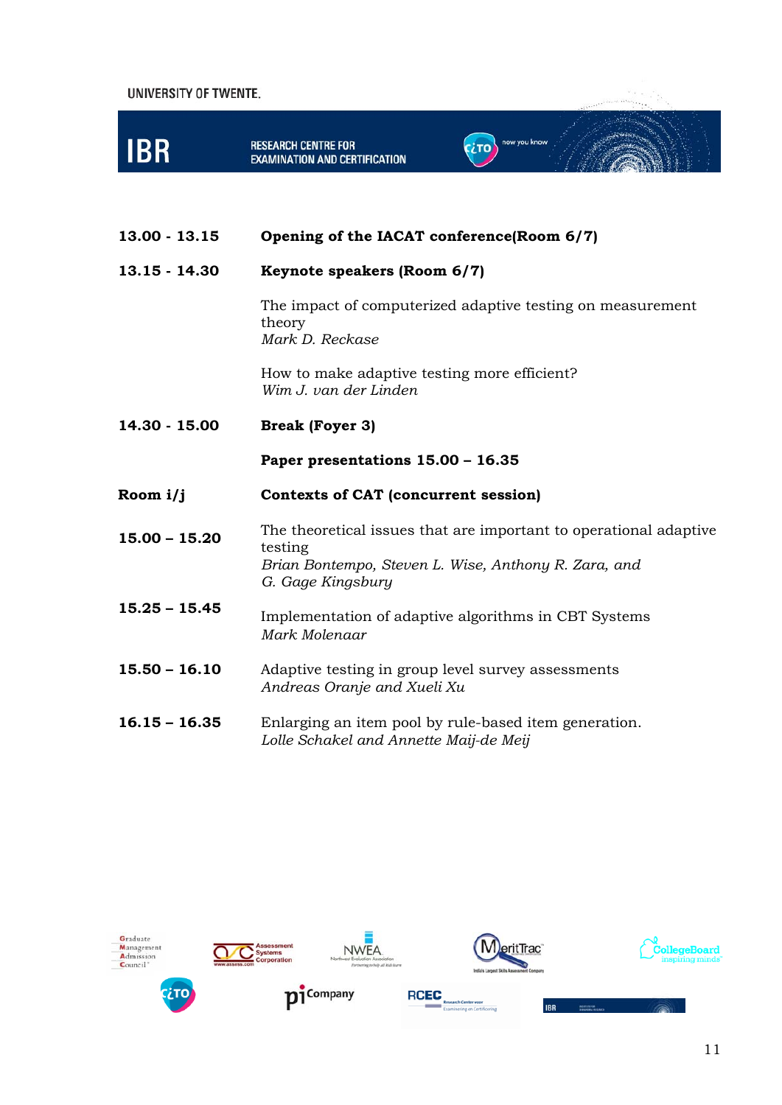| UNIVERSITY OF TWENTE. |                                                                                                                                                           |              |  |
|-----------------------|-----------------------------------------------------------------------------------------------------------------------------------------------------------|--------------|--|
| <b>IBR</b>            | <b>RESEARCH CENTRE FOR</b><br>EXAMINATION AND CERTIFICATION                                                                                               | now you know |  |
| 13.00 - 13.15         | Opening of the IACAT conference(Room 6/7)                                                                                                                 |              |  |
| 13.15 - 14.30         | Keynote speakers (Room 6/7)                                                                                                                               |              |  |
|                       | The impact of computerized adaptive testing on measurement<br>theory<br>Mark D. Reckase                                                                   |              |  |
|                       | How to make adaptive testing more efficient?<br>Wim J. van der Linden                                                                                     |              |  |
| 14.30 - 15.00         | <b>Break (Foyer 3)</b>                                                                                                                                    |              |  |
|                       | Paper presentations 15.00 - 16.35                                                                                                                         |              |  |
| Room i/j              | <b>Contexts of CAT (concurrent session)</b>                                                                                                               |              |  |
| $15.00 - 15.20$       | The theoretical issues that are important to operational adaptive<br>testing<br>Brian Bontempo, Steven L. Wise, Anthony R. Zara, and<br>G. Gage Kingsbury |              |  |
| $15.25 - 15.45$       | Implementation of adaptive algorithms in CBT Systems<br>Mark Molenaar                                                                                     |              |  |
| $15.50 - 16.10$       | Adaptive testing in group level survey assessments<br>Andreas Oranje and Xueli Xu                                                                         |              |  |
| $16.15 - 16.35$       | Enlarging an item pool by rule-based item generation.<br>Lolle Schakel and Annette Maij-de Meij                                                           |              |  |





 $\begin{array}{ccccc}\n\text{IBR} & \text{transverse} & \text{transverse} & \text{resonance} & \text{resonance} & \text{resonance} & \text{resonance} & \text{resonance} & \text{resonance} & \text{resonance} & \text{resonance} & \text{resonance} & \text{resonance} & \text{resonance} & \text{resonance} & \text{resonance} & \text{resonance} & \text{resonance} & \text{resonance} & \text{resonance} & \text{resonance} & \text{resonance} & \text{resonance} & \text{resonance} & \text{resonance} & \text{resonance} & \text{resonance$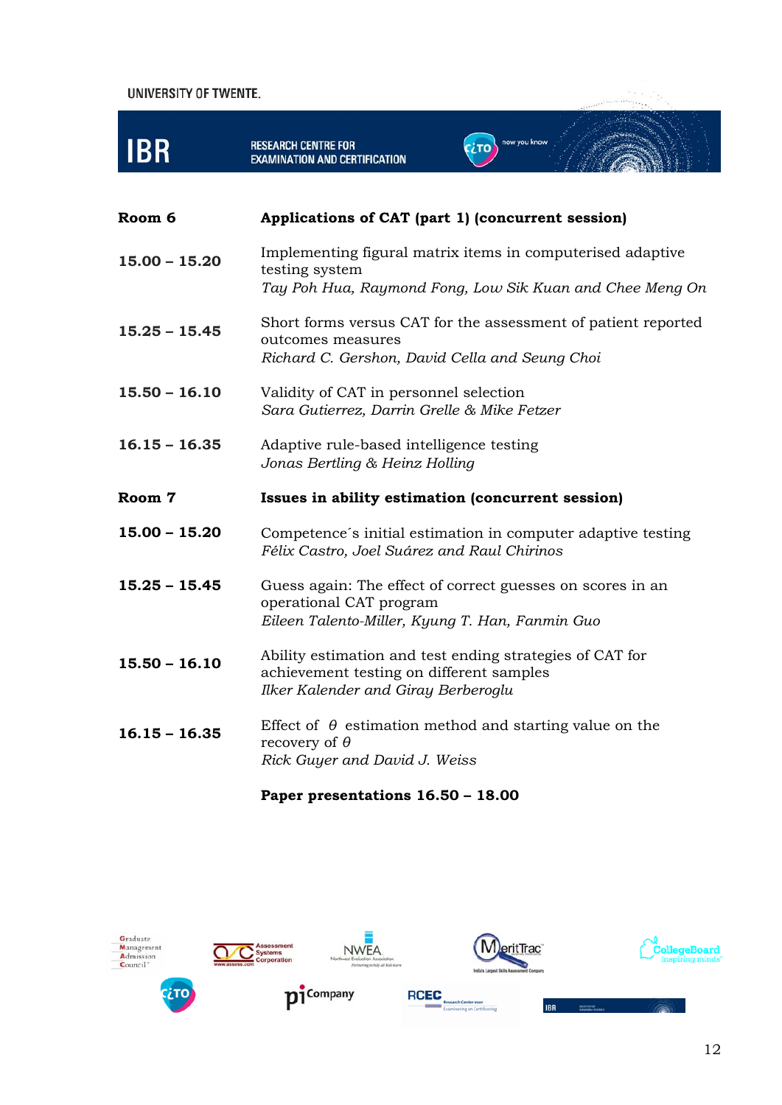| UNIVERSITY OF TWENTE. |                                                                                                                                             |                                                               |
|-----------------------|---------------------------------------------------------------------------------------------------------------------------------------------|---------------------------------------------------------------|
| <b>IBR</b>            | <b>RESEARCH CENTRE FOR</b><br><b>EXAMINATION AND CERTIFICATION</b>                                                                          | now you know                                                  |
| Room 6                | Applications of CAT (part 1) (concurrent session)                                                                                           |                                                               |
| $15.00 - 15.20$       | Implementing figural matrix items in computerised adaptive<br>testing system                                                                | Tay Poh Hua, Raymond Fong, Low Sik Kuan and Chee Meng On      |
| $15.25 - 15.45$       | outcomes measures<br>Richard C. Gershon, David Cella and Seung Choi                                                                         | Short forms versus CAT for the assessment of patient reported |
| $15.50 - 16.10$       | Validity of CAT in personnel selection<br>Sara Gutierrez, Darrin Grelle & Mike Fetzer                                                       |                                                               |
| $16.15 - 16.35$       | Adaptive rule-based intelligence testing<br>Jonas Bertling & Heinz Holling                                                                  |                                                               |
| Room 7                | Issues in ability estimation (concurrent session)                                                                                           |                                                               |
| $15.00 - 15.20$       | Félix Castro, Joel Suárez and Raul Chirinos                                                                                                 | Competence's initial estimation in computer adaptive testing  |
| $15.25 - 15.45$       | Guess again: The effect of correct guesses on scores in an<br>operational CAT program<br>Eileen Talento-Miller, Kyung T. Han, Fanmin Guo    |                                                               |
| $15.50 - 16.10$       | Ability estimation and test ending strategies of CAT for<br>achievement testing on different samples<br>Ilker Kalender and Giray Berberoglu |                                                               |
| $16.15 - 16.35$       | Effect of $\theta$ estimation method and starting value on the<br>recovery of $\theta$<br>Rick Guyer and David J. Weiss                     |                                                               |

### **Paper presentations 16.50 – 18.00**

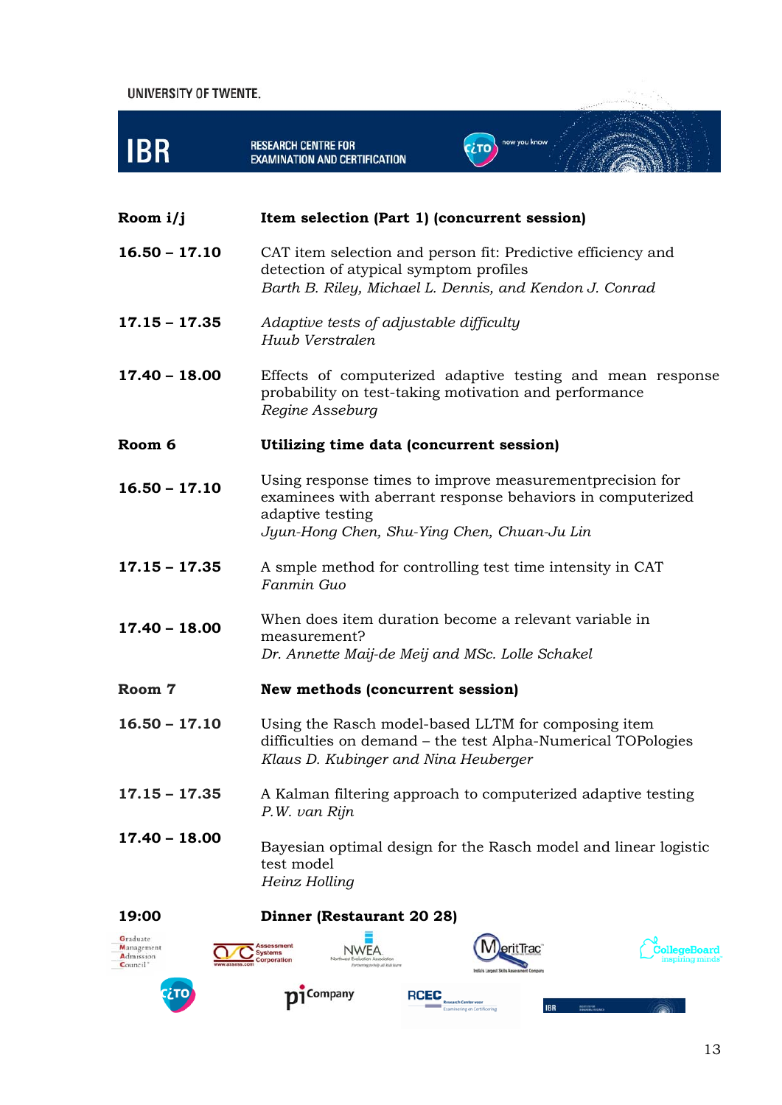



Admission Council<sup>\*</sup>



**RCEC** 

IRD

13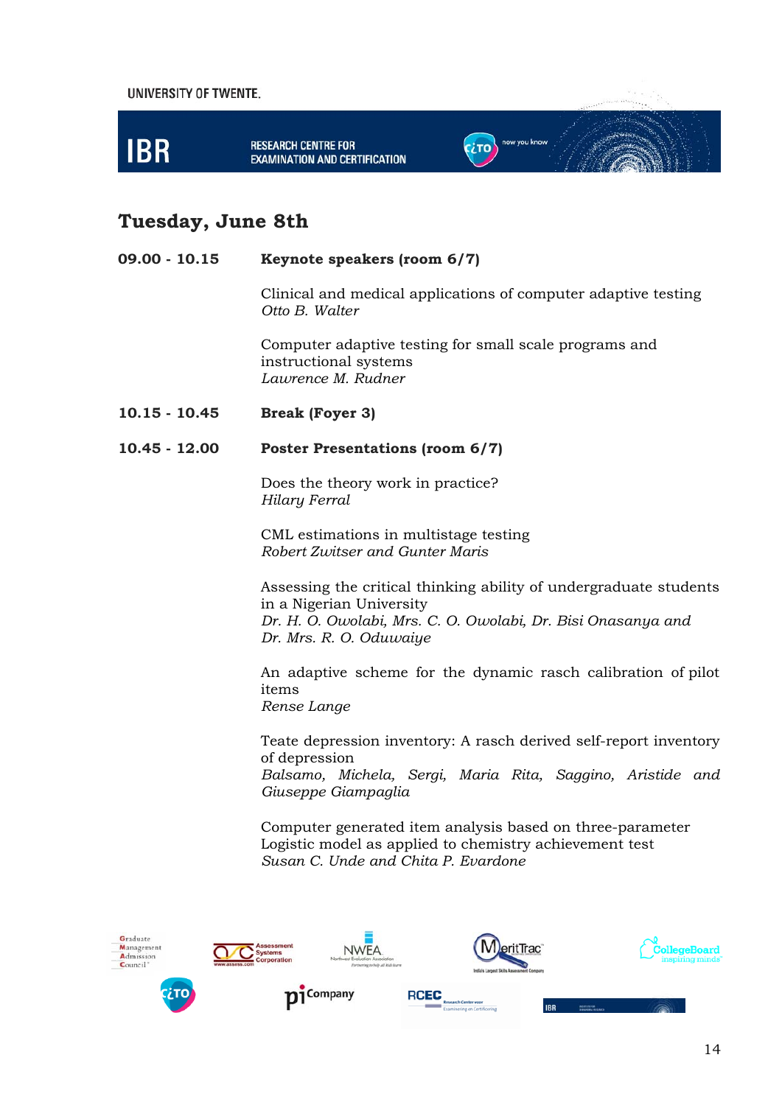

### **Tuesday, June 8th**

#### **09.00 - 10.15 Keynote speakers (room 6/7)**

Clinical and medical applications of computer adaptive testing *Otto B. Walter* 

Computer adaptive testing for small scale programs and instructional systems *Lawrence M. Rudner* 

**10.15 - 10.45 Break (Foyer 3)** 

#### **10.45 - 12.00 Poster Presentations (room 6/7)**

Does the theory work in practice? *Hilary Ferral* 

CML estimations in multistage testing *Robert Zwitser and Gunter Maris* 

Assessing the critical thinking ability of undergraduate students in a Nigerian University *Dr. H. O. Owolabi, Mrs. C. O. Owolabi, Dr. Bisi Onasanya and Dr. Mrs. R. O. Oduwaiye* 

An adaptive scheme for the dynamic rasch calibration of pilot items *Rense Lange* 

Teate depression inventory: A rasch derived self-report inventory of depression *Balsamo, Michela, Sergi, Maria Rita, Saggino, Aristide and Giuseppe Giampaglia* 

Computer generated item analysis based on three-parameter Logistic model as applied to chemistry achievement test *Susan C. Unde and Chita P. Evardone* 

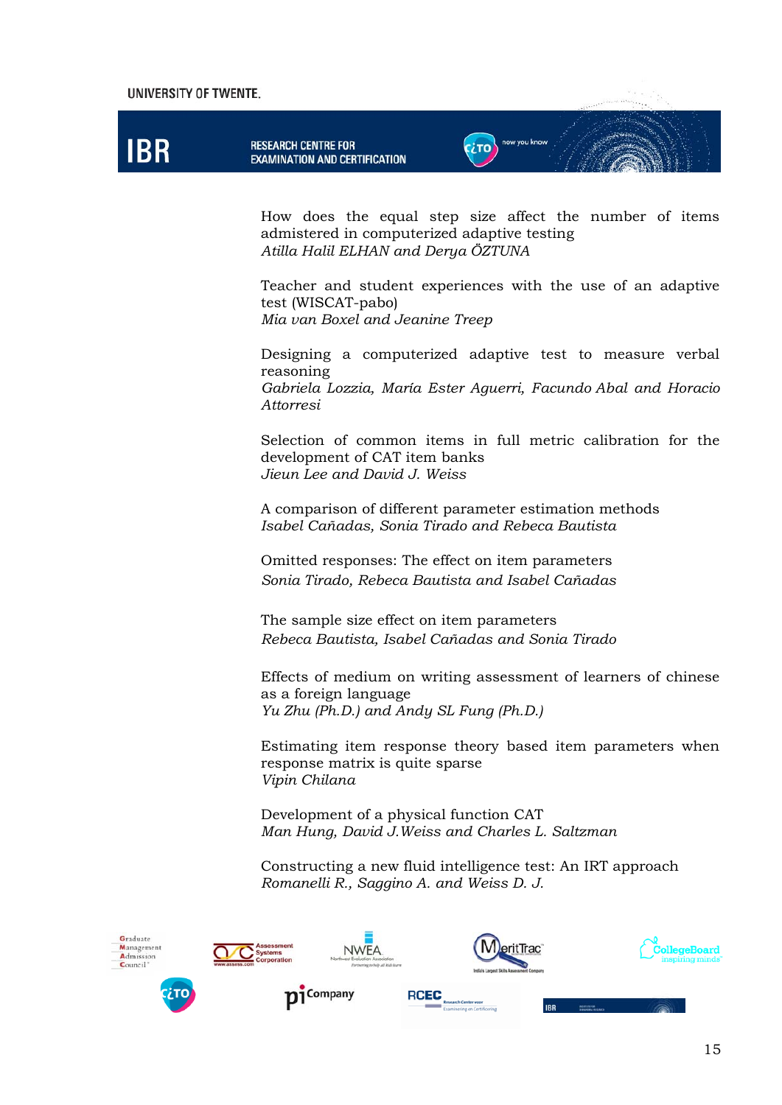# **IBR**

How does the equal step size affect the number of items admistered in computerized adaptive testing *Atilla Halil ELHAN and Derya ÖZTUNA* 

**CETO** 

now you know

Teacher and student experiences with the use of an adaptive test (WISCAT-pabo) *Mia van Boxel and Jeanine Treep* 

Designing a computerized adaptive test to measure verbal reasoning *Gabriela Lozzia, María Ester Aguerri, Facundo Abal and Horacio Attorresi* 

Selection of common items in full metric calibration for the development of CAT item banks *Jieun Lee and David J. Weiss* 

A comparison of different parameter estimation methods *Isabel Cañadas, Sonia Tirado and Rebeca Bautista* 

Omitted responses: The effect on item parameters *Sonia Tirado, Rebeca Bautista and Isabel Cañadas* 

The sample size effect on item parameters *Rebeca Bautista, Isabel Cañadas and Sonia Tirado* 

Effects of medium on writing assessment of learners of chinese as a foreign language *Yu Zhu (Ph.D.) and Andy SL Fung (Ph.D.)* 

Estimating item response theory based item parameters when response matrix is quite sparse *Vipin Chilana* 

Development of a physical function CAT *Man Hung, David J.Weiss and Charles L. Saltzman* 

Constructing a new fluid intelligence test: An IRT approach *Romanelli R., Saggino A. and Weiss D. J.* 

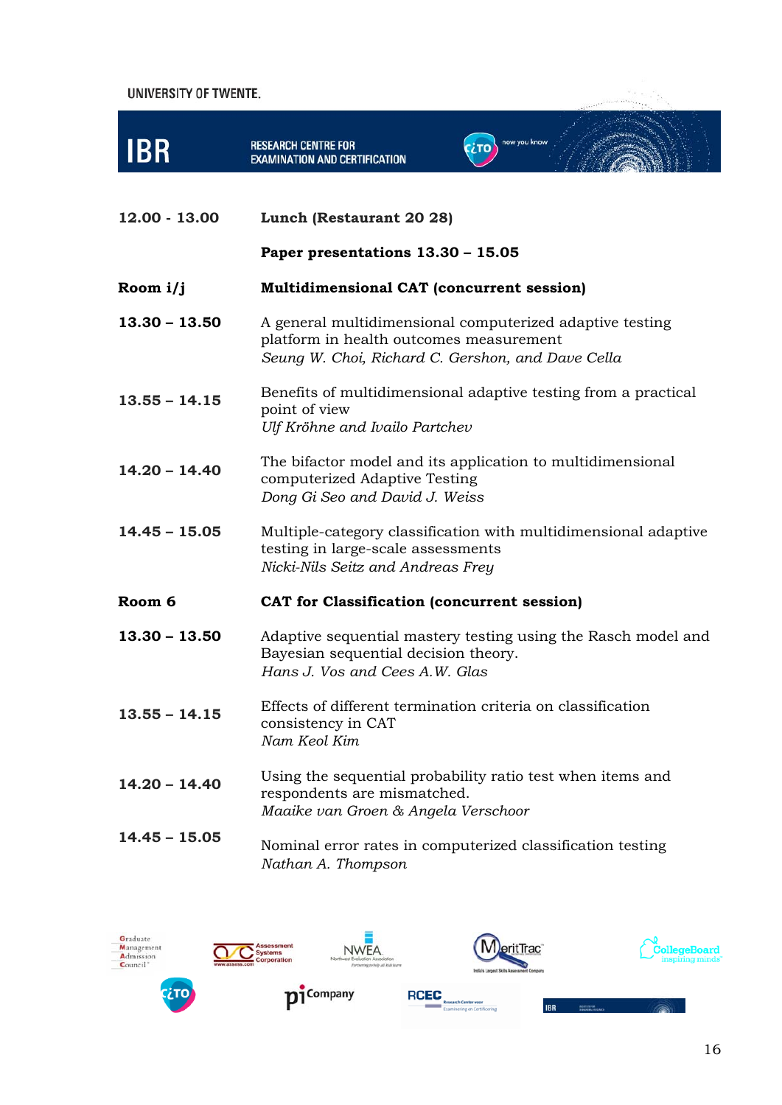

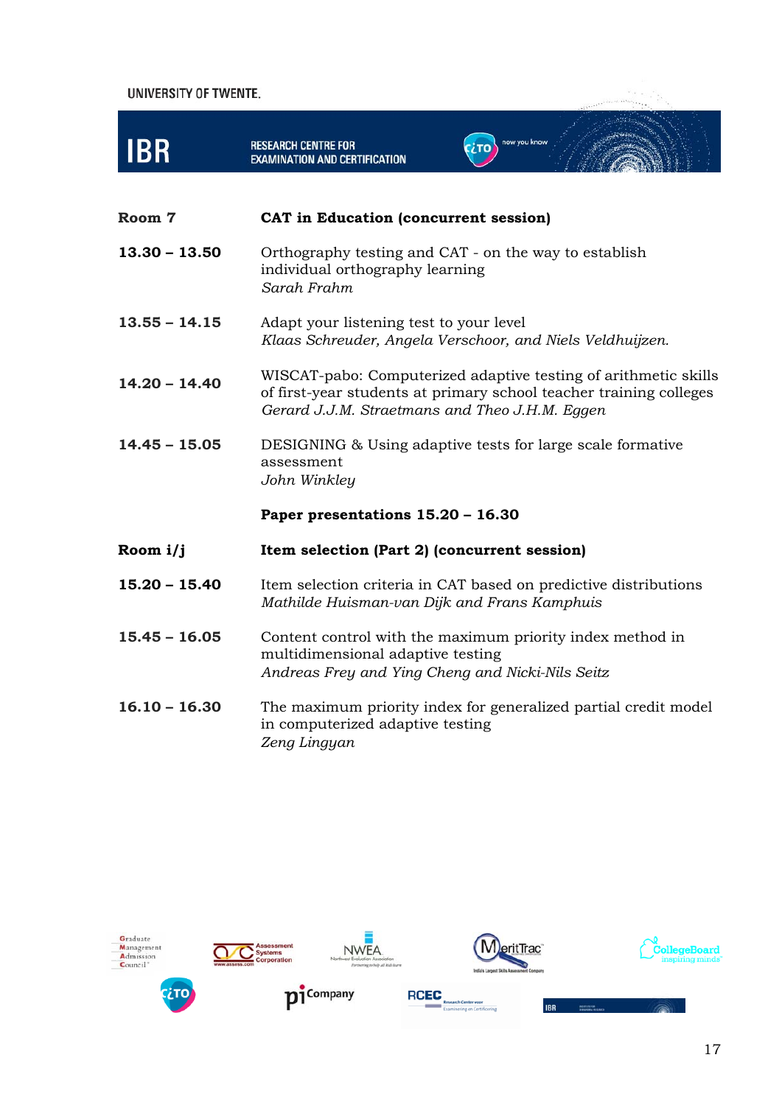

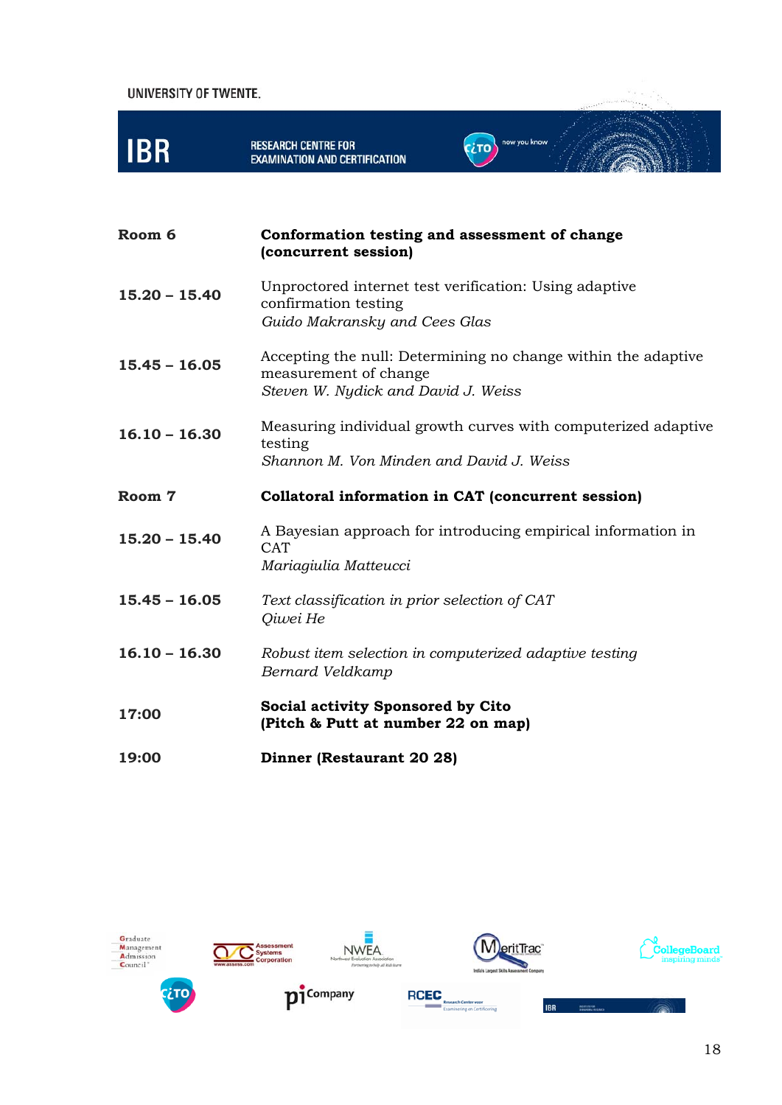

| Room 6          | Conformation testing and assessment of change<br>(concurrent session)                                                         |
|-----------------|-------------------------------------------------------------------------------------------------------------------------------|
| $15.20 - 15.40$ | Unproctored internet test verification: Using adaptive<br>confirmation testing<br>Guido Makransky and Cees Glas               |
| $15.45 - 16.05$ | Accepting the null: Determining no change within the adaptive<br>measurement of change<br>Steven W. Nydick and David J. Weiss |
| $16.10 - 16.30$ | Measuring individual growth curves with computerized adaptive<br>testing<br>Shannon M. Von Minden and David J. Weiss          |
| Room 7          | Collatoral information in CAT (concurrent session)                                                                            |
| $15.20 - 15.40$ | A Bayesian approach for introducing empirical information in<br><b>CAT</b><br>Mariagiulia Matteucci                           |
| $15.45 - 16.05$ | Text classification in prior selection of CAT<br>Qiwei He                                                                     |
| $16.10 - 16.30$ | Robust item selection in computerized adaptive testing<br>Bernard Veldkamp                                                    |
| 17:00           | <b>Social activity Sponsored by Cito</b><br>(Pitch & Putt at number 22 on map)                                                |
| 19:00           | Dinner (Restaurant 20 28)                                                                                                     |









IBR









ang langsing.<br>Sanggunian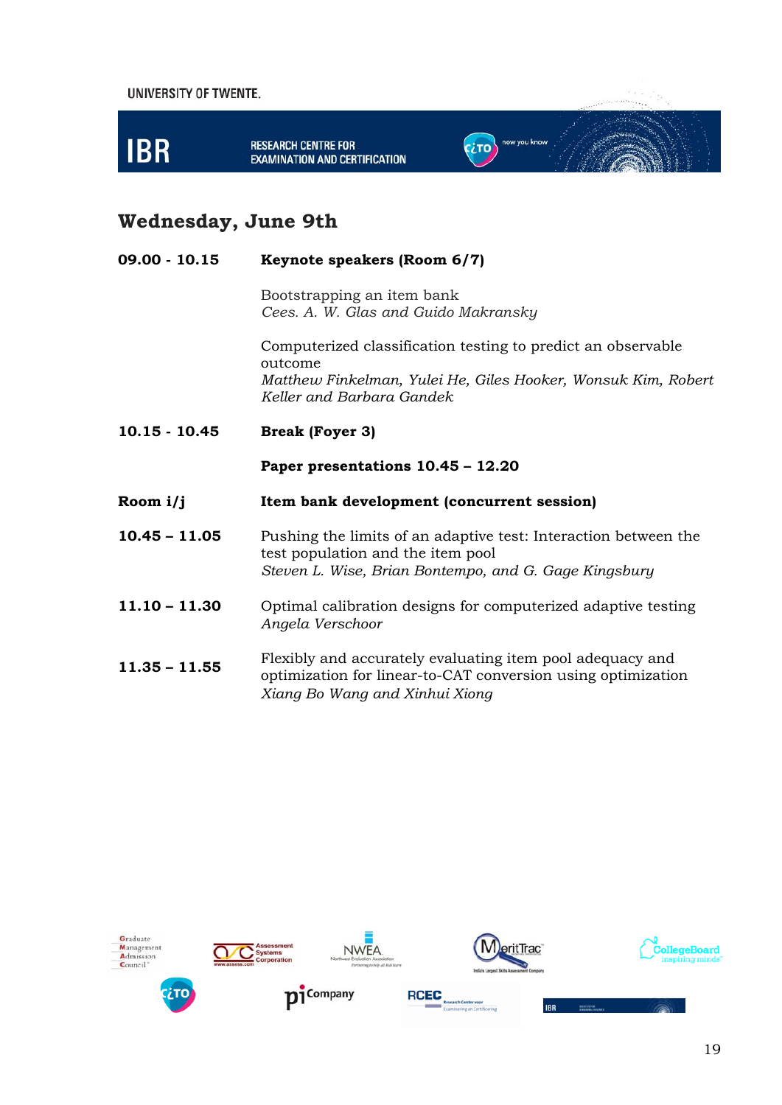

# **Wednesday, June 9th**

| $09.00 - 10.15$ | Keynote speakers (Room 6/7)                                                                                                                                           |
|-----------------|-----------------------------------------------------------------------------------------------------------------------------------------------------------------------|
|                 | Bootstrapping an item bank<br>Cees. A. W. Glas and Guido Makransky                                                                                                    |
|                 | Computerized classification testing to predict an observable<br>outcome<br>Matthew Finkelman, Yulei He, Giles Hooker, Wonsuk Kim, Robert<br>Keller and Barbara Gandek |
| $10.15 - 10.45$ | <b>Break (Foyer 3)</b>                                                                                                                                                |
|                 | Paper presentations 10.45 - 12.20                                                                                                                                     |
| Room $i/j$      | Item bank development (concurrent session)                                                                                                                            |
| $10.45 - 11.05$ | Pushing the limits of an adaptive test: Interaction between the<br>test population and the item pool<br>Steven L. Wise, Brian Bontempo, and G. Gage Kingsbury         |
| $11.10 - 11.30$ | Optimal calibration designs for computerized adaptive testing<br>Angela Verschoor                                                                                     |
| $11.35 - 11.55$ | Flexibly and accurately evaluating item pool adequacy and<br>optimization for linear-to-CAT conversion using optimization<br>Xiang Bo Wang and Xinhui Xiong           |

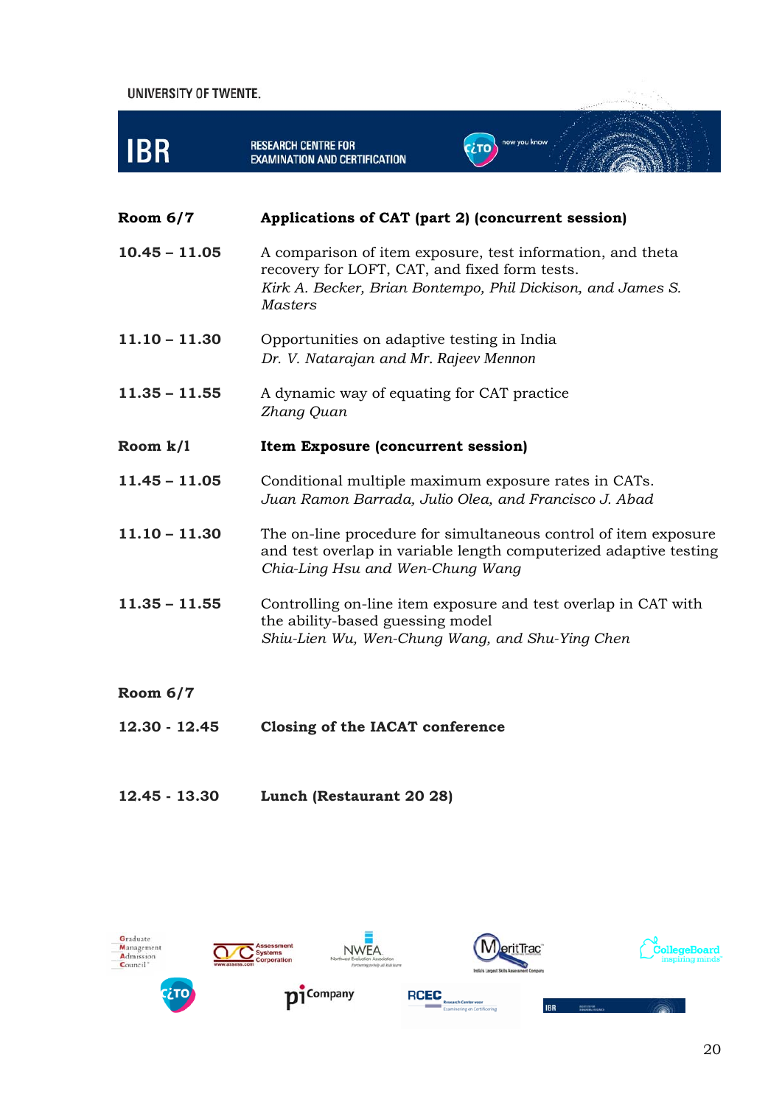

- 
- **12.45 13.30 Lunch (Restaurant 20 28)**

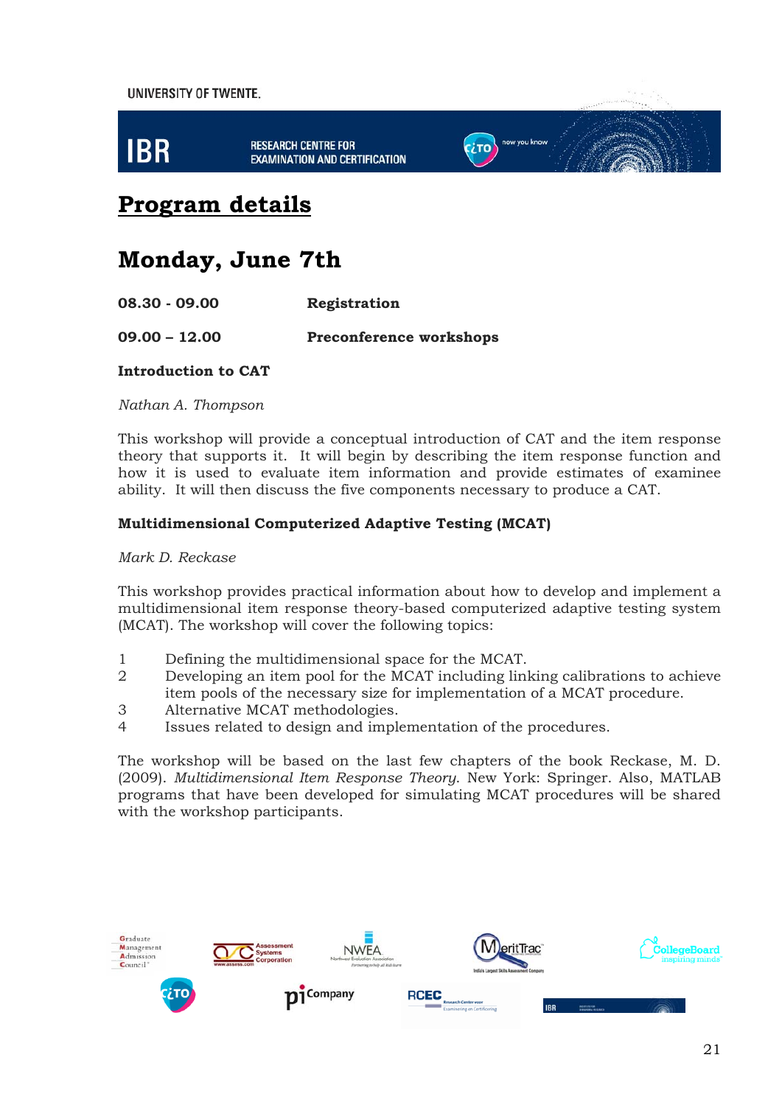

# **Program details**

# **Monday, June 7th**

**08.30 - 09.00 Registration** 

**09.00 – 12.00 Preconference workshops** 

#### **Introduction to CAT**

*Nathan A. Thompson* 

This workshop will provide a conceptual introduction of CAT and the item response theory that supports it. It will begin by describing the item response function and how it is used to evaluate item information and provide estimates of examinee ability. It will then discuss the five components necessary to produce a CAT.

#### **Multidimensional Computerized Adaptive Testing (MCAT)**

*Mark D. Reckase* 

This workshop provides practical information about how to develop and implement a multidimensional item response theory-based computerized adaptive testing system (MCAT). The workshop will cover the following topics:

- 1 Defining the multidimensional space for the MCAT.
- 2 Developing an item pool for the MCAT including linking calibrations to achieve item pools of the necessary size for implementation of a MCAT procedure.
- 3 Alternative MCAT methodologies.
- 4 Issues related to design and implementation of the procedures.

The workshop will be based on the last few chapters of the book Reckase, M. D. (2009). *Multidimensional Item Response Theory*. New York: Springer. Also, MATLAB programs that have been developed for simulating MCAT procedures will be shared with the workshop participants.

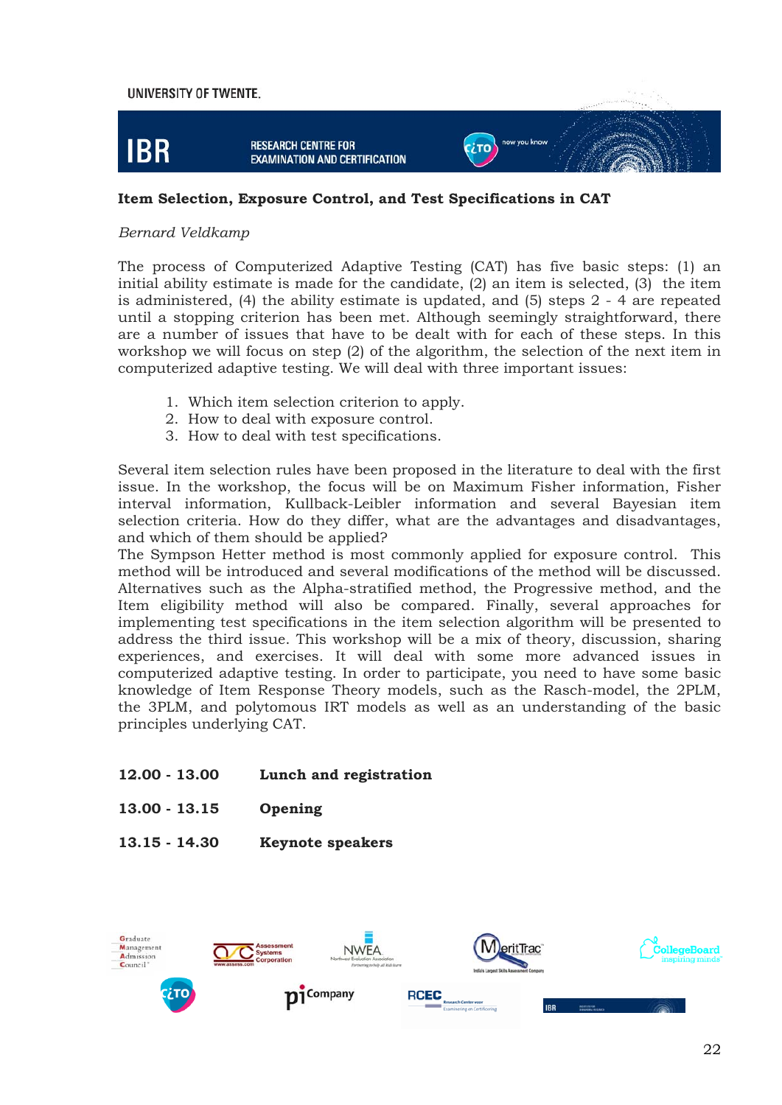

#### **Item Selection, Exposure Control, and Test Specifications in CAT**

#### *Bernard Veldkamp*

The process of Computerized Adaptive Testing (CAT) has five basic steps: (1) an initial ability estimate is made for the candidate, (2) an item is selected, (3) the item is administered, (4) the ability estimate is updated, and (5) steps 2 - 4 are repeated until a stopping criterion has been met. Although seemingly straightforward, there are a number of issues that have to be dealt with for each of these steps. In this workshop we will focus on step (2) of the algorithm, the selection of the next item in computerized adaptive testing. We will deal with three important issues:

- 1. Which item selection criterion to apply.
- 2. How to deal with exposure control.
- 3. How to deal with test specifications.

Several item selection rules have been proposed in the literature to deal with the first issue. In the workshop, the focus will be on Maximum Fisher information, Fisher interval information, Kullback-Leibler information and several Bayesian item selection criteria. How do they differ, what are the advantages and disadvantages, and which of them should be applied?

The Sympson Hetter method is most commonly applied for exposure control. This method will be introduced and several modifications of the method will be discussed. Alternatives such as the Alpha-stratified method, the Progressive method, and the Item eligibility method will also be compared. Finally, several approaches for implementing test specifications in the item selection algorithm will be presented to address the third issue. This workshop will be a mix of theory, discussion, sharing experiences, and exercises. It will deal with some more advanced issues in computerized adaptive testing. In order to participate, you need to have some basic knowledge of Item Response Theory models, such as the Rasch-model, the 2PLM, the 3PLM, and polytomous IRT models as well as an understanding of the basic principles underlying CAT.

- **12.00 13.00 Lunch and registration**
- **13.00 13.15 Opening**
- **13.15 14.30 Keynote speakers**

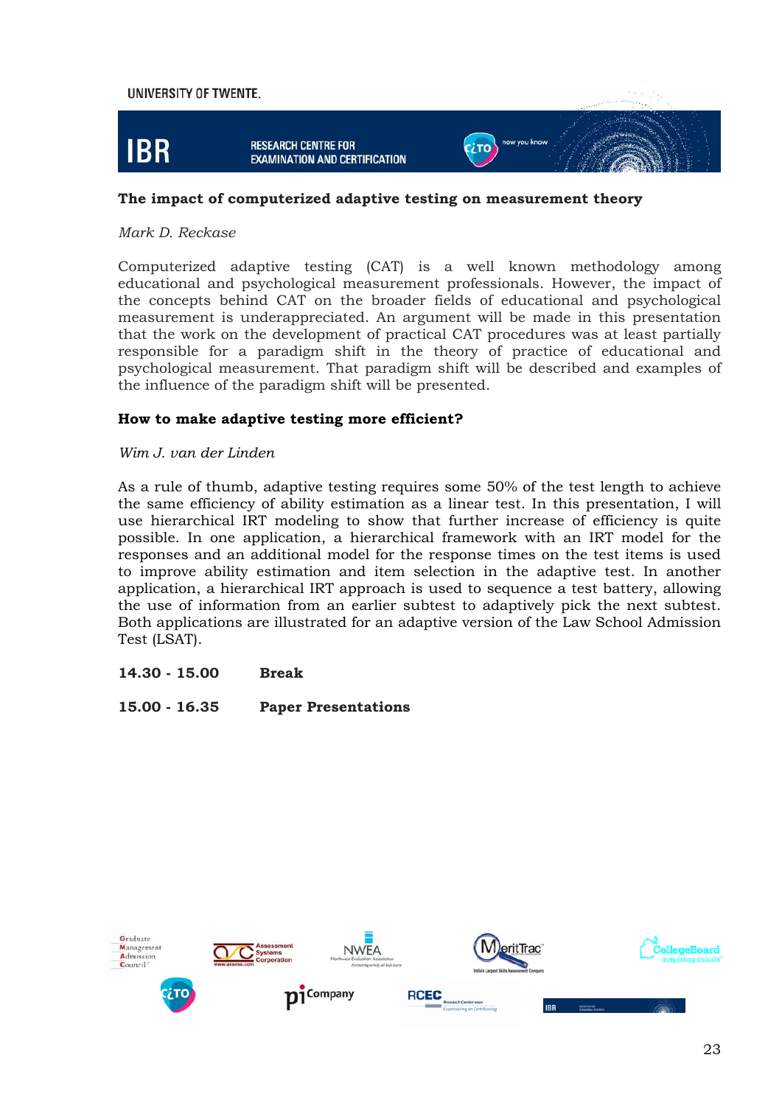

#### **The impact of computerized adaptive testing on measurement theory**

#### *Mark D. Reckase*

Computerized adaptive testing (CAT) is a well known methodology among educational and psychological measurement professionals. However, the impact of the concepts behind CAT on the broader fields of educational and psychological measurement is underappreciated. An argument will be made in this presentation that the work on the development of practical CAT procedures was at least partially responsible for a paradigm shift in the theory of practice of educational and psychological measurement. That paradigm shift will be described and examples of the influence of the paradigm shift will be presented.

#### **How to make adaptive testing more efficient?**

#### *Wim J. van der Linden*

As a rule of thumb, adaptive testing requires some 50% of the test length to achieve the same efficiency of ability estimation as a linear test. In this presentation, I will use hierarchical IRT modeling to show that further increase of efficiency is quite possible. In one application, a hierarchical framework with an IRT model for the responses and an additional model for the response times on the test items is used to improve ability estimation and item selection in the adaptive test. In another application, a hierarchical IRT approach is used to sequence a test battery, allowing the use of information from an earlier subtest to adaptively pick the next subtest. Both applications are illustrated for an adaptive version of the Law School Admission Test (LSAT).

#### **14.30 - 15.00 Break**

**15.00 - 16.35 Paper Presentations** 

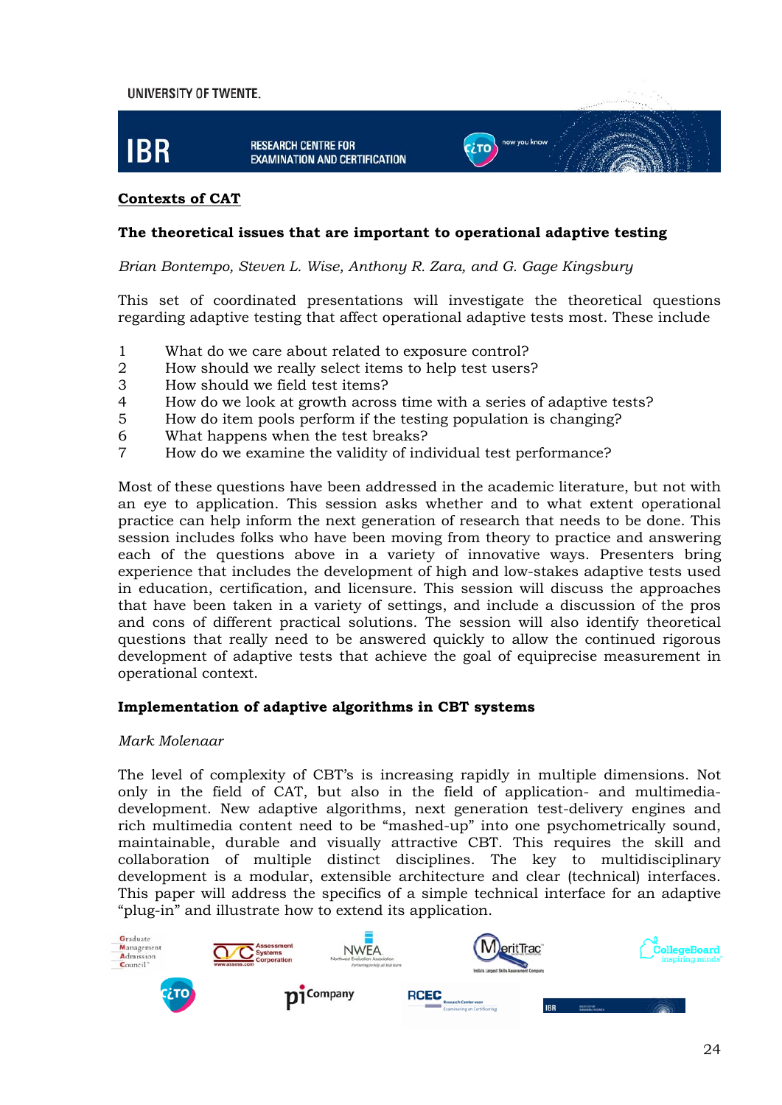

#### **Contexts of CAT**

#### **The theoretical issues that are important to operational adaptive testing**

*Brian Bontempo, Steven L. Wise, Anthony R. Zara, and G. Gage Kingsbury* 

This set of coordinated presentations will investigate the theoretical questions regarding adaptive testing that affect operational adaptive tests most. These include

- 1 What do we care about related to exposure control?
- 2 How should we really select items to help test users?
- 3 How should we field test items?
- 4 How do we look at growth across time with a series of adaptive tests?
- 5 How do item pools perform if the testing population is changing?
- 6 What happens when the test breaks?
- 7 How do we examine the validity of individual test performance?

Most of these questions have been addressed in the academic literature, but not with an eye to application. This session asks whether and to what extent operational practice can help inform the next generation of research that needs to be done. This session includes folks who have been moving from theory to practice and answering each of the questions above in a variety of innovative ways. Presenters bring experience that includes the development of high and low-stakes adaptive tests used in education, certification, and licensure. This session will discuss the approaches that have been taken in a variety of settings, and include a discussion of the pros and cons of different practical solutions. The session will also identify theoretical questions that really need to be answered quickly to allow the continued rigorous development of adaptive tests that achieve the goal of equiprecise measurement in operational context.

#### **Implementation of adaptive algorithms in CBT systems**

#### *Mark Molenaar*

The level of complexity of CBT's is increasing rapidly in multiple dimensions. Not only in the field of CAT, but also in the field of application- and multimediadevelopment. New adaptive algorithms, next generation test-delivery engines and rich multimedia content need to be "mashed-up" into one psychometrically sound, maintainable, durable and visually attractive CBT. This requires the skill and collaboration of multiple distinct disciplines. The key to multidisciplinary development is a modular, extensible architecture and clear (technical) interfaces. This paper will address the specifics of a simple technical interface for an adaptive "plug-in" and illustrate how to extend its application.

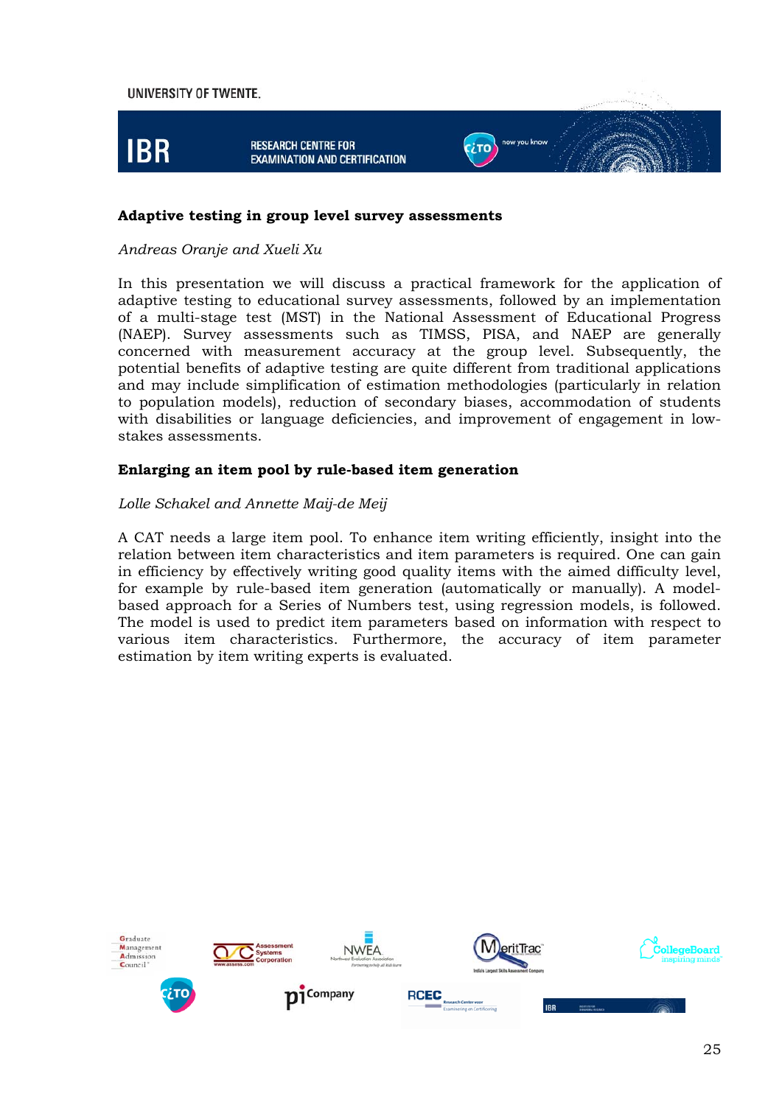

#### **Adaptive testing in group level survey assessments**

#### *Andreas Oranje and Xueli Xu*

In this presentation we will discuss a practical framework for the application of adaptive testing to educational survey assessments, followed by an implementation of a multi-stage test (MST) in the National Assessment of Educational Progress (NAEP). Survey assessments such as TIMSS, PISA, and NAEP are generally concerned with measurement accuracy at the group level. Subsequently, the potential benefits of adaptive testing are quite different from traditional applications and may include simplification of estimation methodologies (particularly in relation to population models), reduction of secondary biases, accommodation of students with disabilities or language deficiencies, and improvement of engagement in lowstakes assessments.

#### **Enlarging an item pool by rule-based item generation**

#### *Lolle Schakel and Annette Maij-de Meij*

A CAT needs a large item pool. To enhance item writing efficiently, insight into the relation between item characteristics and item parameters is required. One can gain in efficiency by effectively writing good quality items with the aimed difficulty level, for example by rule-based item generation (automatically or manually). A modelbased approach for a Series of Numbers test, using regression models, is followed. The model is used to predict item parameters based on information with respect to various item characteristics. Furthermore, the accuracy of item parameter estimation by item writing experts is evaluated.

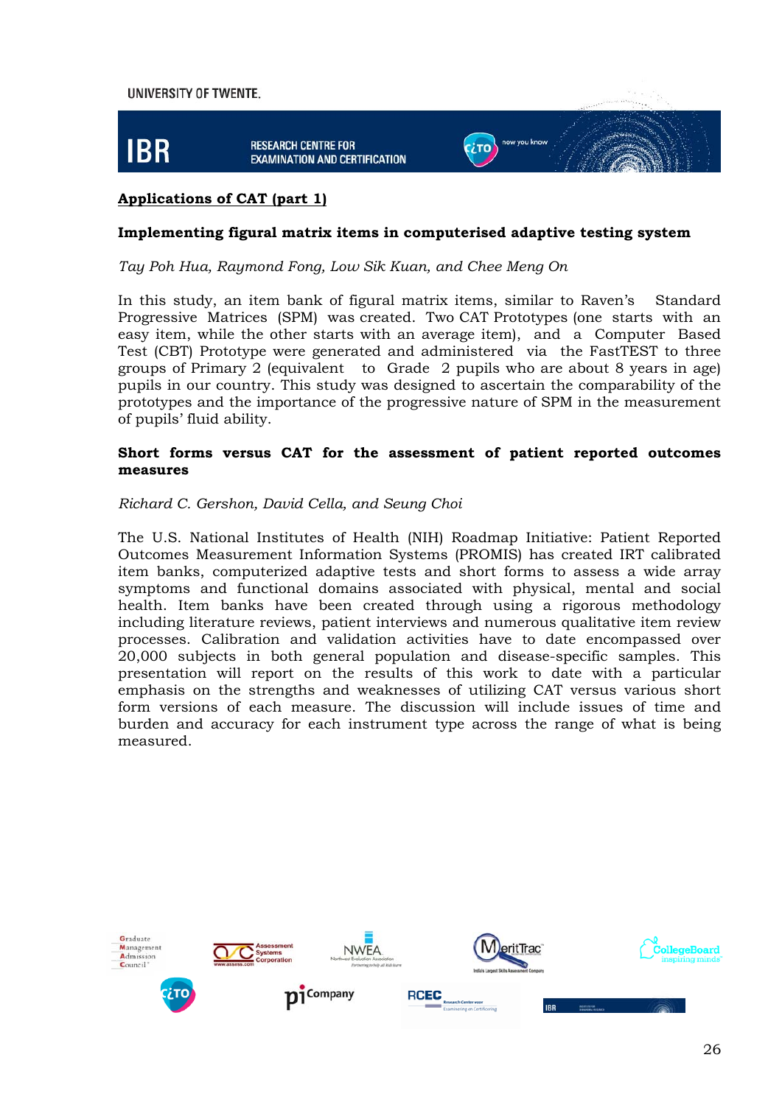

#### **Applications of CAT (part 1)**

#### **Implementing figural matrix items in computerised adaptive testing system**

#### *Tay Poh Hua, Raymond Fong, Low Sik Kuan, and Chee Meng On*

In this study, an item bank of figural matrix items, similar to Raven's Standard Progressive Matrices (SPM) was created. Two CAT Prototypes (one starts with an easy item, while the other starts with an average item), and a Computer Based Test (CBT) Prototype were generated and administered via the FastTEST to three groups of Primary 2 (equivalent to Grade 2 pupils who are about 8 years in age) pupils in our country. This study was designed to ascertain the comparability of the prototypes and the importance of the progressive nature of SPM in the measurement of pupils' fluid ability.

#### **Short forms versus CAT for the assessment of patient reported outcomes measures**

#### *Richard C. Gershon, David Cella, and Seung Choi*

The U.S. National Institutes of Health (NIH) Roadmap Initiative: Patient Reported Outcomes Measurement Information Systems (PROMIS) has created IRT calibrated item banks, computerized adaptive tests and short forms to assess a wide array symptoms and functional domains associated with physical, mental and social health. Item banks have been created through using a rigorous methodology including literature reviews, patient interviews and numerous qualitative item review processes. Calibration and validation activities have to date encompassed over 20,000 subjects in both general population and disease-specific samples. This presentation will report on the results of this work to date with a particular emphasis on the strengths and weaknesses of utilizing CAT versus various short form versions of each measure. The discussion will include issues of time and burden and accuracy for each instrument type across the range of what is being measured.

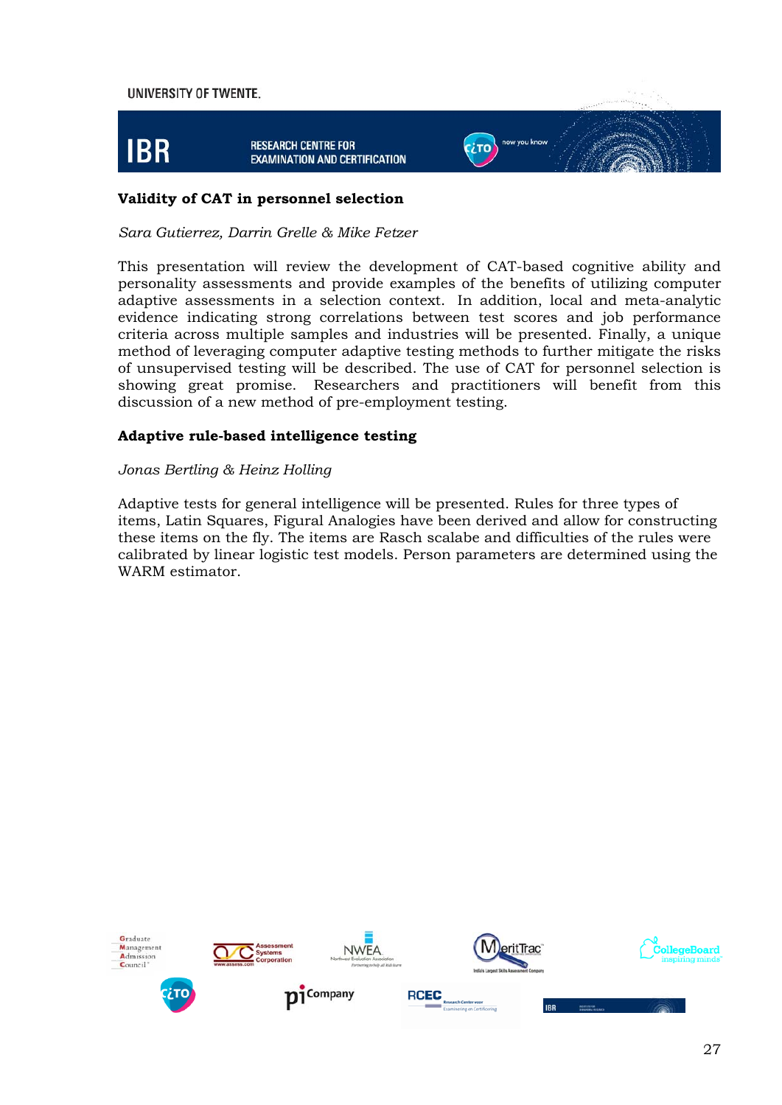

#### **Validity of CAT in personnel selection**

*Sara Gutierrez, Darrin Grelle & Mike Fetzer* 

This presentation will review the development of CAT-based cognitive ability and personality assessments and provide examples of the benefits of utilizing computer adaptive assessments in a selection context. In addition, local and meta-analytic evidence indicating strong correlations between test scores and job performance criteria across multiple samples and industries will be presented. Finally, a unique method of leveraging computer adaptive testing methods to further mitigate the risks of unsupervised testing will be described. The use of CAT for personnel selection is showing great promise. Researchers and practitioners will benefit from this discussion of a new method of pre-employment testing.

#### **Adaptive rule-based intelligence testing**

#### *Jonas Bertling & Heinz Holling*

Adaptive tests for general intelligence will be presented. Rules for three types of items, Latin Squares, Figural Analogies have been derived and allow for constructing these items on the fly. The items are Rasch scalabe and difficulties of the rules were calibrated by linear logistic test models. Person parameters are determined using the WARM estimator.

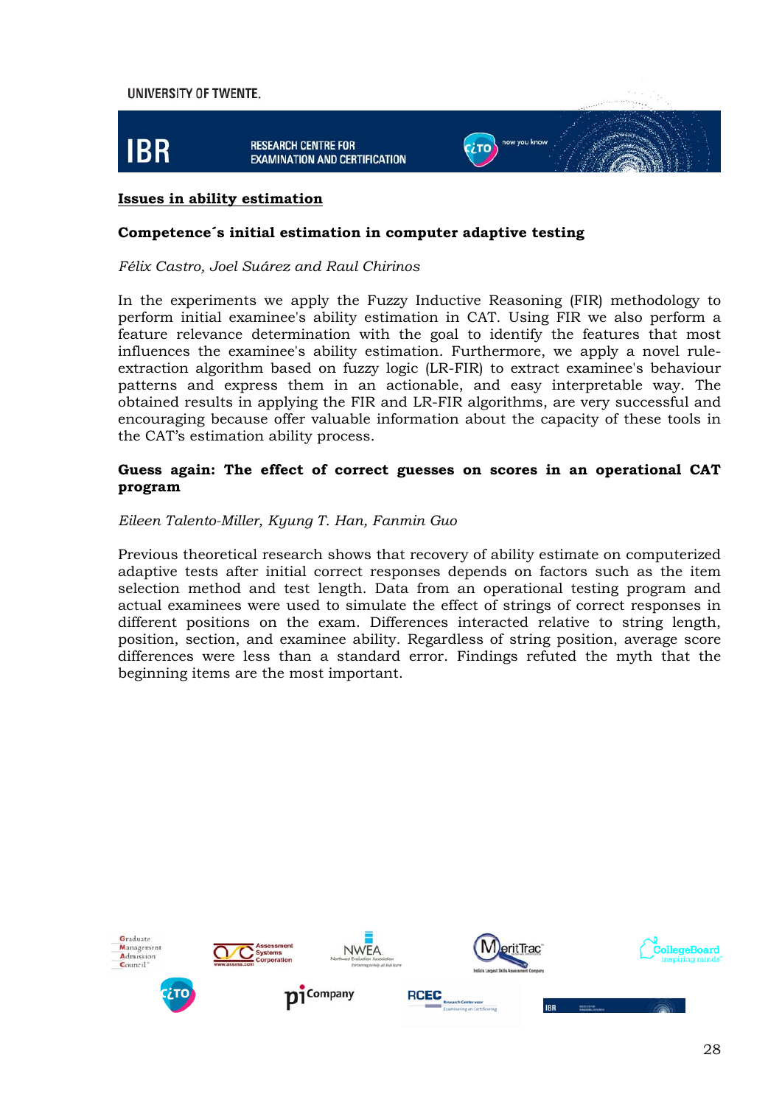

#### **Issues in ability estimation**

#### **Competence´s initial estimation in computer adaptive testing**

#### *Félix Castro, Joel Suárez and Raul Chirinos*

In the experiments we apply the Fuzzy Inductive Reasoning (FIR) methodology to perform initial examinee's ability estimation in CAT. Using FIR we also perform a feature relevance determination with the goal to identify the features that most influences the examinee's ability estimation. Furthermore, we apply a novel ruleextraction algorithm based on fuzzy logic (LR-FIR) to extract examinee's behaviour patterns and express them in an actionable, and easy interpretable way. The obtained results in applying the FIR and LR-FIR algorithms, are very successful and encouraging because offer valuable information about the capacity of these tools in the CAT's estimation ability process.

#### **Guess again: The effect of correct guesses on scores in an operational CAT program**

#### *Eileen Talento-Miller, Kyung T. Han, Fanmin Guo*

Previous theoretical research shows that recovery of ability estimate on computerized adaptive tests after initial correct responses depends on factors such as the item selection method and test length. Data from an operational testing program and actual examinees were used to simulate the effect of strings of correct responses in different positions on the exam. Differences interacted relative to string length, position, section, and examinee ability. Regardless of string position, average score differences were less than a standard error. Findings refuted the myth that the beginning items are the most important.

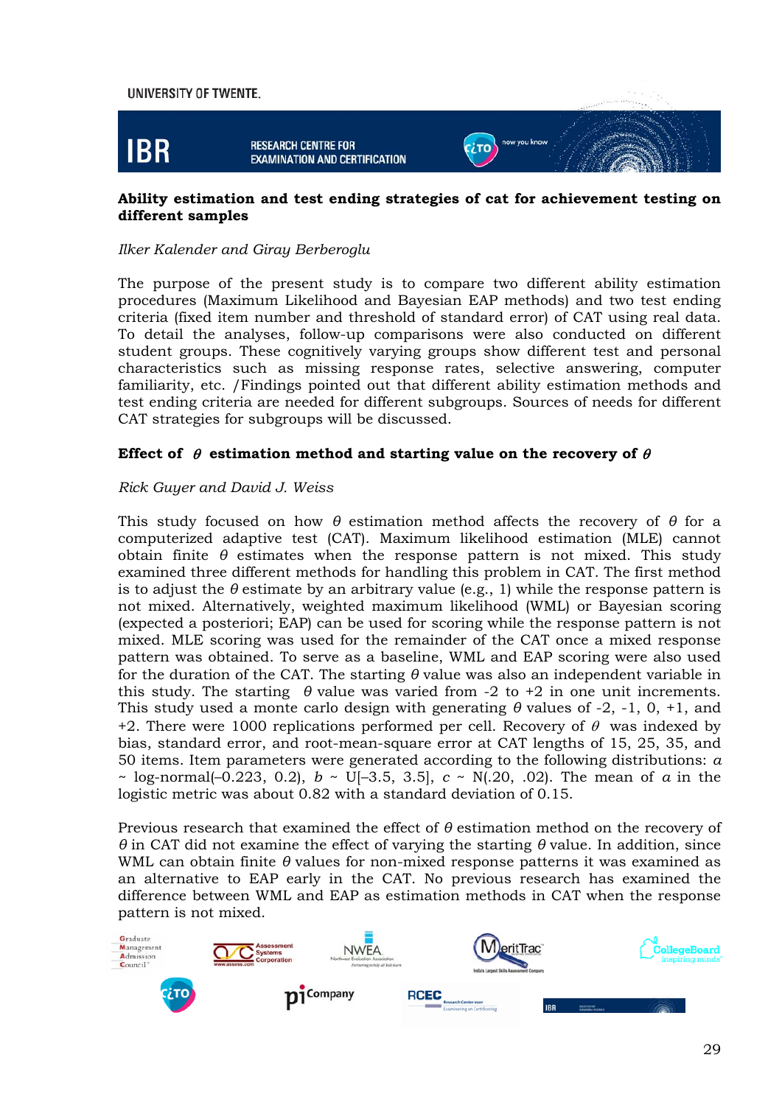

#### **Ability estimation and test ending strategies of cat for achievement testing on different samples**

#### *Ilker Kalender and Giray Berberoglu*

The purpose of the present study is to compare two different ability estimation procedures (Maximum Likelihood and Bayesian EAP methods) and two test ending criteria (fixed item number and threshold of standard error) of CAT using real data. To detail the analyses, follow-up comparisons were also conducted on different student groups. These cognitively varying groups show different test and personal characteristics such as missing response rates, selective answering, computer familiarity, etc. /Findings pointed out that different ability estimation methods and test ending criteria are needed for different subgroups. Sources of needs for different CAT strategies for subgroups will be discussed.

#### **Effect of**  $\theta$  estimation method and starting value on the recovery of  $\theta$

#### *Rick Guyer and David J. Weiss*

This study focused on how *θ* estimation method affects the recovery of *θ* for a computerized adaptive test (CAT). Maximum likelihood estimation (MLE) cannot obtain finite *θ* estimates when the response pattern is not mixed. This study examined three different methods for handling this problem in CAT. The first method is to adjust the  $\theta$  estimate by an arbitrary value (e.g., 1) while the response pattern is not mixed. Alternatively, weighted maximum likelihood (WML) or Bayesian scoring (expected a posteriori; EAP) can be used for scoring while the response pattern is not mixed. MLE scoring was used for the remainder of the CAT once a mixed response pattern was obtained. To serve as a baseline, WML and EAP scoring were also used for the duration of the CAT. The starting *θ* value was also an independent variable in this study. The starting  $\theta$  value was varied from -2 to +2 in one unit increments. This study used a monte carlo design with generating *θ* values of -2, -1, 0, +1, and +2. There were 1000 replications performed per cell. Recovery of  $\theta$  was indexed by bias, standard error, and root-mean-square error at CAT lengths of 15, 25, 35, and 50 items. Item parameters were generated according to the following distributions: *a* ~ log-normal(–0.223, 0.2), *b* ~ U[–3.5, 3.5], *c* ~ N(.20, .02). The mean of *a* in the logistic metric was about 0.82 with a standard deviation of 0.15.

Previous research that examined the effect of *θ* estimation method on the recovery of *θ* in CAT did not examine the effect of varying the starting *θ* value. In addition, since WML can obtain finite *θ* values for non-mixed response patterns it was examined as an alternative to EAP early in the CAT. No previous research has examined the difference between WML and EAP as estimation methods in CAT when the response pattern is not mixed.

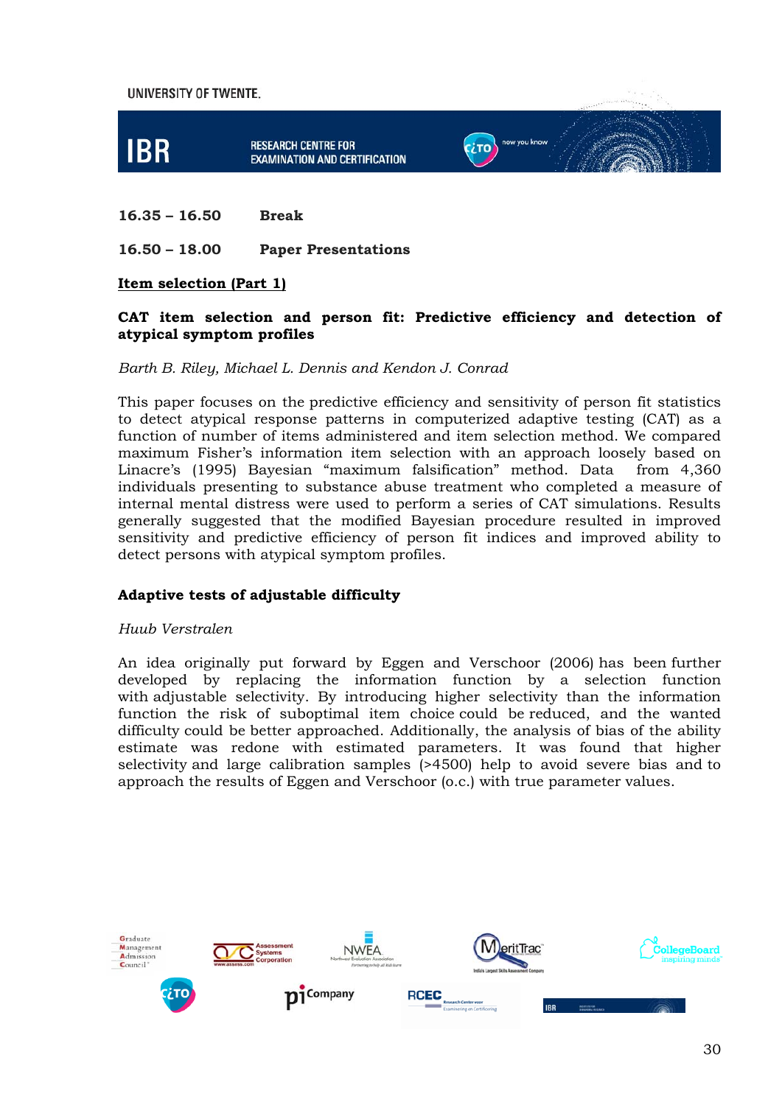

#### **16.35 – 16.50 Break**

#### **16.50 – 18.00 Paper Presentations**

#### **Item selection (Part 1)**

#### **CAT item selection and person fit: Predictive efficiency and detection of atypical symptom profiles**

#### *Barth B. Riley, Michael L. Dennis and Kendon J. Conrad*

This paper focuses on the predictive efficiency and sensitivity of person fit statistics to detect atypical response patterns in computerized adaptive testing (CAT) as a function of number of items administered and item selection method. We compared maximum Fisher's information item selection with an approach loosely based on Linacre's (1995) Bayesian "maximum falsification" method. Data from 4,360 individuals presenting to substance abuse treatment who completed a measure of internal mental distress were used to perform a series of CAT simulations. Results generally suggested that the modified Bayesian procedure resulted in improved sensitivity and predictive efficiency of person fit indices and improved ability to detect persons with atypical symptom profiles.

#### **Adaptive tests of adjustable difficulty**

#### *Huub Verstralen*

An idea originally put forward by Eggen and Verschoor (2006) has been further developed by replacing the information function by a selection function with adjustable selectivity. By introducing higher selectivity than the information function the risk of suboptimal item choice could be reduced, and the wanted difficulty could be better approached. Additionally, the analysis of bias of the ability estimate was redone with estimated parameters. It was found that higher selectivity and large calibration samples (>4500) help to avoid severe bias and to approach the results of Eggen and Verschoor (o.c.) with true parameter values.

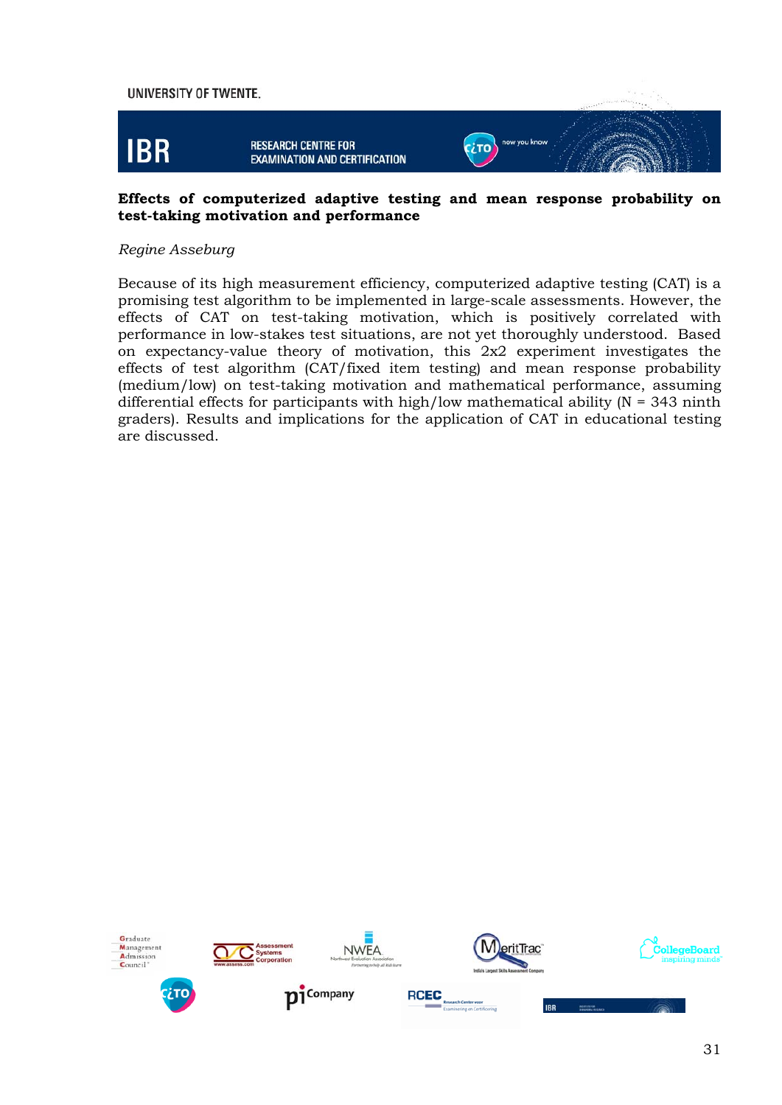

#### **Effects of computerized adaptive testing and mean response probability on test-taking motivation and performance**

#### *Regine Asseburg*

Because of its high measurement efficiency, computerized adaptive testing (CAT) is a promising test algorithm to be implemented in large-scale assessments. However, the effects of CAT on test-taking motivation, which is positively correlated with performance in low-stakes test situations, are not yet thoroughly understood. Based on expectancy-value theory of motivation, this 2x2 experiment investigates the effects of test algorithm (CAT/fixed item testing) and mean response probability (medium/low) on test-taking motivation and mathematical performance, assuming differential effects for participants with high/low mathematical ability ( $N = 343$  ninth graders). Results and implications for the application of CAT in educational testing are discussed.

















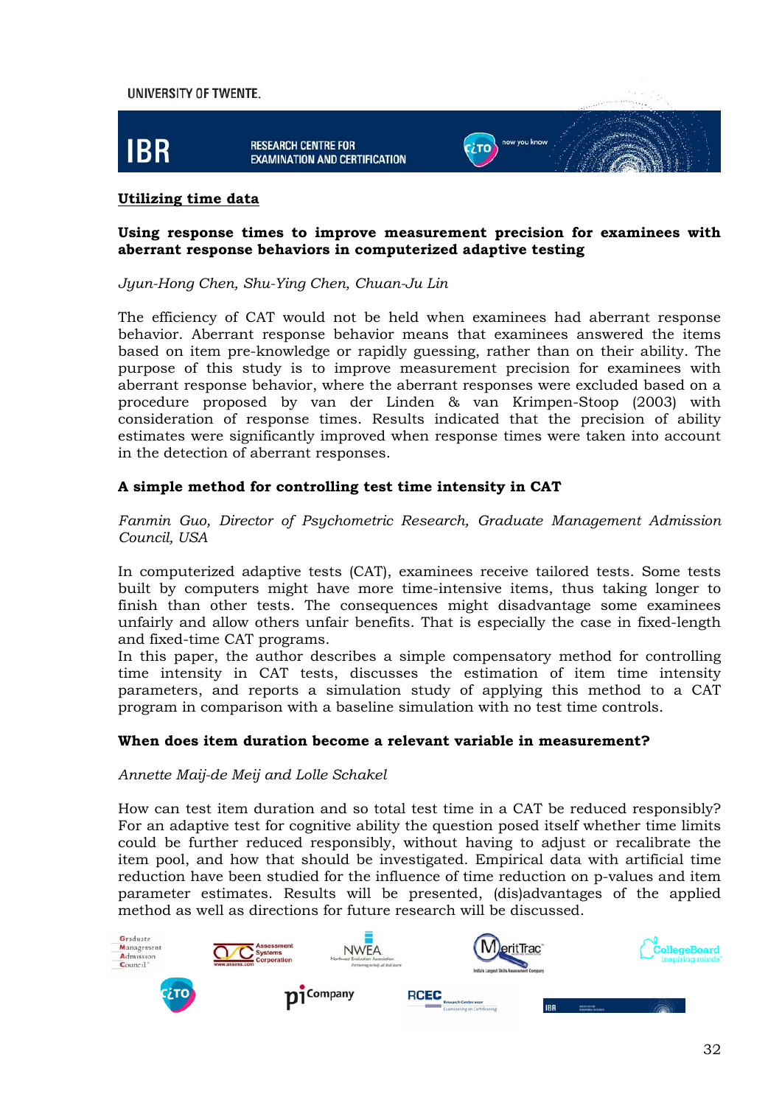

#### **Utilizing time data**

#### **Using response times to improve measurement precision for examinees with aberrant response behaviors in computerized adaptive testing**

*Jyun-Hong Chen, Shu-Ying Chen, Chuan-Ju Lin* 

The efficiency of CAT would not be held when examinees had aberrant response behavior. Aberrant response behavior means that examinees answered the items based on item pre-knowledge or rapidly guessing, rather than on their ability. The purpose of this study is to improve measurement precision for examinees with aberrant response behavior, where the aberrant responses were excluded based on a procedure proposed by van der Linden & van Krimpen-Stoop (2003) with consideration of response times. Results indicated that the precision of ability estimates were significantly improved when response times were taken into account in the detection of aberrant responses.

#### **A simple method for controlling test time intensity in CAT**

*Fanmin Guo, Director of Psychometric Research, Graduate Management Admission Council, USA* 

In computerized adaptive tests (CAT), examinees receive tailored tests. Some tests built by computers might have more time-intensive items, thus taking longer to finish than other tests. The consequences might disadvantage some examinees unfairly and allow others unfair benefits. That is especially the case in fixed-length and fixed-time CAT programs.

In this paper, the author describes a simple compensatory method for controlling time intensity in CAT tests, discusses the estimation of item time intensity parameters, and reports a simulation study of applying this method to a CAT program in comparison with a baseline simulation with no test time controls.

#### **When does item duration become a relevant variable in measurement?**

*Annette Maij-de Meij and Lolle Schakel* 

How can test item duration and so total test time in a CAT be reduced responsibly? For an adaptive test for cognitive ability the question posed itself whether time limits could be further reduced responsibly, without having to adjust or recalibrate the item pool, and how that should be investigated. Empirical data with artificial time reduction have been studied for the influence of time reduction on p-values and item parameter estimates. Results will be presented, (dis)advantages of the applied method as well as directions for future research will be discussed.

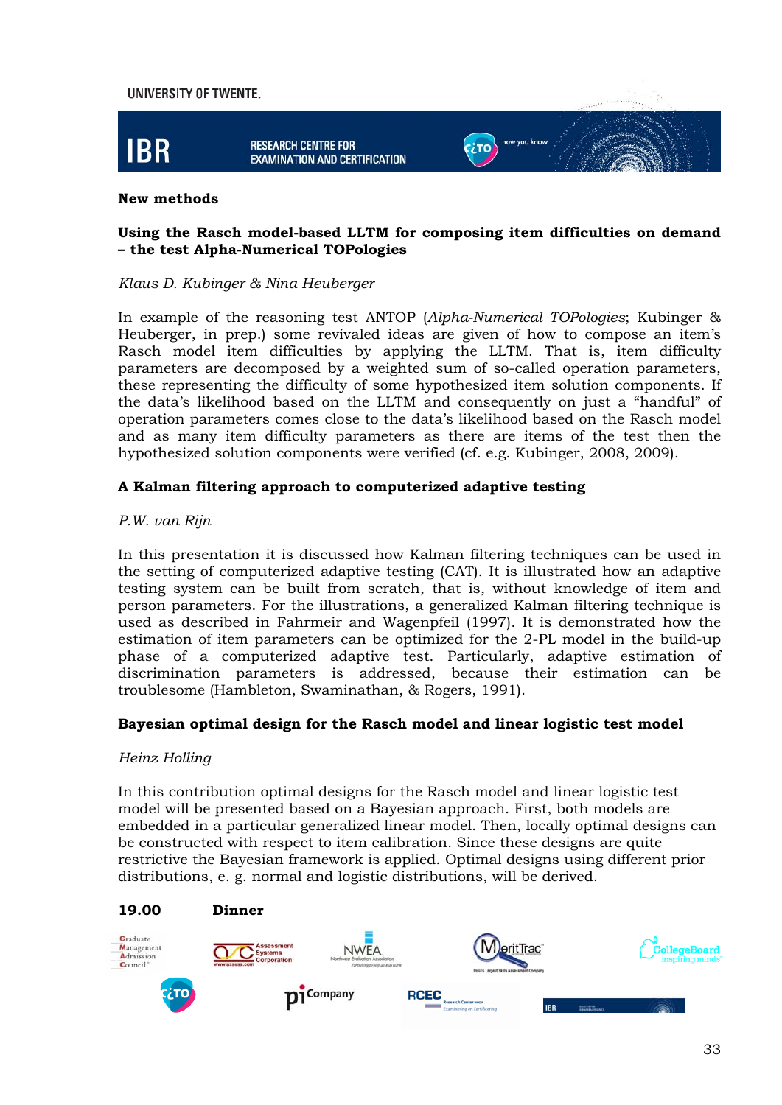

#### **New methods**

#### **Using the Rasch model-based LLTM for composing item difficulties on demand – the test Alpha-Numerical TOPologies**

#### *Klaus D. Kubinger & Nina Heuberger*

In example of the reasoning test ANTOP (*Alpha-Numerical TOPologies*; Kubinger & Heuberger, in prep.) some revivaled ideas are given of how to compose an item's Rasch model item difficulties by applying the LLTM. That is, item difficulty parameters are decomposed by a weighted sum of so-called operation parameters, these representing the difficulty of some hypothesized item solution components. If the data's likelihood based on the LLTM and consequently on just a "handful" of operation parameters comes close to the data's likelihood based on the Rasch model and as many item difficulty parameters as there are items of the test then the hypothesized solution components were verified (cf. e.g. Kubinger, 2008, 2009).

#### **A Kalman filtering approach to computerized adaptive testing**

#### *P.W. van Rijn*

In this presentation it is discussed how Kalman filtering techniques can be used in the setting of computerized adaptive testing (CAT). It is illustrated how an adaptive testing system can be built from scratch, that is, without knowledge of item and person parameters. For the illustrations, a generalized Kalman filtering technique is used as described in Fahrmeir and Wagenpfeil (1997). It is demonstrated how the estimation of item parameters can be optimized for the 2-PL model in the build-up phase of a computerized adaptive test. Particularly, adaptive estimation of discrimination parameters is addressed, because their estimation can be troublesome (Hambleton, Swaminathan, & Rogers, 1991).

#### **Bayesian optimal design for the Rasch model and linear logistic test model**

#### *Heinz Holling*

In this contribution optimal designs for the Rasch model and linear logistic test model will be presented based on a Bayesian approach. First, both models are embedded in a particular generalized linear model. Then, locally optimal designs can be constructed with respect to item calibration. Since these designs are quite restrictive the Bayesian framework is applied. Optimal designs using different prior distributions, e. g. normal and logistic distributions, will be derived.

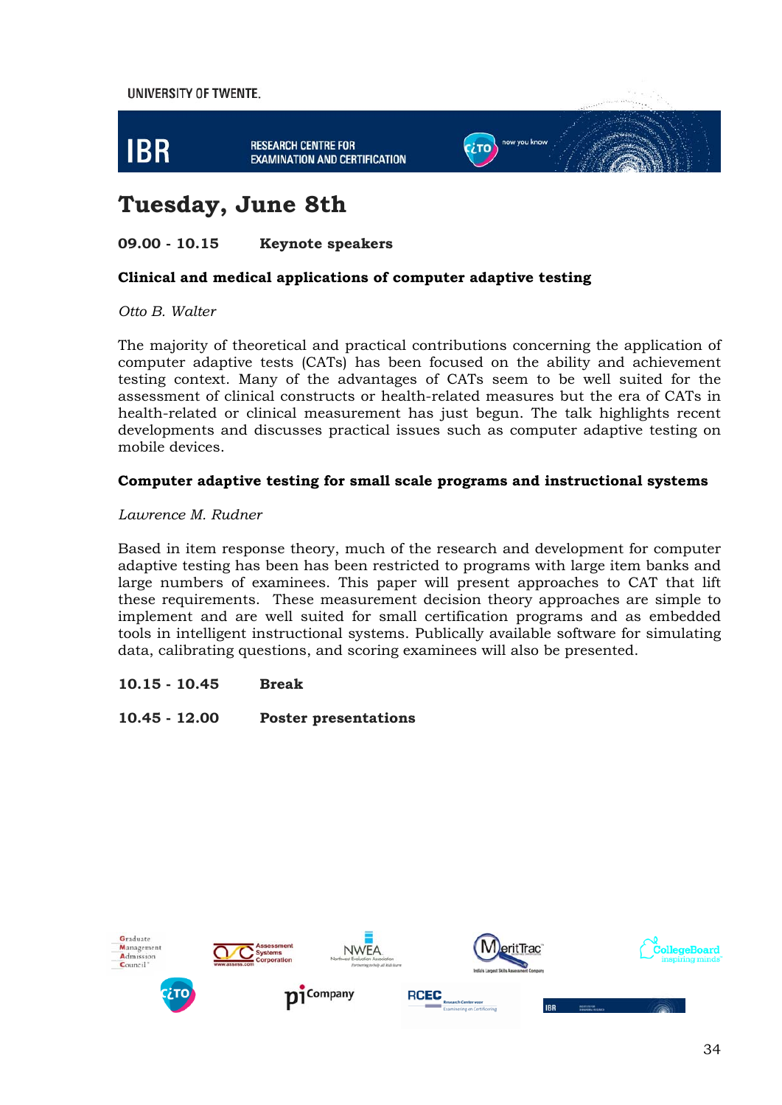

# **Tuesday, June 8th**

#### **09.00 - 10.15 Keynote speakers**

#### **Clinical and medical applications of computer adaptive testing**

*Otto B. Walter* 

The majority of theoretical and practical contributions concerning the application of computer adaptive tests (CATs) has been focused on the ability and achievement testing context. Many of the advantages of CATs seem to be well suited for the assessment of clinical constructs or health-related measures but the era of CATs in health-related or clinical measurement has just begun. The talk highlights recent developments and discusses practical issues such as computer adaptive testing on mobile devices.

#### **Computer adaptive testing for small scale programs and instructional systems**

#### *Lawrence M. Rudner*

Based in item response theory, much of the research and development for computer adaptive testing has been has been restricted to programs with large item banks and large numbers of examinees. This paper will present approaches to CAT that lift these requirements. These measurement decision theory approaches are simple to implement and are well suited for small certification programs and as embedded tools in intelligent instructional systems. Publically available software for simulating data, calibrating questions, and scoring examinees will also be presented.

#### **10.15 - 10.45 Break**

**10.45 - 12.00 Poster presentations** 

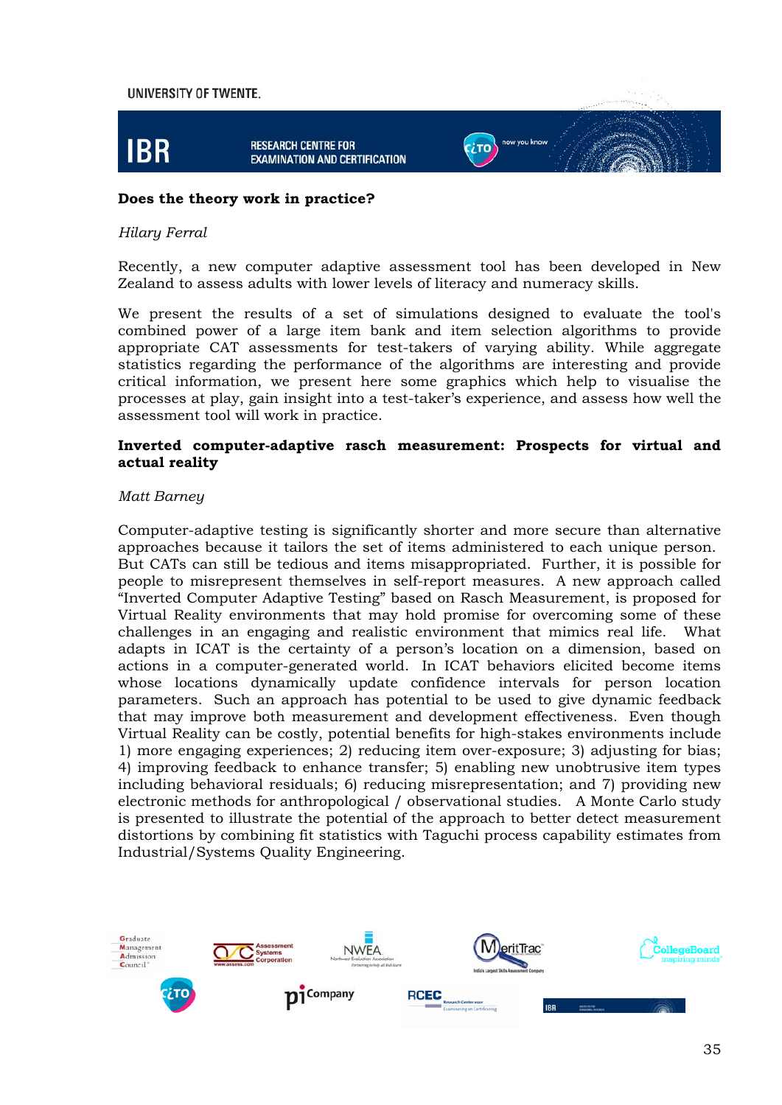

#### **Does the theory work in practice?**

#### *Hilary Ferral*

Recently, a new computer adaptive assessment tool has been developed in New Zealand to assess adults with lower levels of literacy and numeracy skills.

We present the results of a set of simulations designed to evaluate the tool's combined power of a large item bank and item selection algorithms to provide appropriate CAT assessments for test-takers of varying ability. While aggregate statistics regarding the performance of the algorithms are interesting and provide critical information, we present here some graphics which help to visualise the processes at play, gain insight into a test-taker's experience, and assess how well the assessment tool will work in practice.

#### **Inverted computer-adaptive rasch measurement: Prospects for virtual and actual reality**

#### *Matt Barney*

Computer-adaptive testing is significantly shorter and more secure than alternative approaches because it tailors the set of items administered to each unique person. But CATs can still be tedious and items misappropriated. Further, it is possible for people to misrepresent themselves in self-report measures. A new approach called "Inverted Computer Adaptive Testing" based on Rasch Measurement, is proposed for Virtual Reality environments that may hold promise for overcoming some of these challenges in an engaging and realistic environment that mimics real life. What adapts in ICAT is the certainty of a person's location on a dimension, based on actions in a computer-generated world. In ICAT behaviors elicited become items whose locations dynamically update confidence intervals for person location parameters. Such an approach has potential to be used to give dynamic feedback that may improve both measurement and development effectiveness. Even though Virtual Reality can be costly, potential benefits for high-stakes environments include 1) more engaging experiences; 2) reducing item over-exposure; 3) adjusting for bias; 4) improving feedback to enhance transfer; 5) enabling new unobtrusive item types including behavioral residuals; 6) reducing misrepresentation; and 7) providing new electronic methods for anthropological / observational studies. A Monte Carlo study is presented to illustrate the potential of the approach to better detect measurement distortions by combining fit statistics with Taguchi process capability estimates from Industrial/Systems Quality Engineering.

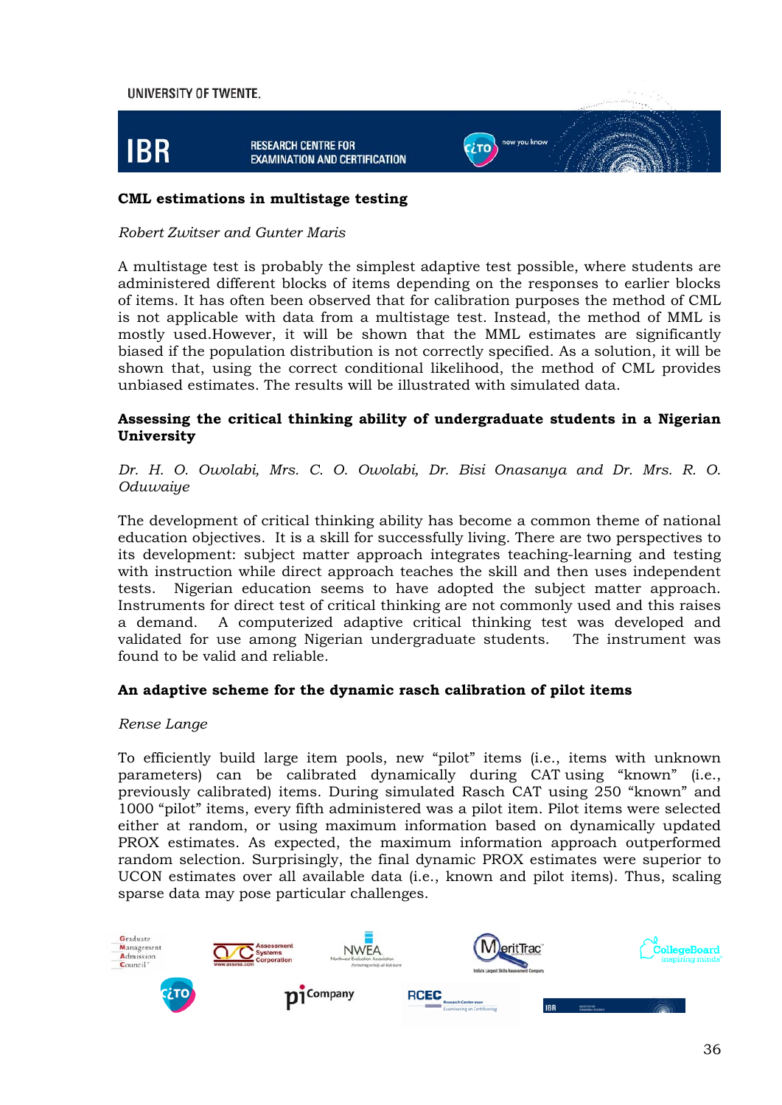

#### **CML estimations in multistage testing**

#### *Robert Zwitser and Gunter Maris*

A multistage test is probably the simplest adaptive test possible, where students are administered different blocks of items depending on the responses to earlier blocks of items. It has often been observed that for calibration purposes the method of CML is not applicable with data from a multistage test. Instead, the method of MML is mostly used.However, it will be shown that the MML estimates are significantly biased if the population distribution is not correctly specified. As a solution, it will be shown that, using the correct conditional likelihood, the method of CML provides unbiased estimates. The results will be illustrated with simulated data.

#### **Assessing the critical thinking ability of undergraduate students in a Nigerian University**

#### *Dr. H. O. Owolabi, Mrs. C. O. Owolabi, Dr. Bisi Onasanya and Dr. Mrs. R. O. Oduwaiye*

The development of critical thinking ability has become a common theme of national education objectives. It is a skill for successfully living. There are two perspectives to its development: subject matter approach integrates teaching-learning and testing with instruction while direct approach teaches the skill and then uses independent tests. Nigerian education seems to have adopted the subject matter approach. Instruments for direct test of critical thinking are not commonly used and this raises a demand. A computerized adaptive critical thinking test was developed and validated for use among Nigerian undergraduate students. The instrument was found to be valid and reliable.

#### **An adaptive scheme for the dynamic rasch calibration of pilot items**

#### *Rense Lange*

To efficiently build large item pools, new "pilot" items (i.e., items with unknown parameters) can be calibrated dynamically during CAT using "known" (i.e., previously calibrated) items. During simulated Rasch CAT using 250 "known" and 1000 "pilot" items, every fifth administered was a pilot item. Pilot items were selected either at random, or using maximum information based on dynamically updated PROX estimates. As expected, the maximum information approach outperformed random selection. Surprisingly, the final dynamic PROX estimates were superior to UCON estimates over all available data (i.e., known and pilot items). Thus, scaling sparse data may pose particular challenges.

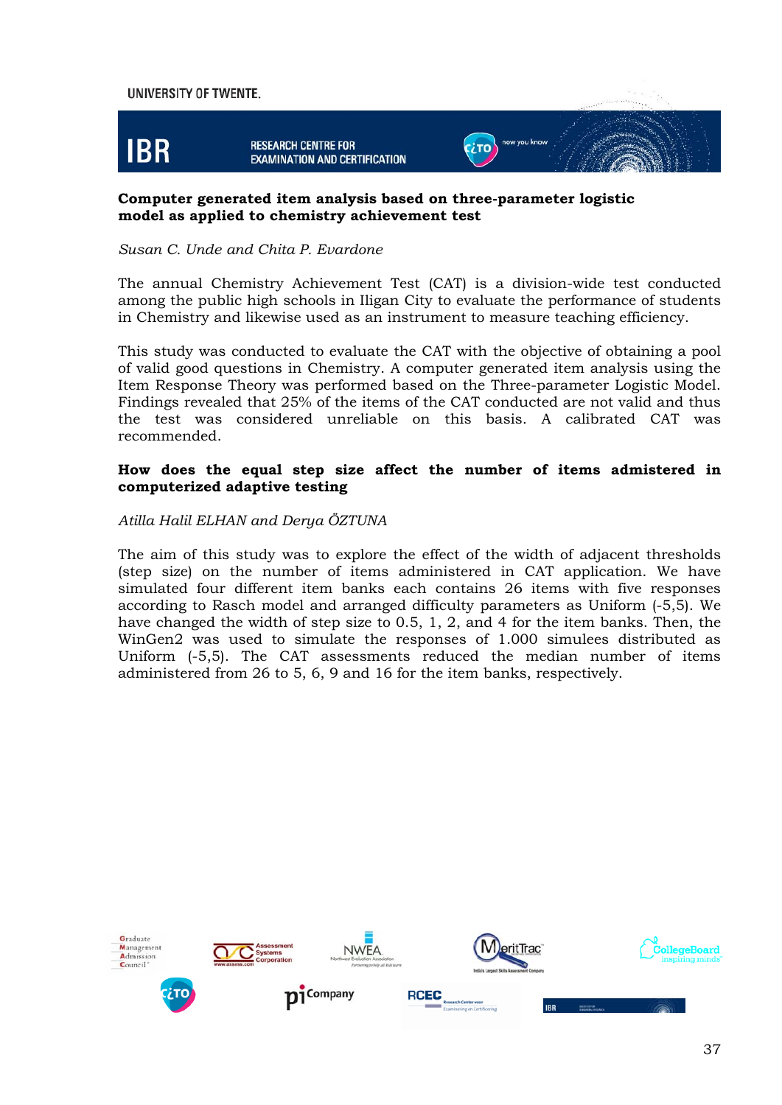

#### **Computer generated item analysis based on three-parameter logistic model as applied to chemistry achievement test**

#### *Susan C. Unde and Chita P. Evardone*

The annual Chemistry Achievement Test (CAT) is a division-wide test conducted among the public high schools in Iligan City to evaluate the performance of students in Chemistry and likewise used as an instrument to measure teaching efficiency.

This study was conducted to evaluate the CAT with the objective of obtaining a pool of valid good questions in Chemistry. A computer generated item analysis using the Item Response Theory was performed based on the Three-parameter Logistic Model. Findings revealed that 25% of the items of the CAT conducted are not valid and thus the test was considered unreliable on this basis. A calibrated CAT was recommended.

#### **How does the equal step size affect the number of items admistered in computerized adaptive testing**

#### *Atilla Halil ELHAN and Derya ÖZTUNA*

The aim of this study was to explore the effect of the width of adjacent thresholds (step size) on the number of items administered in CAT application. We have simulated four different item banks each contains 26 items with five responses according to Rasch model and arranged difficulty parameters as Uniform (-5,5). We have changed the width of step size to 0.5, 1, 2, and 4 for the item banks. Then, the WinGen2 was used to simulate the responses of 1.000 simulees distributed as Uniform (-5,5). The CAT assessments reduced the median number of items administered from 26 to 5, 6, 9 and 16 for the item banks, respectively.

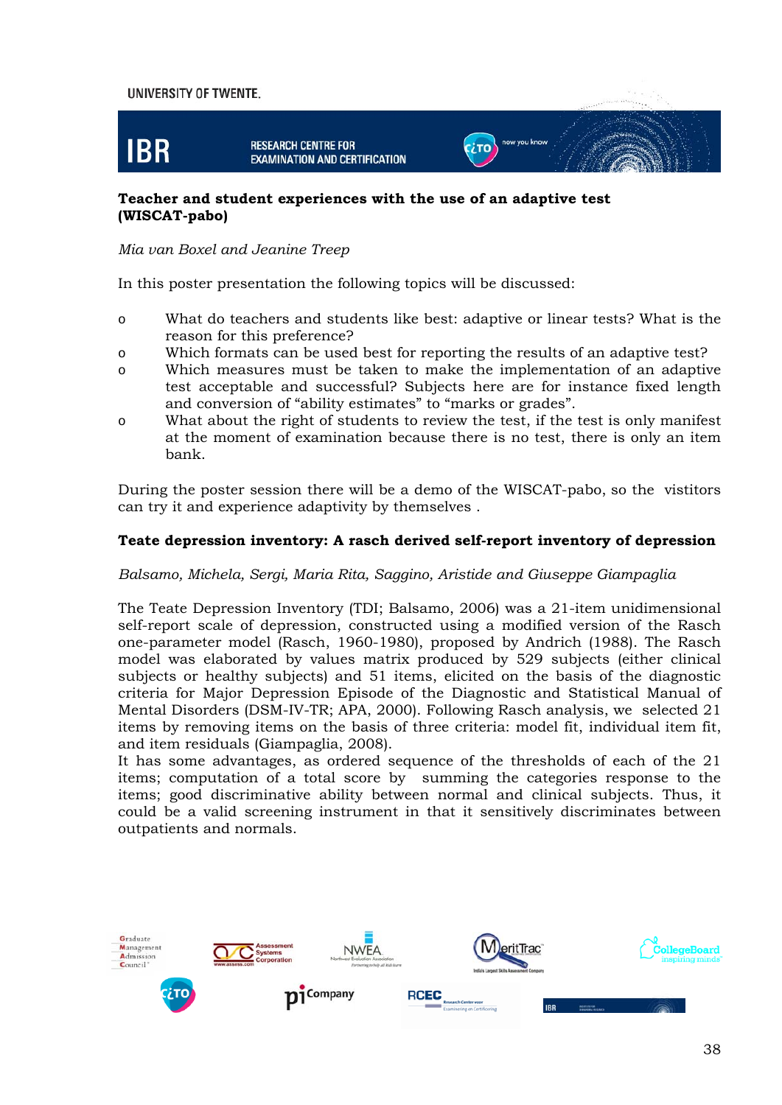#### UNIVERSITY OF TWENTE. **IBR** now you know **RESEARCH CENTRE FOR C**LTO **EXAMINATION AND CERTIFICATION**

#### **Teacher and student experiences with the use of an adaptive test (WISCAT-pabo)**

#### *Mia van Boxel and Jeanine Treep*

In this poster presentation the following topics will be discussed:

- o What do teachers and students like best: adaptive or linear tests? What is the reason for this preference?
- o Which formats can be used best for reporting the results of an adaptive test?
- o Which measures must be taken to make the implementation of an adaptive test acceptable and successful? Subjects here are for instance fixed length and conversion of "ability estimates" to "marks or grades".
- o What about the right of students to review the test, if the test is only manifest at the moment of examination because there is no test, there is only an item bank.

During the poster session there will be a demo of the WISCAT-pabo, so the vistitors can try it and experience adaptivity by themselves .

#### **Teate depression inventory: A rasch derived self-report inventory of depression**

#### *Balsamo, Michela, Sergi, Maria Rita, Saggino, Aristide and Giuseppe Giampaglia*

The Teate Depression Inventory (TDI; Balsamo, 2006) was a 21-item unidimensional self-report scale of depression, constructed using a modified version of the Rasch one-parameter model (Rasch, 1960-1980), proposed by Andrich (1988). The Rasch model was elaborated by values matrix produced by 529 subjects (either clinical subjects or healthy subjects) and 51 items, elicited on the basis of the diagnostic criteria for Major Depression Episode of the Diagnostic and Statistical Manual of Mental Disorders (DSM-IV-TR; APA, 2000). Following Rasch analysis, we selected 21 items by removing items on the basis of three criteria: model fit, individual item fit, and item residuals (Giampaglia, 2008).

It has some advantages, as ordered sequence of the thresholds of each of the 21 items; computation of a total score by summing the categories response to the items; good discriminative ability between normal and clinical subjects. Thus, it could be a valid screening instrument in that it sensitively discriminates between outpatients and normals.

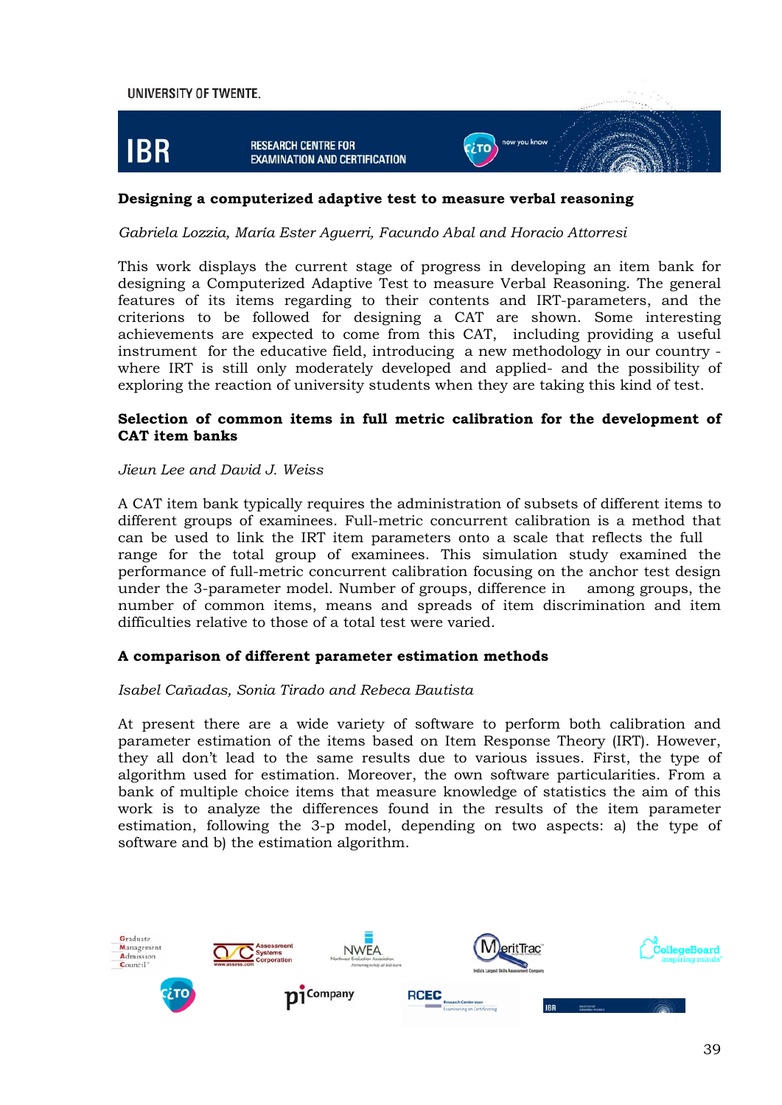

#### **Designing a computerized adaptive test to measure verbal reasoning**

*Gabriela Lozzia, María Ester Aguerri, Facundo Abal and Horacio Attorresi* 

This work displays the current stage of progress in developing an item bank for designing a Computerized Adaptive Test to measure Verbal Reasoning. The general features of its items regarding to their contents and IRT-parameters, and the criterions to be followed for designing a CAT are shown. Some interesting achievements are expected to come from this CAT, including providing a useful instrument for the educative field, introducing a new methodology in our country where IRT is still only moderately developed and applied- and the possibility of exploring the reaction of university students when they are taking this kind of test.

#### **Selection of common items in full metric calibration for the development of CAT item banks**

#### *Jieun Lee and David J. Weiss*

A CAT item bank typically requires the administration of subsets of different items to different groups of examinees. Full-metric concurrent calibration is a method that can be used to link the IRT item parameters onto a scale that reflects the full range for the total group of examinees. This simulation study examined the performance of full-metric concurrent calibration focusing on the anchor test design under the 3-parameter model. Number of groups, difference in among groups, the number of common items, means and spreads of item discrimination and item difficulties relative to those of a total test were varied.

#### **A comparison of different parameter estimation methods**

#### *Isabel Cañadas, Sonia Tirado and Rebeca Bautista*

At present there are a wide variety of software to perform both calibration and parameter estimation of the items based on Item Response Theory (IRT). However, they all don't lead to the same results due to various issues. First, the type of algorithm used for estimation. Moreover, the own software particularities. From a bank of multiple choice items that measure knowledge of statistics the aim of this work is to analyze the differences found in the results of the item parameter estimation, following the 3-p model, depending on two aspects: a) the type of software and b) the estimation algorithm.

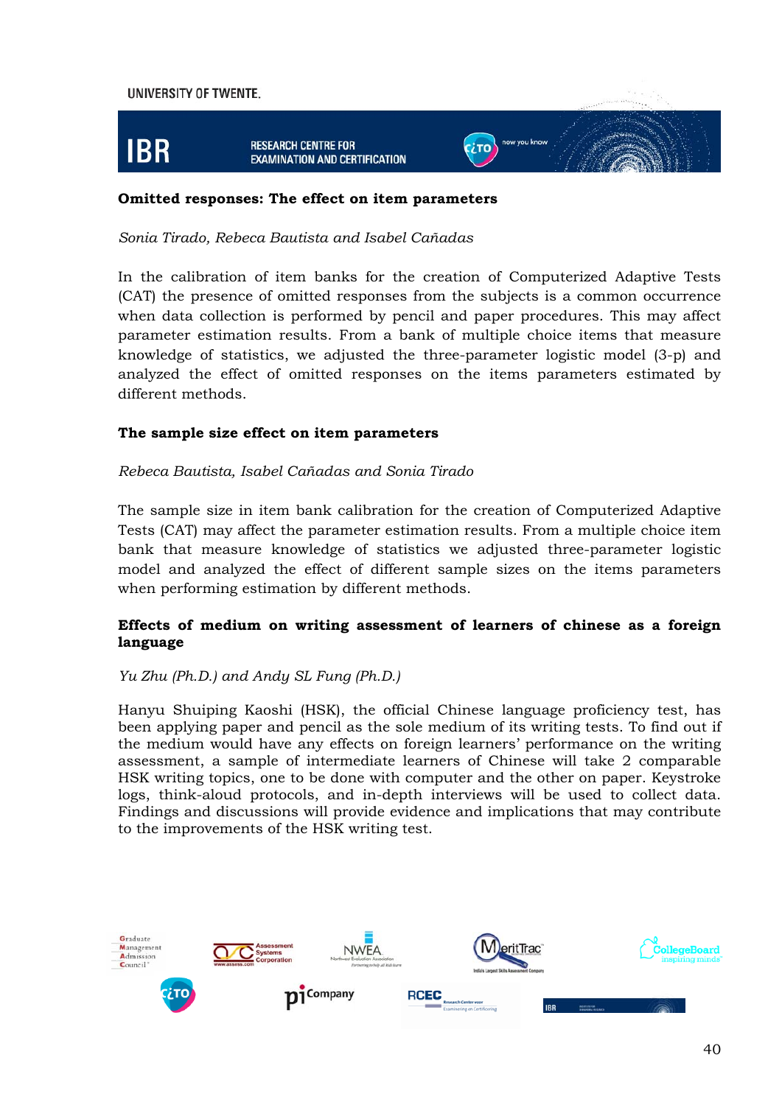

#### **Omitted responses: The effect on item parameters**

#### *Sonia Tirado, Rebeca Bautista and Isabel Cañadas*

In the calibration of item banks for the creation of Computerized Adaptive Tests (CAT) the presence of omitted responses from the subjects is a common occurrence when data collection is performed by pencil and paper procedures. This may affect parameter estimation results. From a bank of multiple choice items that measure knowledge of statistics, we adjusted the three-parameter logistic model (3-p) and analyzed the effect of omitted responses on the items parameters estimated by different methods.

#### **The sample size effect on item parameters**

#### *Rebeca Bautista, Isabel Cañadas and Sonia Tirado*

The sample size in item bank calibration for the creation of Computerized Adaptive Tests (CAT) may affect the parameter estimation results. From a multiple choice item bank that measure knowledge of statistics we adjusted three-parameter logistic model and analyzed the effect of different sample sizes on the items parameters when performing estimation by different methods.

#### **Effects of medium on writing assessment of learners of chinese as a foreign language**

#### *Yu Zhu (Ph.D.) and Andy SL Fung (Ph.D.)*

Hanyu Shuiping Kaoshi (HSK), the official Chinese language proficiency test, has been applying paper and pencil as the sole medium of its writing tests. To find out if the medium would have any effects on foreign learners' performance on the writing assessment, a sample of intermediate learners of Chinese will take 2 comparable HSK writing topics, one to be done with computer and the other on paper. Keystroke logs, think-aloud protocols, and in-depth interviews will be used to collect data. Findings and discussions will provide evidence and implications that may contribute to the improvements of the HSK writing test.

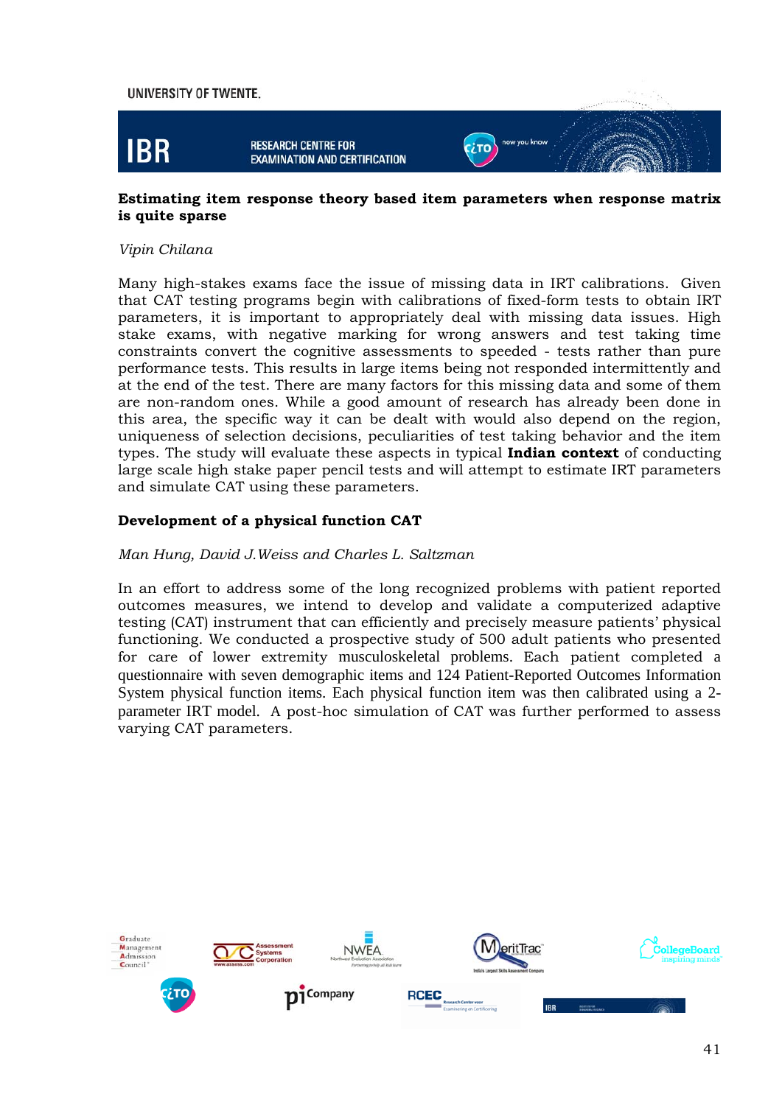

#### **Estimating item response theory based item parameters when response matrix is quite sparse**

#### *Vipin Chilana*

Many high-stakes exams face the issue of missing data in IRT calibrations. Given that CAT testing programs begin with calibrations of fixed-form tests to obtain IRT parameters, it is important to appropriately deal with missing data issues. High stake exams, with negative marking for wrong answers and test taking time constraints convert the cognitive assessments to speeded - tests rather than pure performance tests. This results in large items being not responded intermittently and at the end of the test. There are many factors for this missing data and some of them are non-random ones. While a good amount of research has already been done in this area, the specific way it can be dealt with would also depend on the region, uniqueness of selection decisions, peculiarities of test taking behavior and the item types. The study will evaluate these aspects in typical **Indian context** of conducting large scale high stake paper pencil tests and will attempt to estimate IRT parameters and simulate CAT using these parameters.

#### **Development of a physical function CAT**

#### *Man Hung, David J.Weiss and Charles L. Saltzman*

In an effort to address some of the long recognized problems with patient reported outcomes measures, we intend to develop and validate a computerized adaptive testing (CAT) instrument that can efficiently and precisely measure patients' physical functioning. We conducted a prospective study of 500 adult patients who presented for care of lower extremity musculoskeletal problems. Each patient completed a questionnaire with seven demographic items and 124 Patient-Reported Outcomes Information System physical function items. Each physical function item was then calibrated using a 2 parameter IRT model. A post-hoc simulation of CAT was further performed to assess varying CAT parameters.

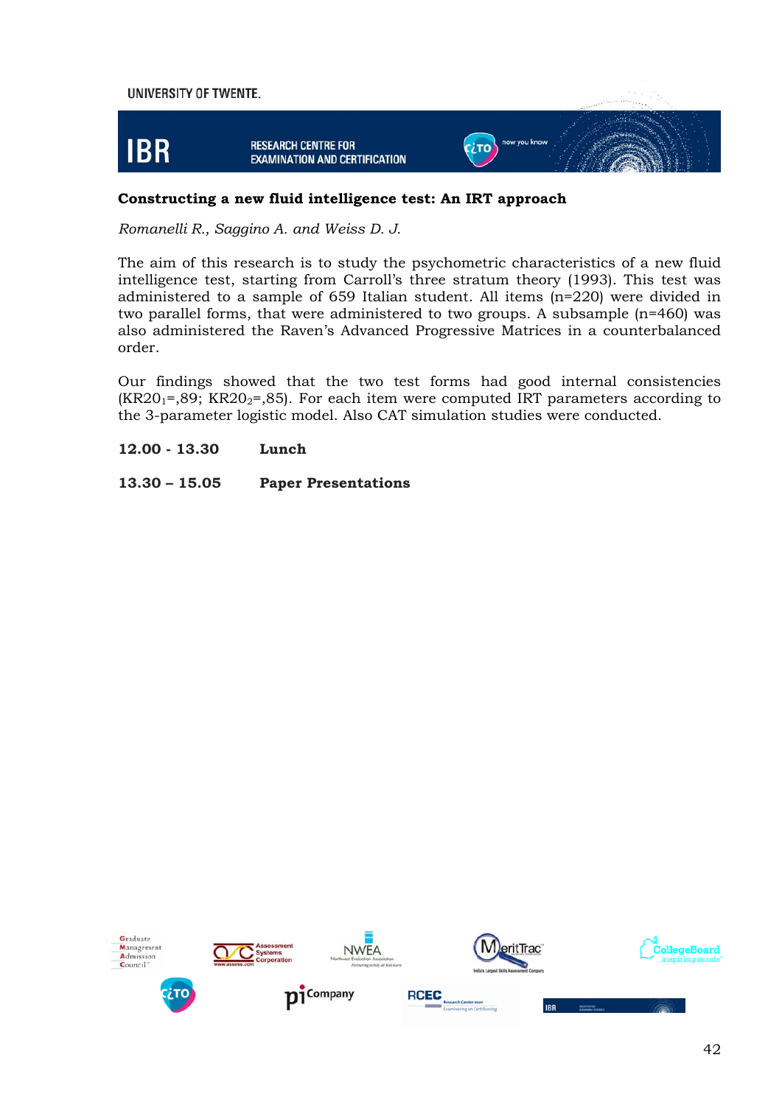

#### **Constructing a new fluid intelligence test: An IRT approach**

*Romanelli R., Saggino A. and Weiss D. J.* 

The aim of this research is to study the psychometric characteristics of a new fluid intelligence test, starting from Carroll's three stratum theory (1993). This test was administered to a sample of 659 Italian student. All items (n=220) were divided in two parallel forms, that were administered to two groups. A subsample (n=460) was also administered the Raven's Advanced Progressive Matrices in a counterbalanced order.

Our findings showed that the two test forms had good internal consistencies  $(KR20<sub>1</sub>=,89; KR20<sub>2</sub>=,85)$ . For each item were computed IRT parameters according to the 3-parameter logistic model. Also CAT simulation studies were conducted.

**12.00 - 13.30 Lunch** 

**13.30 – 15.05 Paper Presentations**

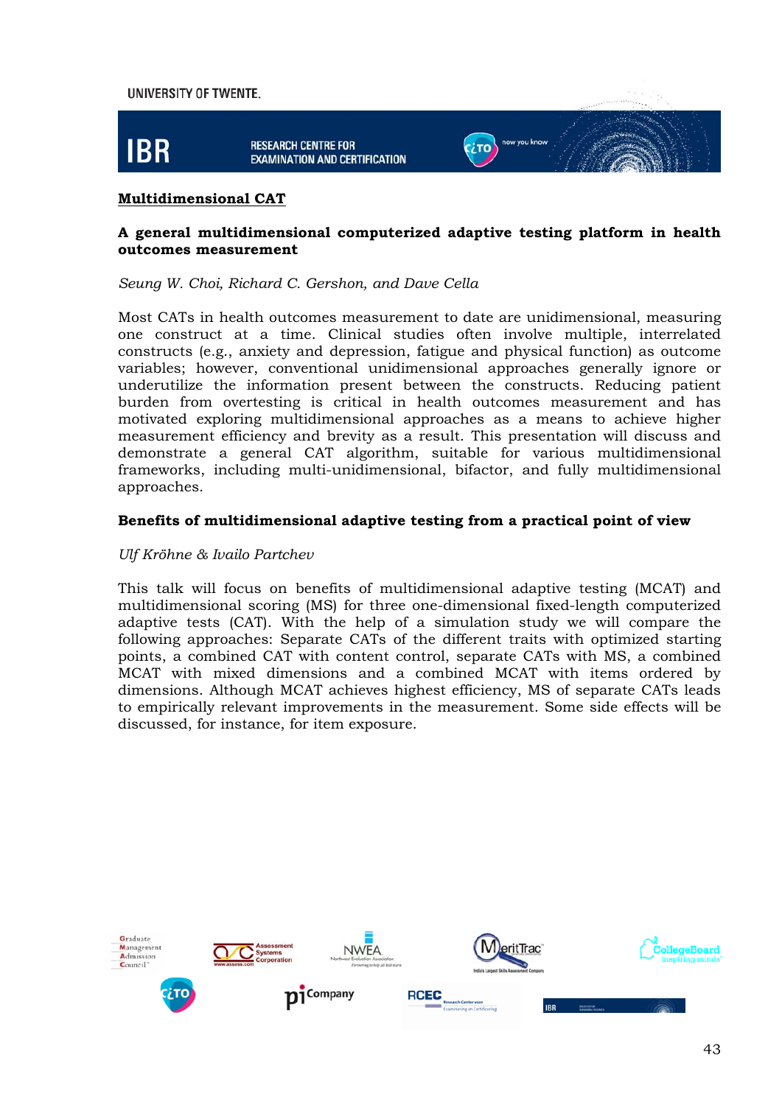

#### **Multidimensional CAT**

#### **A general multidimensional computerized adaptive testing platform in health outcomes measurement**

*Seung W. Choi, Richard C. Gershon, and Dave Cella* 

Most CATs in health outcomes measurement to date are unidimensional, measuring one construct at a time. Clinical studies often involve multiple, interrelated constructs (e.g., anxiety and depression, fatigue and physical function) as outcome variables; however, conventional unidimensional approaches generally ignore or underutilize the information present between the constructs. Reducing patient burden from overtesting is critical in health outcomes measurement and has motivated exploring multidimensional approaches as a means to achieve higher measurement efficiency and brevity as a result. This presentation will discuss and demonstrate a general CAT algorithm, suitable for various multidimensional frameworks, including multi-unidimensional, bifactor, and fully multidimensional approaches.

#### **Benefits of multidimensional adaptive testing from a practical point of view**

#### *Ulf Kröhne & Ivailo Partchev*

This talk will focus on benefits of multidimensional adaptive testing (MCAT) and multidimensional scoring (MS) for three one-dimensional fixed-length computerized adaptive tests (CAT). With the help of a simulation study we will compare the following approaches: Separate CATs of the different traits with optimized starting points, a combined CAT with content control, separate CATs with MS, a combined MCAT with mixed dimensions and a combined MCAT with items ordered by dimensions. Although MCAT achieves highest efficiency, MS of separate CATs leads to empirically relevant improvements in the measurement. Some side effects will be discussed, for instance, for item exposure.

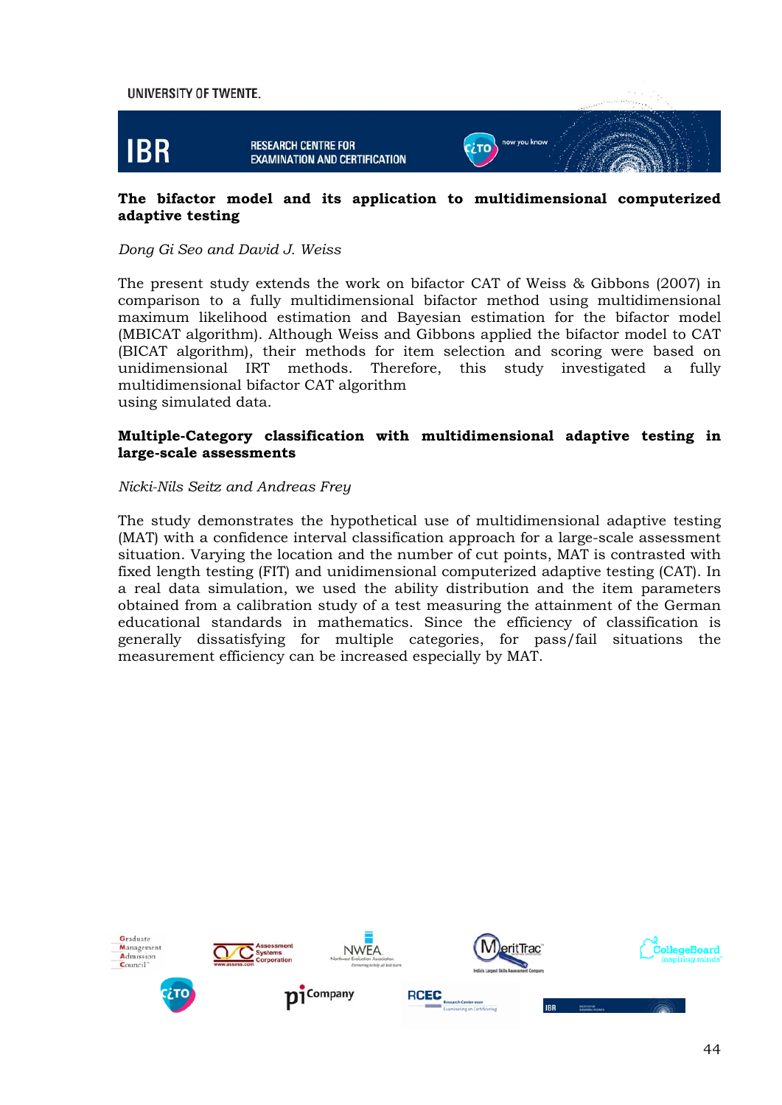

#### **The bifactor model and its application to multidimensional computerized adaptive testing**

#### *Dong Gi Seo and David J. Weiss*

The present study extends the work on bifactor CAT of Weiss & Gibbons (2007) in comparison to a fully multidimensional bifactor method using multidimensional maximum likelihood estimation and Bayesian estimation for the bifactor model (MBICAT algorithm). Although Weiss and Gibbons applied the bifactor model to CAT (BICAT algorithm), their methods for item selection and scoring were based on unidimensional IRT methods. Therefore, this study investigated a fully multidimensional bifactor CAT algorithm using simulated data.

#### **Multiple-Category classification with multidimensional adaptive testing in large-scale assessments**

#### *Nicki-Nils Seitz and Andreas Frey*

The study demonstrates the hypothetical use of multidimensional adaptive testing (MAT) with a confidence interval classification approach for a large-scale assessment situation. Varying the location and the number of cut points, MAT is contrasted with fixed length testing (FIT) and unidimensional computerized adaptive testing (CAT). In a real data simulation, we used the ability distribution and the item parameters obtained from a calibration study of a test measuring the attainment of the German educational standards in mathematics. Since the efficiency of classification is generally dissatisfying for multiple categories, for pass/fail situations the measurement efficiency can be increased especially by MAT.

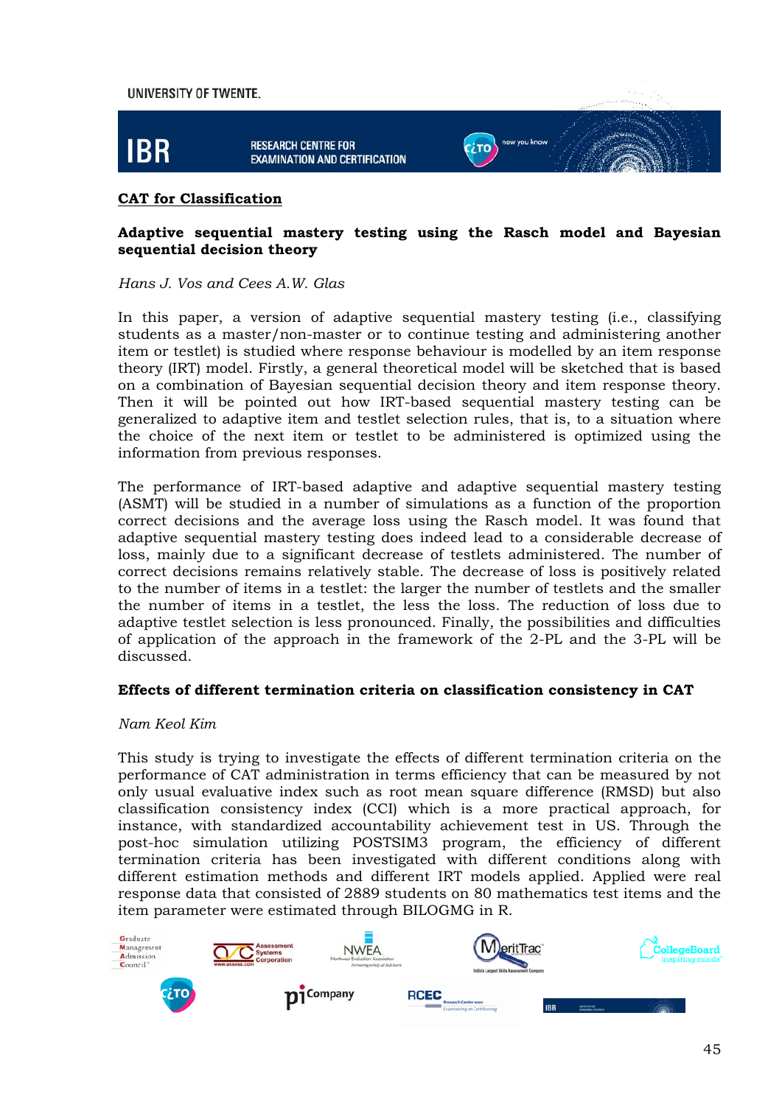

#### **CAT for Classification**

#### **Adaptive sequential mastery testing using the Rasch model and Bayesian sequential decision theory**

*Hans J. Vos and Cees A.W. Glas* 

In this paper, a version of adaptive sequential mastery testing (i.e., classifying students as a master/non-master or to continue testing and administering another item or testlet) is studied where response behaviour is modelled by an item response theory (IRT) model. Firstly, a general theoretical model will be sketched that is based on a combination of Bayesian sequential decision theory and item response theory. Then it will be pointed out how IRT-based sequential mastery testing can be generalized to adaptive item and testlet selection rules, that is, to a situation where the choice of the next item or testlet to be administered is optimized using the information from previous responses.

The performance of IRT-based adaptive and adaptive sequential mastery testing (ASMT) will be studied in a number of simulations as a function of the proportion correct decisions and the average loss using the Rasch model. It was found that adaptive sequential mastery testing does indeed lead to a considerable decrease of loss, mainly due to a significant decrease of testlets administered. The number of correct decisions remains relatively stable. The decrease of loss is positively related to the number of items in a testlet: the larger the number of testlets and the smaller the number of items in a testlet, the less the loss. The reduction of loss due to adaptive testlet selection is less pronounced. Finally, the possibilities and difficulties of application of the approach in the framework of the 2-PL and the 3-PL will be discussed.

#### **Effects of different termination criteria on classification consistency in CAT**

#### *Nam Keol Kim*

This study is trying to investigate the effects of different termination criteria on the performance of CAT administration in terms efficiency that can be measured by not only usual evaluative index such as root mean square difference (RMSD) but also classification consistency index (CCI) which is a more practical approach, for instance, with standardized accountability achievement test in US. Through the post-hoc simulation utilizing POSTSIM3 program, the efficiency of different termination criteria has been investigated with different conditions along with different estimation methods and different IRT models applied. Applied were real response data that consisted of 2889 students on 80 mathematics test items and the item parameter were estimated through BILOGMG in R.

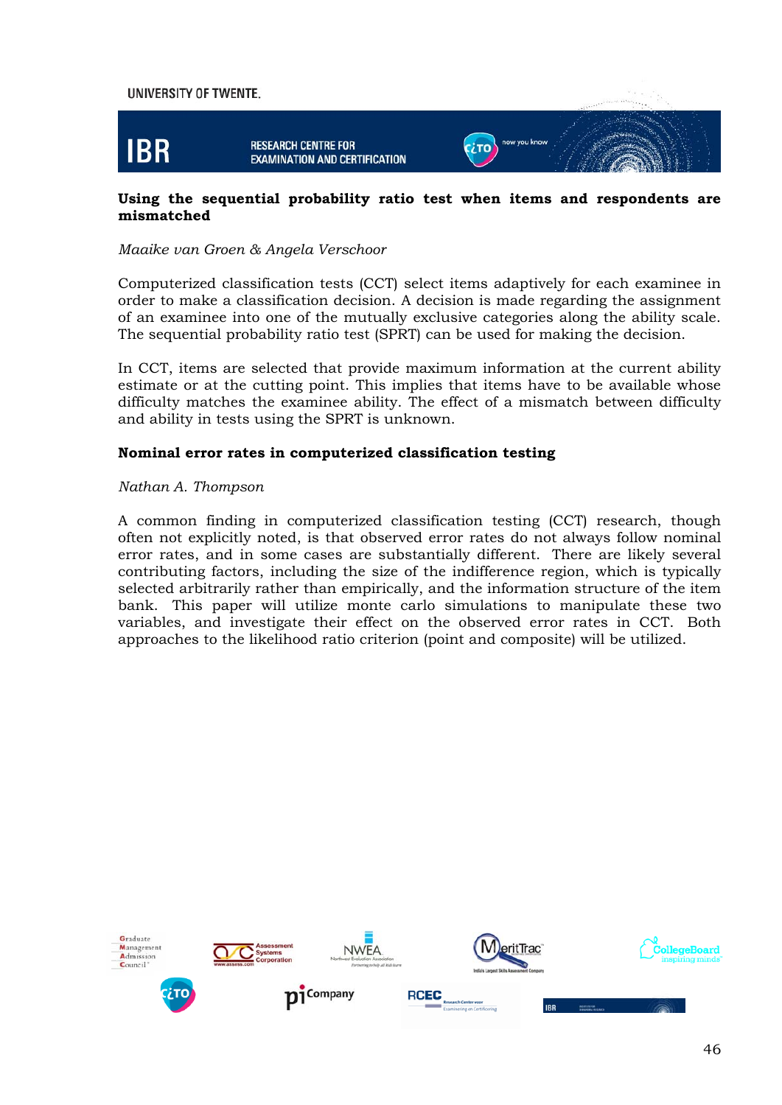

#### **Using the sequential probability ratio test when items and respondents are mismatched**

#### *Maaike van Groen & Angela Verschoor*

Computerized classification tests (CCT) select items adaptively for each examinee in order to make a classification decision. A decision is made regarding the assignment of an examinee into one of the mutually exclusive categories along the ability scale. The sequential probability ratio test (SPRT) can be used for making the decision.

In CCT, items are selected that provide maximum information at the current ability estimate or at the cutting point. This implies that items have to be available whose difficulty matches the examinee ability. The effect of a mismatch between difficulty and ability in tests using the SPRT is unknown.

#### **Nominal error rates in computerized classification testing**

#### *Nathan A. Thompson*

A common finding in computerized classification testing (CCT) research, though often not explicitly noted, is that observed error rates do not always follow nominal error rates, and in some cases are substantially different. There are likely several contributing factors, including the size of the indifference region, which is typically selected arbitrarily rather than empirically, and the information structure of the item bank. This paper will utilize monte carlo simulations to manipulate these two variables, and investigate their effect on the observed error rates in CCT. Both approaches to the likelihood ratio criterion (point and composite) will be utilized.

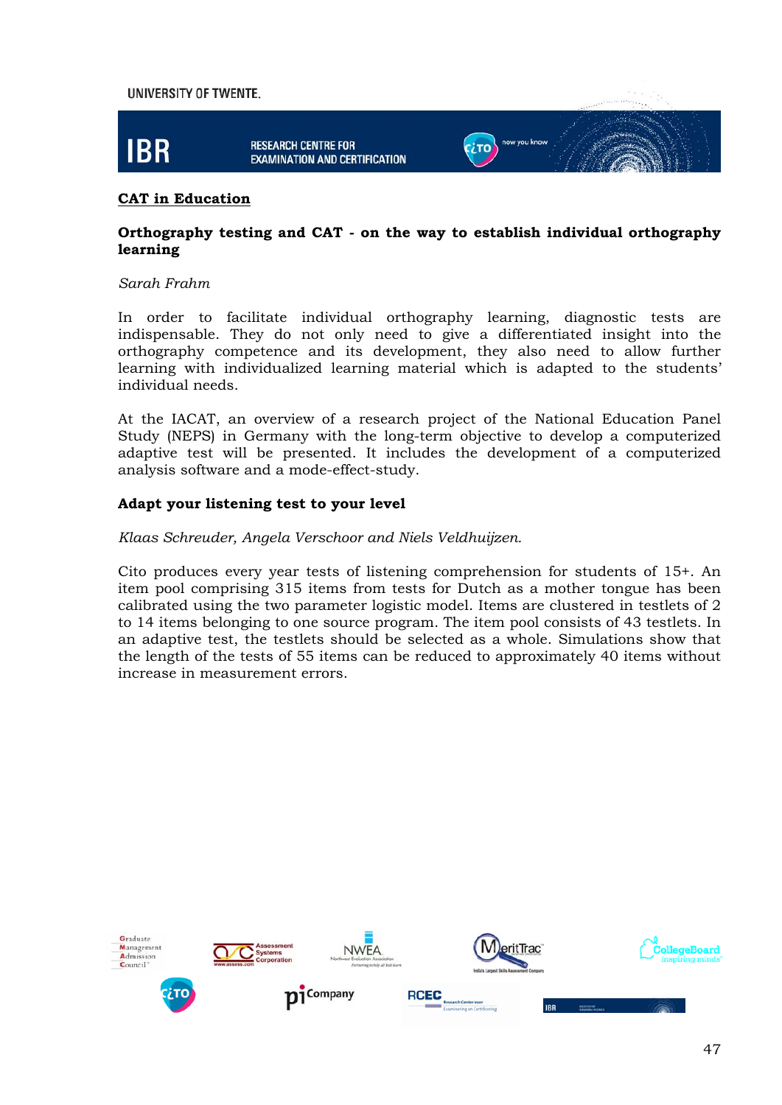

#### **CAT in Education**

#### **Orthography testing and CAT - on the way to establish individual orthography learning**

#### *Sarah Frahm*

In order to facilitate individual orthography learning, diagnostic tests are indispensable. They do not only need to give a differentiated insight into the orthography competence and its development, they also need to allow further learning with individualized learning material which is adapted to the students' individual needs.

At the IACAT, an overview of a research project of the National Education Panel Study (NEPS) in Germany with the long-term objective to develop a computerized adaptive test will be presented. It includes the development of a computerized analysis software and a mode-effect-study.

#### **Adapt your listening test to your level**

#### *Klaas Schreuder, Angela Verschoor and Niels Veldhuijzen.*

Cito produces every year tests of listening comprehension for students of 15+. An item pool comprising 315 items from tests for Dutch as a mother tongue has been calibrated using the two parameter logistic model. Items are clustered in testlets of 2 to 14 items belonging to one source program. The item pool consists of 43 testlets. In an adaptive test, the testlets should be selected as a whole. Simulations show that the length of the tests of 55 items can be reduced to approximately 40 items without increase in measurement errors.

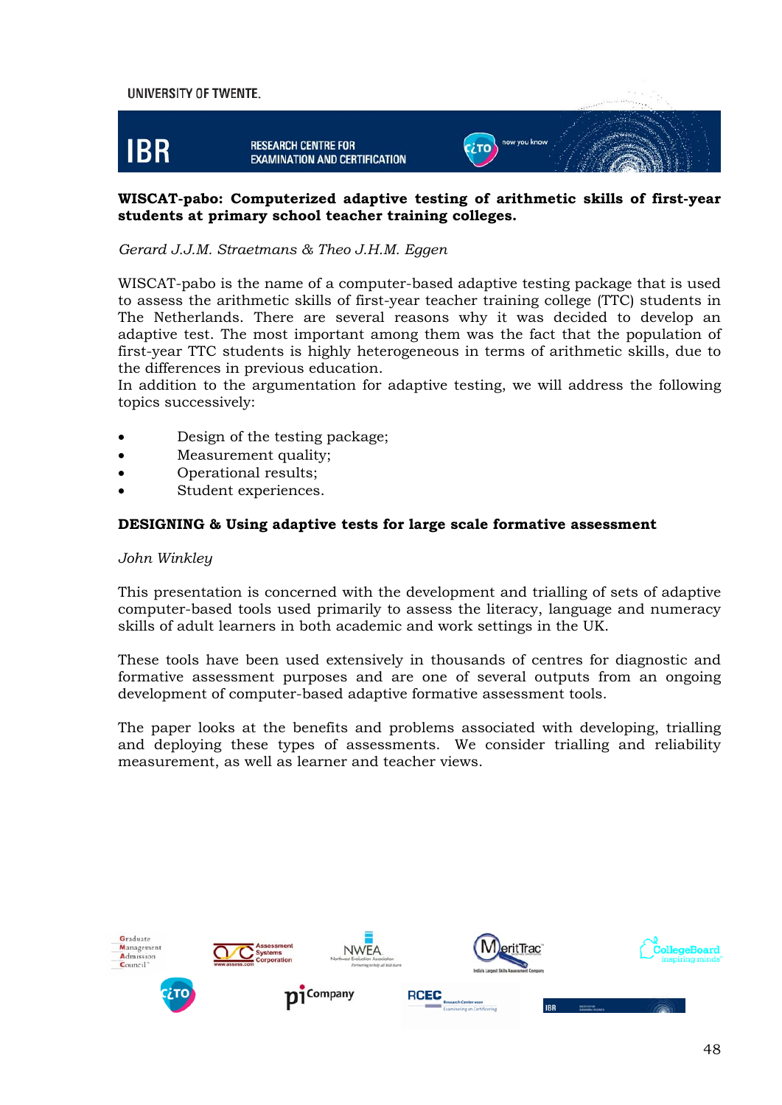

#### **WISCAT-pabo: Computerized adaptive testing of arithmetic skills of first-year students at primary school teacher training colleges.**

#### *Gerard J.J.M. Straetmans & Theo J.H.M. Eggen*

WISCAT-pabo is the name of a computer-based adaptive testing package that is used to assess the arithmetic skills of first-year teacher training college (TTC) students in The Netherlands. There are several reasons why it was decided to develop an adaptive test. The most important among them was the fact that the population of first-year TTC students is highly heterogeneous in terms of arithmetic skills, due to the differences in previous education.

In addition to the argumentation for adaptive testing, we will address the following topics successively:

- Design of the testing package;
- Measurement quality;
- Operational results;
- Student experiences.

#### **DESIGNING & Using adaptive tests for large scale formative assessment**

#### *John Winkley*

This presentation is concerned with the development and trialling of sets of adaptive computer-based tools used primarily to assess the literacy, language and numeracy skills of adult learners in both academic and work settings in the UK.

These tools have been used extensively in thousands of centres for diagnostic and formative assessment purposes and are one of several outputs from an ongoing development of computer-based adaptive formative assessment tools.

The paper looks at the benefits and problems associated with developing, trialling and deploying these types of assessments. We consider trialling and reliability measurement, as well as learner and teacher views.

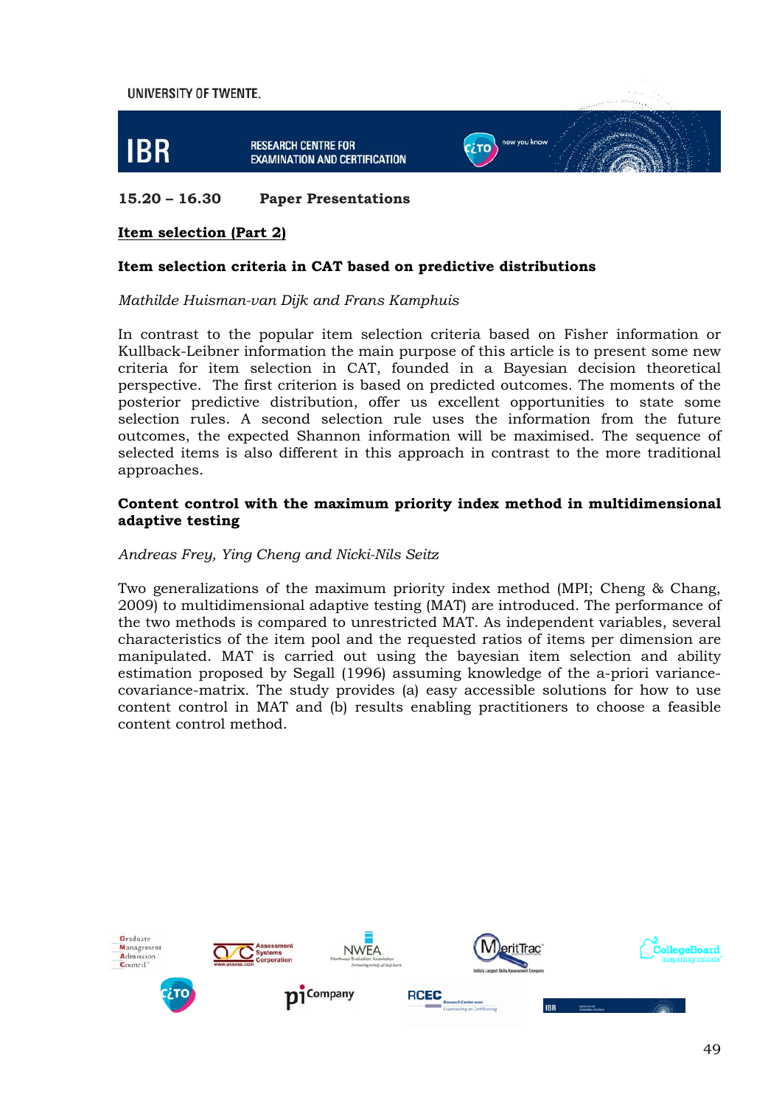

#### **15.20 – 16.30 Paper Presentations**

#### **Item selection (Part 2)**

#### **Item selection criteria in CAT based on predictive distributions**

#### *Mathilde Huisman-van Dijk and Frans Kamphuis*

In contrast to the popular item selection criteria based on Fisher information or Kullback-Leibner information the main purpose of this article is to present some new criteria for item selection in CAT, founded in a Bayesian decision theoretical perspective. The first criterion is based on predicted outcomes. The moments of the posterior predictive distribution, offer us excellent opportunities to state some selection rules. A second selection rule uses the information from the future outcomes, the expected Shannon information will be maximised. The sequence of selected items is also different in this approach in contrast to the more traditional approaches.

#### **Content control with the maximum priority index method in multidimensional adaptive testing**

#### *Andreas Frey, Ying Cheng and Nicki-Nils Seitz*

Two generalizations of the maximum priority index method (MPI; Cheng & Chang, 2009) to multidimensional adaptive testing (MAT) are introduced. The performance of the two methods is compared to unrestricted MAT. As independent variables, several characteristics of the item pool and the requested ratios of items per dimension are manipulated. MAT is carried out using the bayesian item selection and ability estimation proposed by Segall (1996) assuming knowledge of the a-priori variancecovariance-matrix. The study provides (a) easy accessible solutions for how to use content control in MAT and (b) results enabling practitioners to choose a feasible content control method.

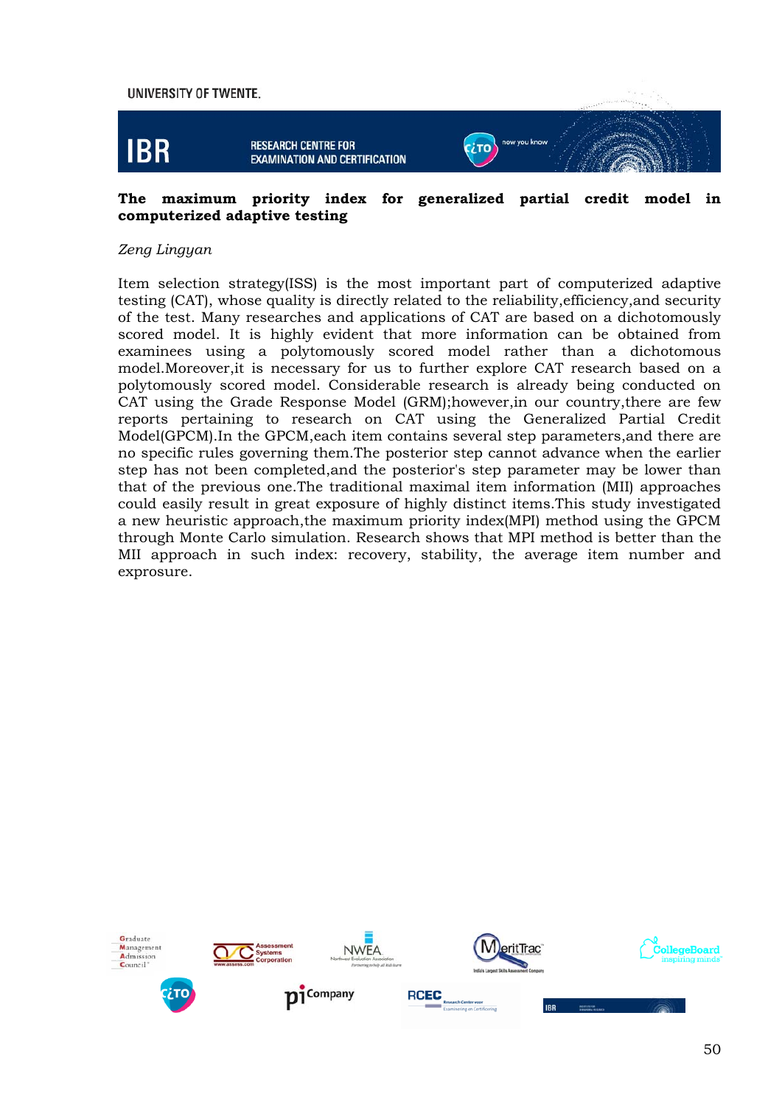

#### **The maximum priority index for generalized partial credit model in computerized adaptive testing**

#### *Zeng Lingyan*

Item selection strategy(ISS) is the most important part of computerized adaptive testing (CAT), whose quality is directly related to the reliability,efficiency,and security of the test. Many researches and applications of CAT are based on a dichotomously scored model. It is highly evident that more information can be obtained from examinees using a polytomously scored model rather than a dichotomous model.Moreover,it is necessary for us to further explore CAT research based on a polytomously scored model. Considerable research is already being conducted on CAT using the Grade Response Model (GRM);however,in our country,there are few reports pertaining to research on CAT using the Generalized Partial Credit Model(GPCM).In the GPCM,each item contains several step parameters,and there are no specific rules governing them.The posterior step cannot advance when the earlier step has not been completed,and the posterior's step parameter may be lower than that of the previous one.The traditional maximal item information (MII) approaches could easily result in great exposure of highly distinct items.This study investigated a new heuristic approach,the maximum priority index(MPI) method using the GPCM through Monte Carlo simulation. Research shows that MPI method is better than the MII approach in such index: recovery, stability, the average item number and exprosure.

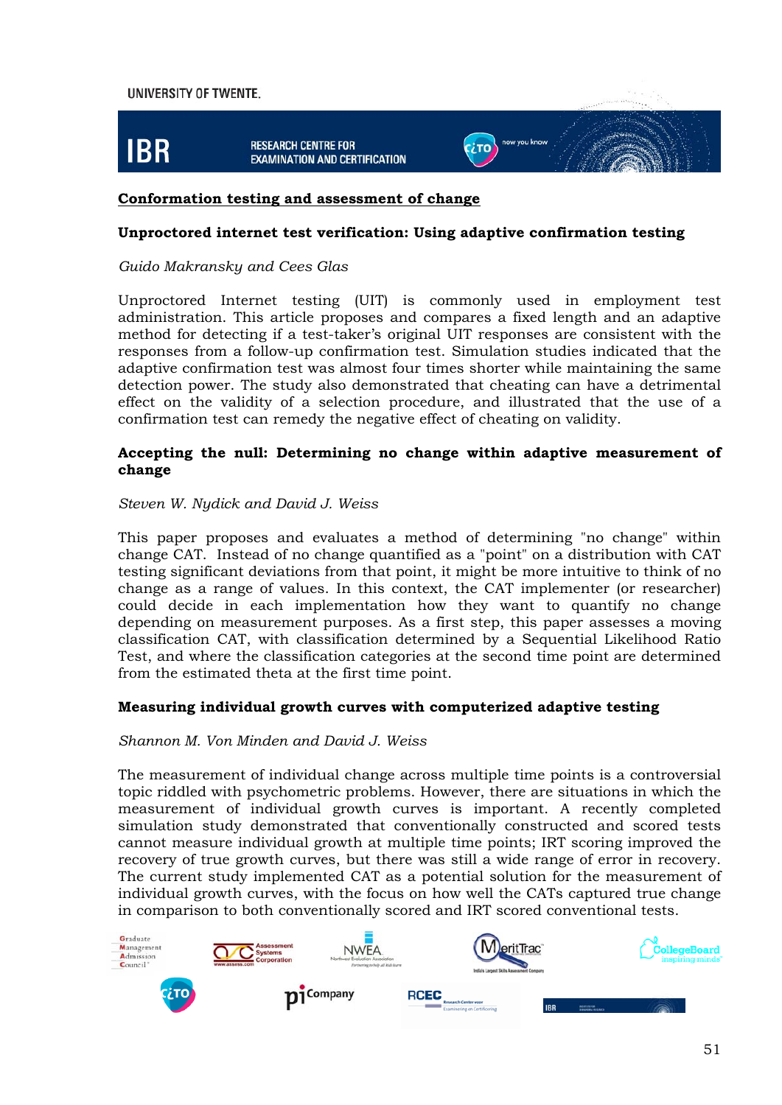

#### **Conformation testing and assessment of change**

#### **Unproctored internet test verification: Using adaptive confirmation testing**

#### *Guido Makransky and Cees Glas*

Unproctored Internet testing (UIT) is commonly used in employment test administration. This article proposes and compares a fixed length and an adaptive method for detecting if a test-taker's original UIT responses are consistent with the responses from a follow-up confirmation test. Simulation studies indicated that the adaptive confirmation test was almost four times shorter while maintaining the same detection power. The study also demonstrated that cheating can have a detrimental effect on the validity of a selection procedure, and illustrated that the use of a confirmation test can remedy the negative effect of cheating on validity.

#### **Accepting the null: Determining no change within adaptive measurement of change**

#### *Steven W. Nydick and David J. Weiss*

This paper proposes and evaluates a method of determining "no change" within change CAT. Instead of no change quantified as a "point" on a distribution with CAT testing significant deviations from that point, it might be more intuitive to think of no change as a range of values. In this context, the CAT implementer (or researcher) could decide in each implementation how they want to quantify no change depending on measurement purposes. As a first step, this paper assesses a moving classification CAT, with classification determined by a Sequential Likelihood Ratio Test, and where the classification categories at the second time point are determined from the estimated theta at the first time point.

#### **Measuring individual growth curves with computerized adaptive testing**

#### *Shannon M. Von Minden and David J. Weiss*

The measurement of individual change across multiple time points is a controversial topic riddled with psychometric problems. However, there are situations in which the measurement of individual growth curves is important. A recently completed simulation study demonstrated that conventionally constructed and scored tests cannot measure individual growth at multiple time points; IRT scoring improved the recovery of true growth curves, but there was still a wide range of error in recovery. The current study implemented CAT as a potential solution for the measurement of individual growth curves, with the focus on how well the CATs captured true change in comparison to both conventionally scored and IRT scored conventional tests.

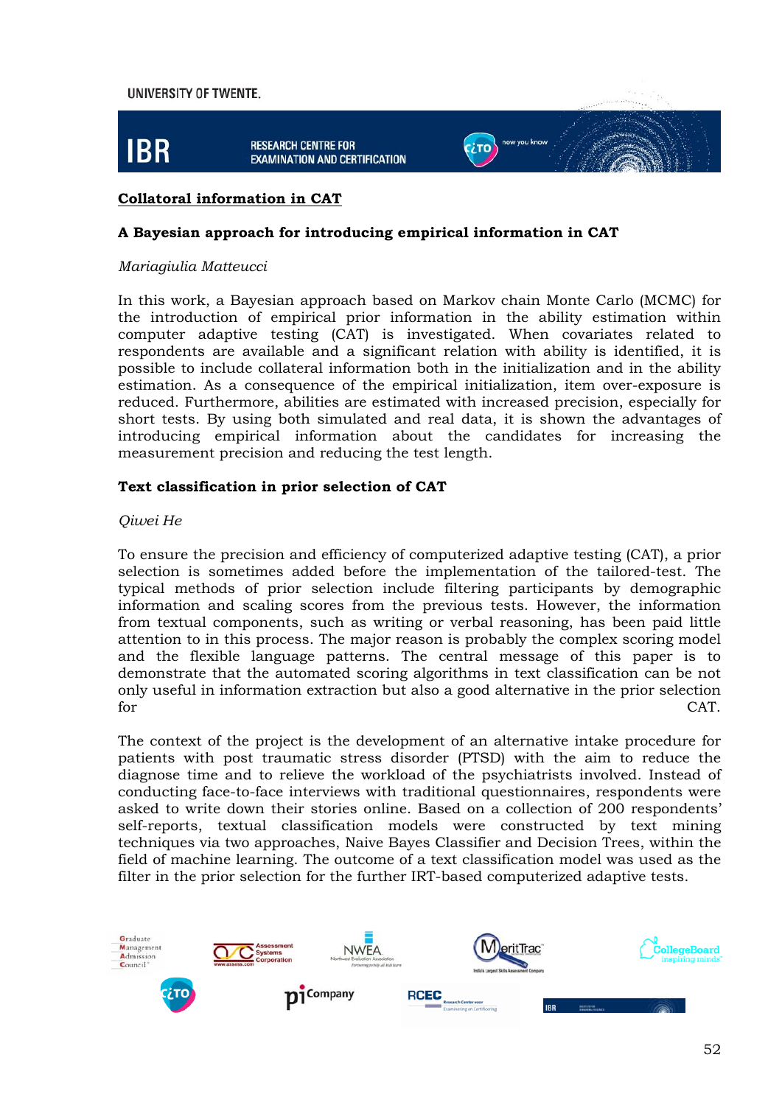

#### **Collatoral information in CAT**

#### **A Bayesian approach for introducing empirical information in CAT**

#### *Mariagiulia Matteucci*

In this work, a Bayesian approach based on Markov chain Monte Carlo (MCMC) for the introduction of empirical prior information in the ability estimation within computer adaptive testing (CAT) is investigated. When covariates related to respondents are available and a significant relation with ability is identified, it is possible to include collateral information both in the initialization and in the ability estimation. As a consequence of the empirical initialization, item over-exposure is reduced. Furthermore, abilities are estimated with increased precision, especially for short tests. By using both simulated and real data, it is shown the advantages of introducing empirical information about the candidates for increasing the measurement precision and reducing the test length.

#### **Text classification in prior selection of CAT**

#### *Qiwei He*

To ensure the precision and efficiency of computerized adaptive testing (CAT), a prior selection is sometimes added before the implementation of the tailored-test. The typical methods of prior selection include filtering participants by demographic information and scaling scores from the previous tests. However, the information from textual components, such as writing or verbal reasoning, has been paid little attention to in this process. The major reason is probably the complex scoring model and the flexible language patterns. The central message of this paper is to demonstrate that the automated scoring algorithms in text classification can be not only useful in information extraction but also a good alternative in the prior selection for CAT.

The context of the project is the development of an alternative intake procedure for patients with post traumatic stress disorder (PTSD) with the aim to reduce the diagnose time and to relieve the workload of the psychiatrists involved. Instead of conducting face-to-face interviews with traditional questionnaires, respondents were asked to write down their stories online. Based on a collection of 200 respondents' self-reports, textual classification models were constructed by text mining techniques via two approaches, Naive Bayes Classifier and Decision Trees, within the field of machine learning. The outcome of a text classification model was used as the filter in the prior selection for the further IRT-based computerized adaptive tests.

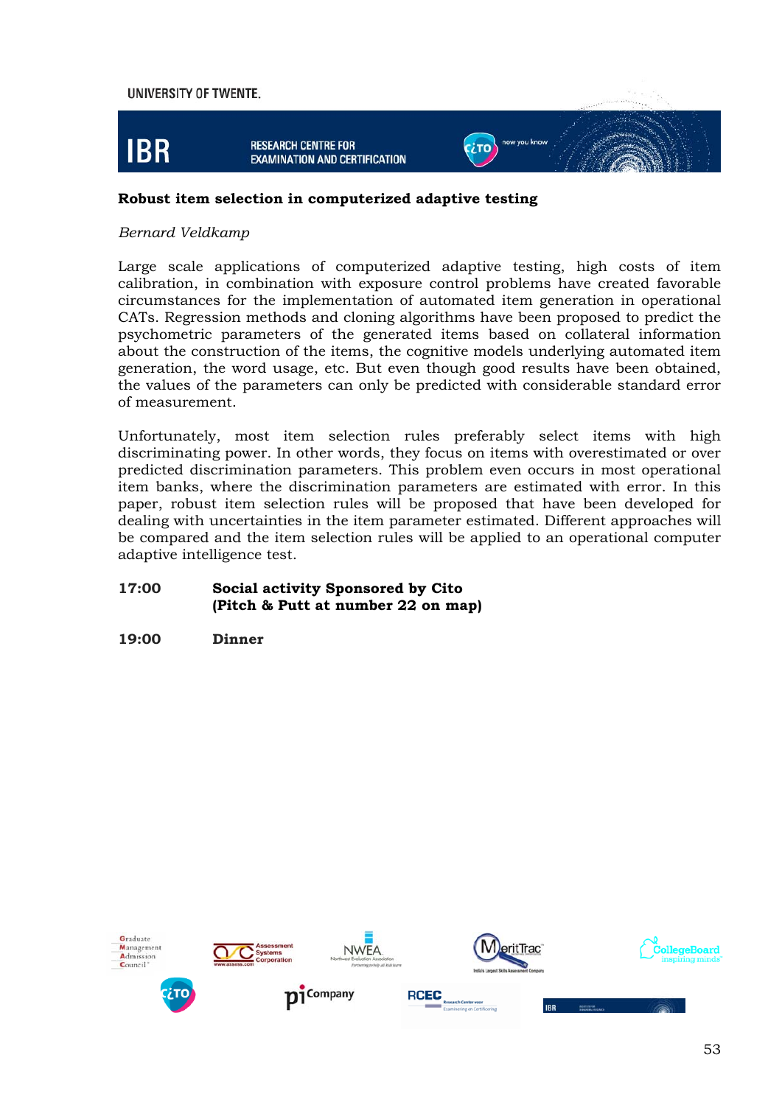

#### **Robust item selection in computerized adaptive testing**

#### *Bernard Veldkamp*

Large scale applications of computerized adaptive testing, high costs of item calibration, in combination with exposure control problems have created favorable circumstances for the implementation of automated item generation in operational CATs. Regression methods and cloning algorithms have been proposed to predict the psychometric parameters of the generated items based on collateral information about the construction of the items, the cognitive models underlying automated item generation, the word usage, etc. But even though good results have been obtained, the values of the parameters can only be predicted with considerable standard error of measurement.

Unfortunately, most item selection rules preferably select items with high discriminating power. In other words, they focus on items with overestimated or over predicted discrimination parameters. This problem even occurs in most operational item banks, where the discrimination parameters are estimated with error. In this paper, robust item selection rules will be proposed that have been developed for dealing with uncertainties in the item parameter estimated. Different approaches will be compared and the item selection rules will be applied to an operational computer adaptive intelligence test.

#### **17:00 Social activity Sponsored by Cito (Pitch & Putt at number 22 on map)**

#### **19:00 Dinner**

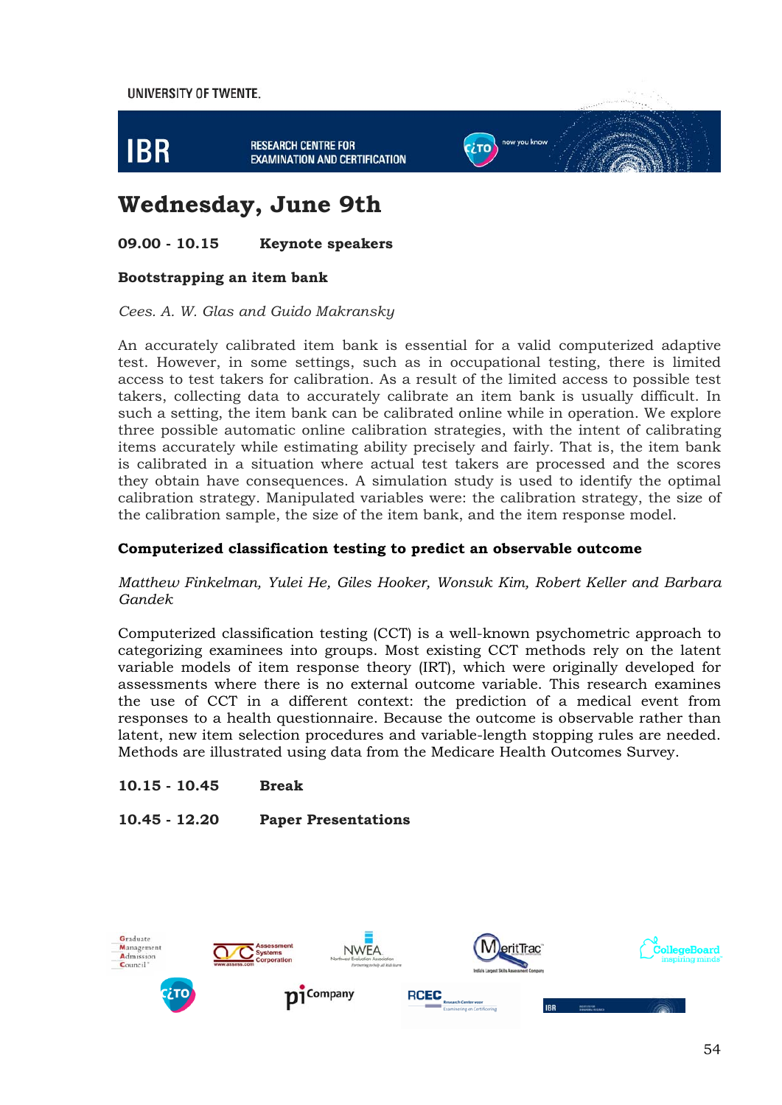

# **Wednesday, June 9th**

#### **09.00 - 10.15 Keynote speakers**

#### **Bootstrapping an item bank**

#### *Cees. A. W. Glas and Guido Makransky*

An accurately calibrated item bank is essential for a valid computerized adaptive test. However, in some settings, such as in occupational testing, there is limited access to test takers for calibration. As a result of the limited access to possible test takers, collecting data to accurately calibrate an item bank is usually difficult. In such a setting, the item bank can be calibrated online while in operation. We explore three possible automatic online calibration strategies, with the intent of calibrating items accurately while estimating ability precisely and fairly. That is, the item bank is calibrated in a situation where actual test takers are processed and the scores they obtain have consequences. A simulation study is used to identify the optimal calibration strategy. Manipulated variables were: the calibration strategy, the size of the calibration sample, the size of the item bank, and the item response model.

#### **Computerized classification testing to predict an observable outcome**

#### *Matthew Finkelman, Yulei He, Giles Hooker, Wonsuk Kim, Robert Keller and Barbara Gandek*

Computerized classification testing (CCT) is a well-known psychometric approach to categorizing examinees into groups. Most existing CCT methods rely on the latent variable models of item response theory (IRT), which were originally developed for assessments where there is no external outcome variable. This research examines the use of CCT in a different context: the prediction of a medical event from responses to a health questionnaire. Because the outcome is observable rather than latent, new item selection procedures and variable-length stopping rules are needed. Methods are illustrated using data from the Medicare Health Outcomes Survey.

**10.15 - 10.45 Break** 

**10.45 - 12.20 Paper Presentations** 

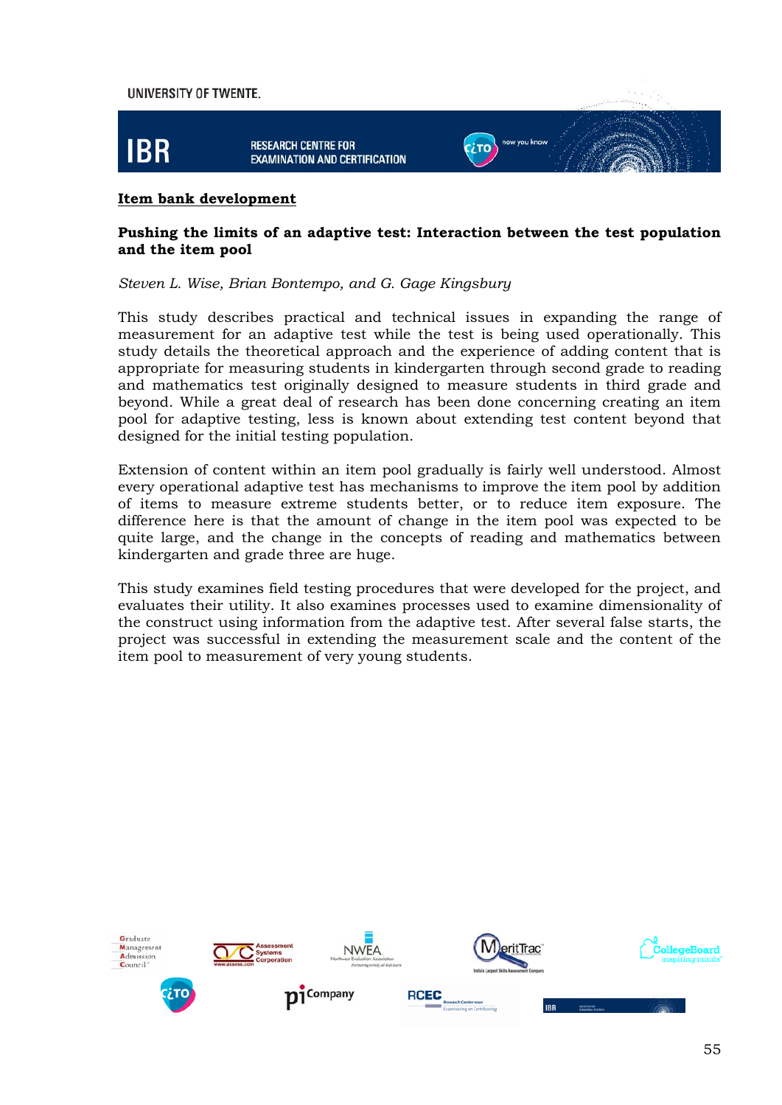

#### **Item bank development**

#### **Pushing the limits of an adaptive test: Interaction between the test population and the item pool**

*Steven L. Wise, Brian Bontempo, and G. Gage Kingsbury*

This study describes practical and technical issues in expanding the range of measurement for an adaptive test while the test is being used operationally. This study details the theoretical approach and the experience of adding content that is appropriate for measuring students in kindergarten through second grade to reading and mathematics test originally designed to measure students in third grade and beyond. While a great deal of research has been done concerning creating an item pool for adaptive testing, less is known about extending test content beyond that designed for the initial testing population.

Extension of content within an item pool gradually is fairly well understood. Almost every operational adaptive test has mechanisms to improve the item pool by addition of items to measure extreme students better, or to reduce item exposure. The difference here is that the amount of change in the item pool was expected to be quite large, and the change in the concepts of reading and mathematics between kindergarten and grade three are huge.

This study examines field testing procedures that were developed for the project, and evaluates their utility. It also examines processes used to examine dimensionality of the construct using information from the adaptive test. After several false starts, the project was successful in extending the measurement scale and the content of the item pool to measurement of very young students.

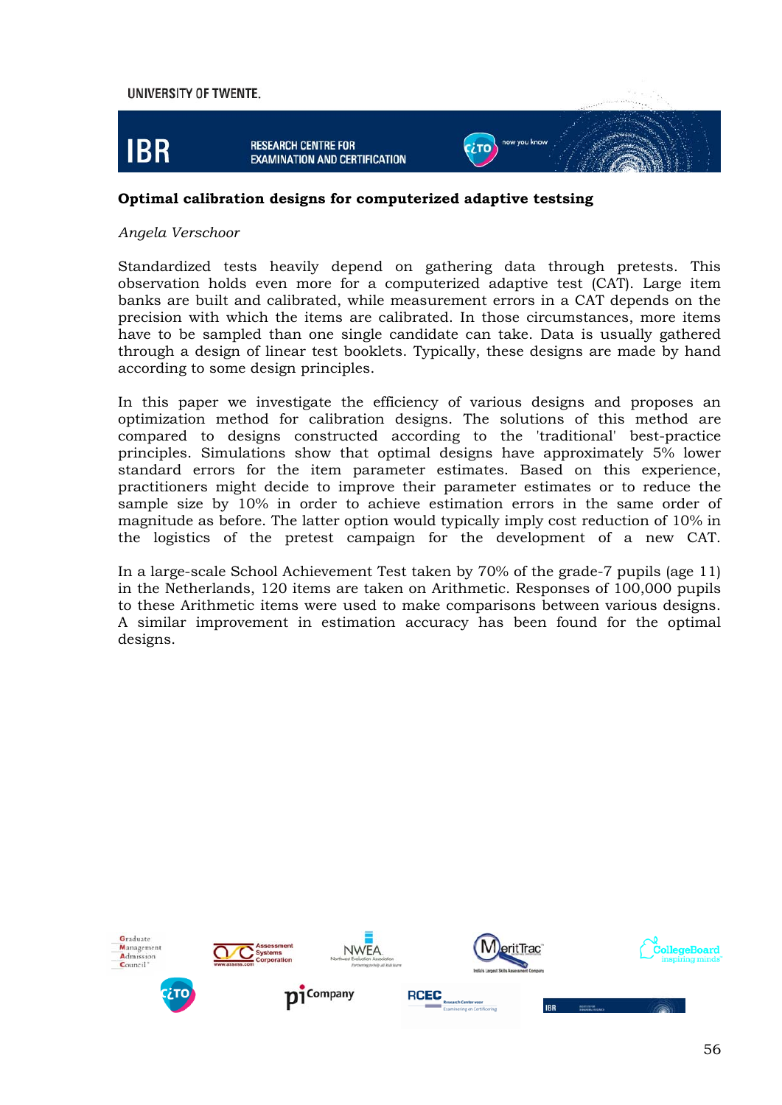

#### **Optimal calibration designs for computerized adaptive testsing**

#### *Angela Verschoor*

Standardized tests heavily depend on gathering data through pretests. This observation holds even more for a computerized adaptive test (CAT). Large item banks are built and calibrated, while measurement errors in a CAT depends on the precision with which the items are calibrated. In those circumstances, more items have to be sampled than one single candidate can take. Data is usually gathered through a design of linear test booklets. Typically, these designs are made by hand according to some design principles.

In this paper we investigate the efficiency of various designs and proposes an optimization method for calibration designs. The solutions of this method are compared to designs constructed according to the 'traditional' best-practice principles. Simulations show that optimal designs have approximately 5% lower standard errors for the item parameter estimates. Based on this experience, practitioners might decide to improve their parameter estimates or to reduce the sample size by 10% in order to achieve estimation errors in the same order of magnitude as before. The latter option would typically imply cost reduction of 10% in the logistics of the pretest campaign for the development of a new CAT.

In a large-scale School Achievement Test taken by 70% of the grade-7 pupils (age 11) in the Netherlands, 120 items are taken on Arithmetic. Responses of 100,000 pupils to these Arithmetic items were used to make comparisons between various designs. A similar improvement in estimation accuracy has been found for the optimal designs.

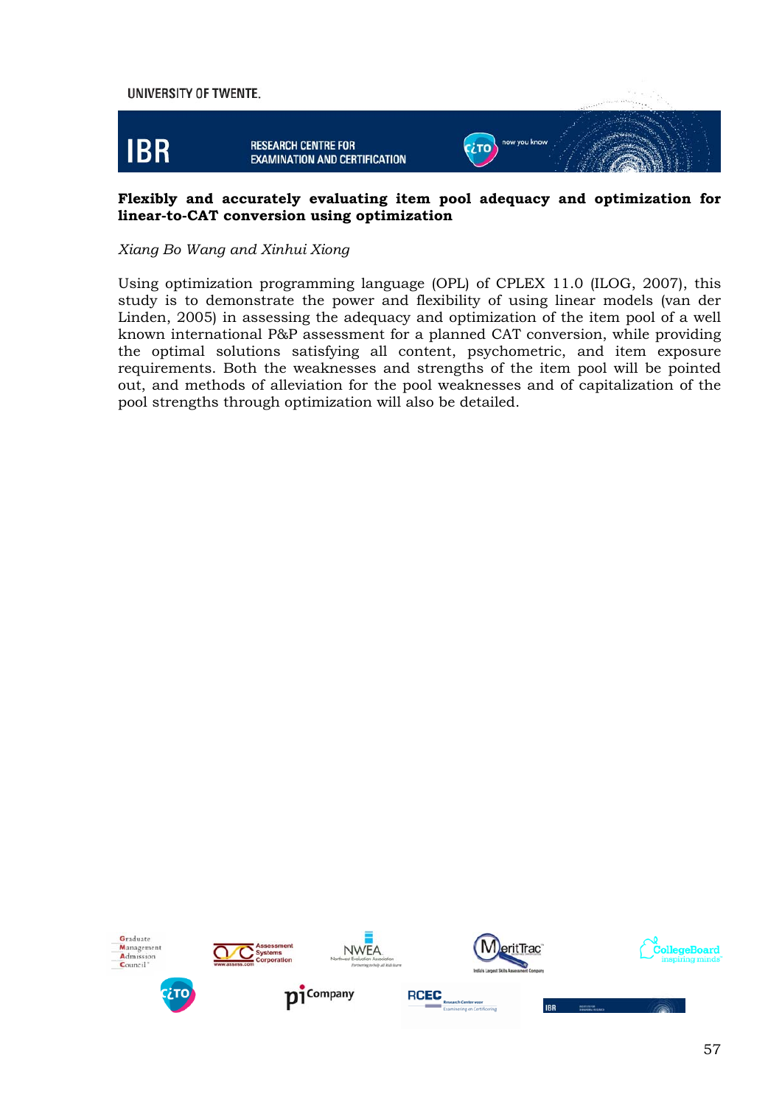

#### **Flexibly and accurately evaluating item pool adequacy and optimization for linear-to-CAT conversion using optimization**

#### *Xiang Bo Wang and Xinhui Xiong*

Using optimization programming language (OPL) of CPLEX 11.0 (ILOG, 2007), this study is to demonstrate the power and flexibility of using linear models (van der Linden, 2005) in assessing the adequacy and optimization of the item pool of a well known international P&P assessment for a planned CAT conversion, while providing the optimal solutions satisfying all content, psychometric, and item exposure requirements. Both the weaknesses and strengths of the item pool will be pointed out, and methods of alleviation for the pool weaknesses and of capitalization of the pool strengths through optimization will also be detailed.









**IRR** 









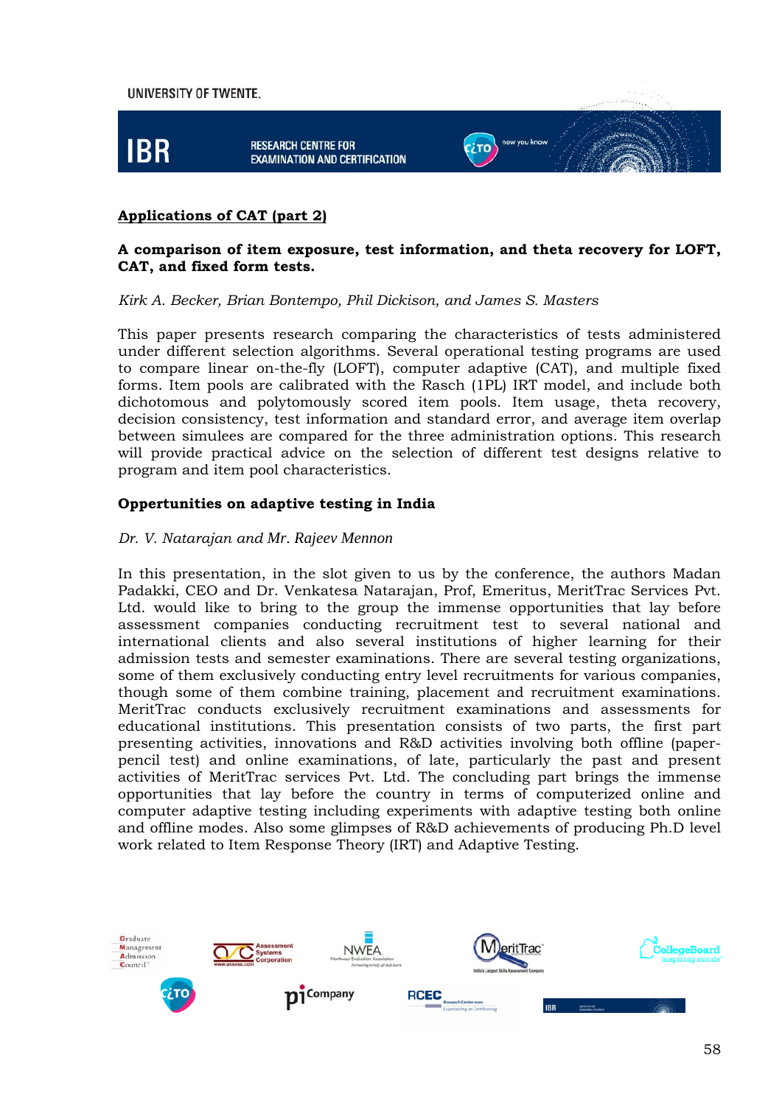

#### **Applications of CAT (part 2)**

#### **A comparison of item exposure, test information, and theta recovery for LOFT, CAT, and fixed form tests.**

*Kirk A. Becker, Brian Bontempo, Phil Dickison, and James S. Masters* 

This paper presents research comparing the characteristics of tests administered under different selection algorithms. Several operational testing programs are used to compare linear on-the-fly (LOFT), computer adaptive (CAT), and multiple fixed forms. Item pools are calibrated with the Rasch (1PL) IRT model, and include both dichotomous and polytomously scored item pools. Item usage, theta recovery, decision consistency, test information and standard error, and average item overlap between simulees are compared for the three administration options. This research will provide practical advice on the selection of different test designs relative to program and item pool characteristics.

#### **Oppertunities on adaptive testing in India**

#### *Dr. V. Natarajan and Mr. Rajeev Mennon*

In this presentation, in the slot given to us by the conference, the authors Madan Padakki, CEO and Dr. Venkatesa Natarajan, Prof, Emeritus, MeritTrac Services Pvt. Ltd. would like to bring to the group the immense opportunities that lay before assessment companies conducting recruitment test to several national and international clients and also several institutions of higher learning for their admission tests and semester examinations. There are several testing organizations, some of them exclusively conducting entry level recruitments for various companies, though some of them combine training, placement and recruitment examinations. MeritTrac conducts exclusively recruitment examinations and assessments for educational institutions. This presentation consists of two parts, the first part presenting activities, innovations and R&D activities involving both offline (paperpencil test) and online examinations, of late, particularly the past and present activities of MeritTrac services Pvt. Ltd. The concluding part brings the immense opportunities that lay before the country in terms of computerized online and computer adaptive testing including experiments with adaptive testing both online and offline modes. Also some glimpses of R&D achievements of producing Ph.D level work related to Item Response Theory (IRT) and Adaptive Testing.

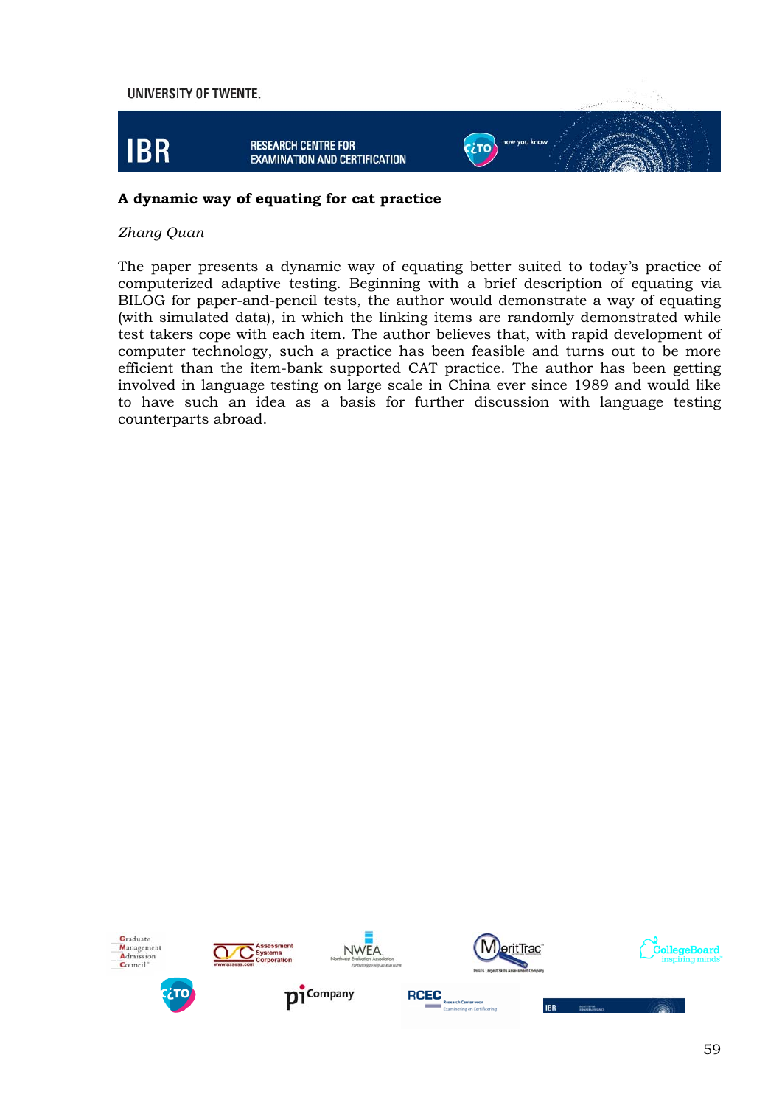

#### **A dynamic way of equating for cat practice**

#### *Zhang Quan*

The paper presents a dynamic way of equating better suited to today's practice of computerized adaptive testing. Beginning with a brief description of equating via BILOG for paper-and-pencil tests, the author would demonstrate a way of equating (with simulated data), in which the linking items are randomly demonstrated while test takers cope with each item. The author believes that, with rapid development of computer technology, such a practice has been feasible and turns out to be more efficient than the item-bank supported CAT practice. The author has been getting involved in language testing on large scale in China ever since 1989 and would like to have such an idea as a basis for further discussion with language testing counterparts abroad.









**IRR** 









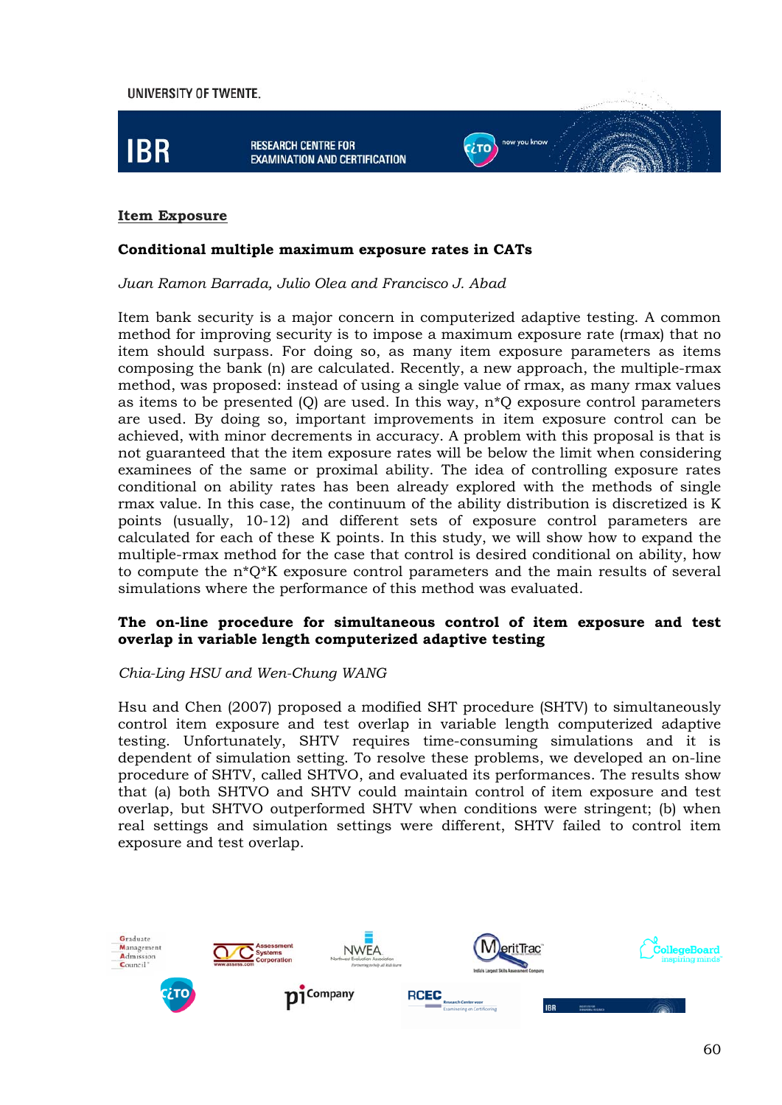

#### **Item Exposure**

#### **Conditional multiple maximum exposure rates in CATs**

*Juan Ramon Barrada, Julio Olea and Francisco J. Abad*

Item bank security is a major concern in computerized adaptive testing. A common method for improving security is to impose a maximum exposure rate (rmax) that no item should surpass. For doing so, as many item exposure parameters as items composing the bank (n) are calculated. Recently, a new approach, the multiple-rmax method, was proposed: instead of using a single value of rmax, as many rmax values as items to be presented (Q) are used. In this way, n\*Q exposure control parameters are used. By doing so, important improvements in item exposure control can be achieved, with minor decrements in accuracy. A problem with this proposal is that is not guaranteed that the item exposure rates will be below the limit when considering examinees of the same or proximal ability. The idea of controlling exposure rates conditional on ability rates has been already explored with the methods of single rmax value. In this case, the continuum of the ability distribution is discretized is K points (usually, 10-12) and different sets of exposure control parameters are calculated for each of these K points. In this study, we will show how to expand the multiple-rmax method for the case that control is desired conditional on ability, how to compute the n\*Q\*K exposure control parameters and the main results of several simulations where the performance of this method was evaluated.

#### **The on-line procedure for simultaneous control of item exposure and test overlap in variable length computerized adaptive testing**

#### *Chia-Ling HSU and Wen-Chung WANG*

Hsu and Chen (2007) proposed a modified SHT procedure (SHTV) to simultaneously control item exposure and test overlap in variable length computerized adaptive testing. Unfortunately, SHTV requires time-consuming simulations and it is dependent of simulation setting. To resolve these problems, we developed an on-line procedure of SHTV, called SHTVO, and evaluated its performances. The results show that (a) both SHTVO and SHTV could maintain control of item exposure and test overlap, but SHTVO outperformed SHTV when conditions were stringent; (b) when real settings and simulation settings were different, SHTV failed to control item exposure and test overlap.

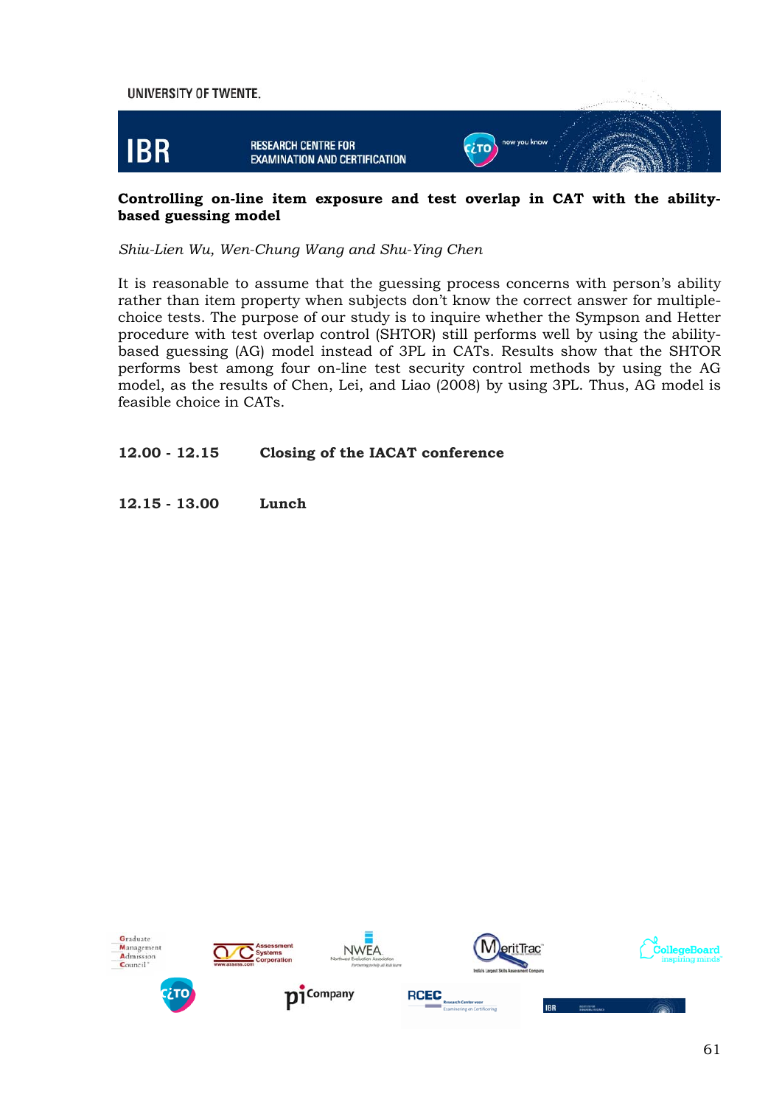

#### **Controlling on-line item exposure and test overlap in CAT with the abilitybased guessing model**

#### *Shiu-Lien Wu, Wen-Chung Wang and Shu-Ying Chen*

It is reasonable to assume that the guessing process concerns with person's ability rather than item property when subjects don't know the correct answer for multiplechoice tests. The purpose of our study is to inquire whether the Sympson and Hetter procedure with test overlap control (SHTOR) still performs well by using the abilitybased guessing (AG) model instead of 3PL in CATs. Results show that the SHTOR performs best among four on-line test security control methods by using the AG model, as the results of Chen, Lei, and Liao (2008) by using 3PL. Thus, AG model is feasible choice in CATs.

#### **12.00 - 12.15 Closing of the IACAT conference**

**12.15 - 13.00 Lunch**